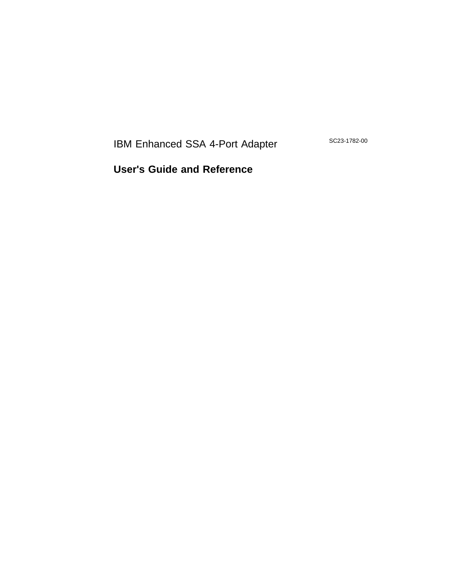IBM Enhanced SSA 4-Port Adapter

SC23-1782-00

**User's Guide and Reference**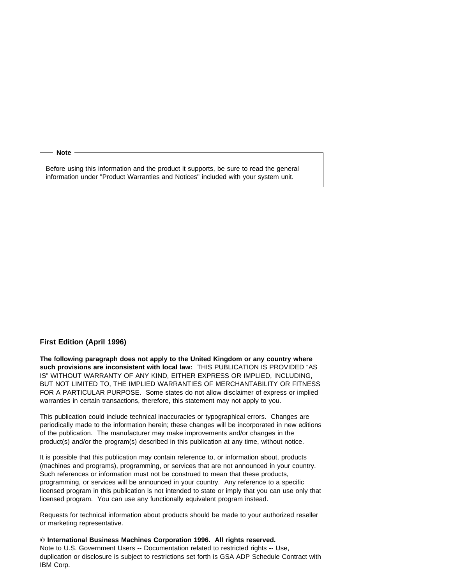**Note** 

Before using this information and the product it supports, be sure to read the general information under "Product Warranties and Notices" included with your system unit.

#### **First Edition (April 1996)**

**The following paragraph does not apply to the United Kingdom or any country where such provisions are inconsistent with local law:** THIS PUBLICATION IS PROVIDED "AS IS" WITHOUT WARRANTY OF ANY KIND, EITHER EXPRESS OR IMPLIED, INCLUDING, BUT NOT LIMITED TO, THE IMPLIED WARRANTIES OF MERCHANTABILITY OR FITNESS FOR A PARTICULAR PURPOSE. Some states do not allow disclaimer of express or implied warranties in certain transactions, therefore, this statement may not apply to you.

This publication could include technical inaccuracies or typographical errors. Changes are periodically made to the information herein; these changes will be incorporated in new editions of the publication. The manufacturer may make improvements and/or changes in the product(s) and/or the program(s) described in this publication at any time, without notice.

It is possible that this publication may contain reference to, or information about, products (machines and programs), programming, or services that are not announced in your country. Such references or information must not be construed to mean that these products, programming, or services will be announced in your country. Any reference to a specific licensed program in this publication is not intended to state or imply that you can use only that licensed program. You can use any functionally equivalent program instead.

Requests for technical information about products should be made to your authorized reseller or marketing representative.

 **International Business Machines Corporation 1996. All rights reserved.** Note to U.S. Government Users -- Documentation related to restricted rights -- Use, duplication or disclosure is subject to restrictions set forth is GSA ADP Schedule Contract with IBM Corp.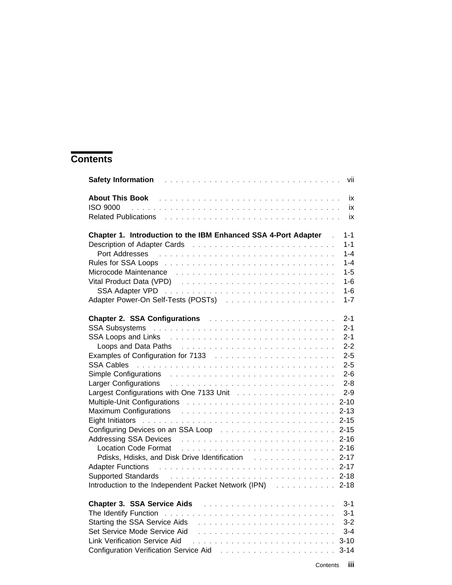# **Contents**

| Safety Information <b>Safety Information Continued Advisory Continued Advisory Continued Advisory Continued Advisory</b>                                                                                                             | vii                |
|--------------------------------------------------------------------------------------------------------------------------------------------------------------------------------------------------------------------------------------|--------------------|
|                                                                                                                                                                                                                                      | ix                 |
|                                                                                                                                                                                                                                      | ix                 |
|                                                                                                                                                                                                                                      | ix                 |
| Chapter 1. Introduction to the IBM Enhanced SSA 4-Port Adapter                                                                                                                                                                       | $1 - 1$            |
|                                                                                                                                                                                                                                      | $1 - 1$<br>$1 - 4$ |
| Port Addresses <b>Product Addresses Product Addresses Product Addresses</b>                                                                                                                                                          |                    |
| Rules for SSA Loops (Alberta Alberta Alberta Alberta Alberta Alberta Alberta Alberta Alberta Alberta Alberta A                                                                                                                       | $1 - 4$            |
| Microcode Maintenance research and the service of the service of the Microcode Maintenance research and the service                                                                                                                  | $1 - 5$            |
| Vital Product Data (VPD) results and contained a series and contact the VPD and contained a series and contact                                                                                                                       | $1 - 6$            |
|                                                                                                                                                                                                                                      | $1 - 6$            |
| Adapter Power-On Self-Tests (POSTs) Access 2008 Adapter Power-On Self-Tests (POSTs)                                                                                                                                                  | $1 - 7$            |
| Chapter 2. SSA Configurations and all the contract of the state of the contract of the contract of the contract of the contract of the contract of the contract of the contract of the contract of the contract of the contrac       | $2 - 1$            |
|                                                                                                                                                                                                                                      | $2 - 1$            |
|                                                                                                                                                                                                                                      | $2 - 1$            |
|                                                                                                                                                                                                                                      | $2 - 2$            |
|                                                                                                                                                                                                                                      | $2 - 5$            |
| SSA Cables (and a contract of the contract of the contract of the contract of the contract of the contract of the contract of the contract of the contract of the contract of the contract of the contract of the contract of        | $2 - 5$            |
|                                                                                                                                                                                                                                      | $2 - 6$            |
|                                                                                                                                                                                                                                      | $2 - 8$            |
|                                                                                                                                                                                                                                      | $2 - 9$            |
|                                                                                                                                                                                                                                      | $2 - 10$           |
|                                                                                                                                                                                                                                      | $2 - 13$           |
| Eight Initiators (Alberta Alberta Alberta Alberta Alberta Alberta Alberta Alberta Alberta Alberta Alberta Albe                                                                                                                       |                    |
|                                                                                                                                                                                                                                      | $2 - 15$           |
| Addressing SSA Devices <b>And Accelerate Contract Contract Contract Contract Contract Contract Contract Contract Contract Contract Contract Contract Contract Contract Contract Contract Contract Contract Contract Contract Con</b> | $2 - 16$           |
| Location Code Format Albert Library Albert Library Albert Library 2-16                                                                                                                                                               |                    |
| Pdisks, Hdisks, and Disk Drive Identification Fig. 2-17                                                                                                                                                                              |                    |
| Adapter Functions (Fig. 1991) Adapter Function Processor Processor Processor Processor Processor Processor                                                                                                                           |                    |
| Supported Standards et al., and a series and a series and a series and a series and a series of 2-18                                                                                                                                 |                    |
| Introduction to the Independent Packet Network (IPN) 2-18                                                                                                                                                                            |                    |
|                                                                                                                                                                                                                                      | $3 - 1$            |
|                                                                                                                                                                                                                                      | $3 - 1$            |
|                                                                                                                                                                                                                                      | $3 - 2$            |
| Set Service Mode Service Aid                                                                                                                                                                                                         | $3 - 4$            |
| Link Verification Service Aid                                                                                                                                                                                                        | $3 - 10$           |
| Configuration Verification Service Aid <b>Figure 2.1 Act 2.1 Act 2.1 Act 2.1 Act 2.1 Act 2.1 Act 2.1 Act 2.1 Act 2.1 Act 2.1 Act 2.1 Act 2.1 Act 2.1 Act 2.1 Act 2.1 Act 2.1 Act 2.1 Act 2.1 Act 2.1 Act 2.1 Act 2.1 Act 2.1 Act</b> | $3 - 14$           |
|                                                                                                                                                                                                                                      |                    |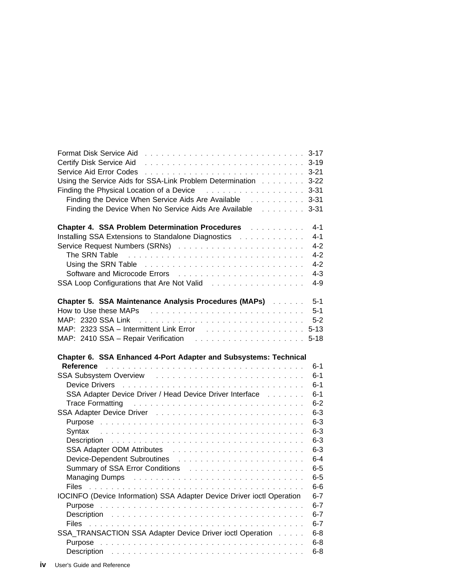| Format Disk Service Aid <b>Format Aid Accept Aid Accept Aid Accept Aid Accept Aid Aid Aid Aid Aid Aid Aid Aid Aid</b>                                                                                                          |                    |
|--------------------------------------------------------------------------------------------------------------------------------------------------------------------------------------------------------------------------------|--------------------|
| Certify Disk Service Aid <b>Container Accept Aid Container Aid Accept Aid Container Aid Container Aid Container</b>                                                                                                            |                    |
| Service Aid Error Codes et al., and a service and service and service Aid Error Codes et al., and a service and                                                                                                                |                    |
| Using the Service Aids for SSA-Link Problem Determination 3-22                                                                                                                                                                 |                    |
| Finding the Physical Location of a Device <b>Fig. 1.1.1.1.1.1.1.1.1.1.1.1.1.1.1.3-31</b>                                                                                                                                       |                    |
| Finding the Device When Service Aids Are Available Fig. All Allessing 3-31                                                                                                                                                     |                    |
| Finding the Device When No Service Aids Are Available [1, 1, 1, 1, 1, 3-31]                                                                                                                                                    |                    |
| <b>Chapter 4. SSA Problem Determination Procedures Administration Chapter 4. SSA Problem Determination Procedures</b>                                                                                                          | $4 - 1$            |
| Installing SSA Extensions to Standalone Diagnostics Transmusseum                                                                                                                                                               | $4 - 1$            |
|                                                                                                                                                                                                                                | $4 - 2$            |
|                                                                                                                                                                                                                                | $4 - 2$            |
| Using the SRN Table (Alternative Alternative Alternative Alternative Alternative Alternative Alternative Alter                                                                                                                 | $4 - 2$            |
|                                                                                                                                                                                                                                | $4 - 3$            |
| SSA Loop Configurations that Are Not Valid Theory Allendard Area Louis And Marian Area States                                                                                                                                  | $4 - 9$            |
| Chapter 5. SSA Maintenance Analysis Procedures (MAPs) Albertaine                                                                                                                                                               | $5 - 1$            |
| How to Use these MAPs research and the service of the MAPs and the service of the service of the How to US and                                                                                                                 | $5 - 1$            |
|                                                                                                                                                                                                                                | $5-2$              |
|                                                                                                                                                                                                                                | $5 - 13$           |
|                                                                                                                                                                                                                                | $5 - 18$           |
| Chapter 6. SSA Enhanced 4-Port Adapter and Subsystems: Technical                                                                                                                                                               |                    |
|                                                                                                                                                                                                                                | $6 - 1$            |
|                                                                                                                                                                                                                                | $6 - 1$            |
|                                                                                                                                                                                                                                | $6 - 1$            |
| SSA Adapter Device Driver / Head Device Driver Interface [1, 1, 1, 1, 1]                                                                                                                                                       | $6 - 1$            |
| Trace Formatting Transaction of the contract of the contract of the Transaction of the Transaction of the Transaction of the Transaction of Transaction of the Transaction of Transaction of Transaction of Transaction of Tra | $6 - 2$            |
| SSA Adapter Device Driver (1999) 2003 - Albert Albert Albert Albert Albert Albert Albert Albert Albert Albert                                                                                                                  | $6-3$              |
|                                                                                                                                                                                                                                | $6-3$              |
|                                                                                                                                                                                                                                | $6-3$              |
|                                                                                                                                                                                                                                | $6-3$              |
|                                                                                                                                                                                                                                | $6-3$              |
|                                                                                                                                                                                                                                | $6-4$              |
| Summary of SSA Error Conditions [1] with a substitution of SSA Error Conditions [1] with a substance of the substitution of SUM and SUM and SUM and SUM and SUM and SUM and SUM and SUM and SUM and SUM and SUM and SUM and SU | $6-5$              |
|                                                                                                                                                                                                                                | $6 - 5$            |
| <b>Files</b>                                                                                                                                                                                                                   | $6-6$              |
| IOCINFO (Device Information) SSA Adapter Device Driver ioctl Operation                                                                                                                                                         | $6 - 7$            |
| Purpose                                                                                                                                                                                                                        | $6 - 7$            |
|                                                                                                                                                                                                                                | $6 - 7$            |
| <b>Files</b>                                                                                                                                                                                                                   | $6 - 7$            |
| SSA_TRANSACTION SSA Adapter Device Driver ioctl Operation                                                                                                                                                                      | $6 - 8$            |
|                                                                                                                                                                                                                                |                    |
| Purpose                                                                                                                                                                                                                        | $6 - 8$<br>$6 - 8$ |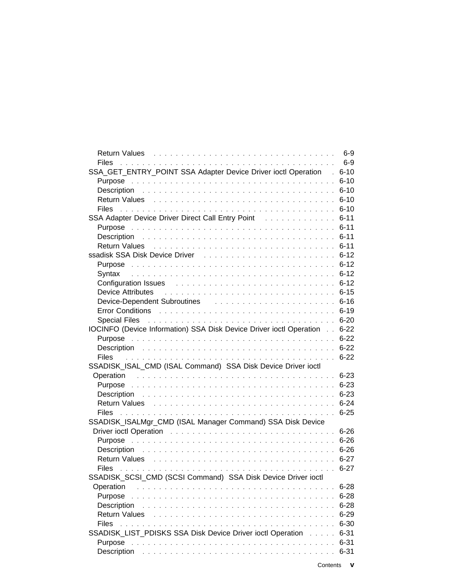| Return Values research and the service of the service of the service of the Return Service of the Service of the Service of the Service of the Service of the Service of the Service of the Service of the Service of the Serv | $6-9$<br>$6-9$       |
|--------------------------------------------------------------------------------------------------------------------------------------------------------------------------------------------------------------------------------|----------------------|
| Files                                                                                                                                                                                                                          |                      |
| SSA_GET_ENTRY_POINT SSA Adapter Device Driver ioctl Operation .                                                                                                                                                                | $6 - 10$<br>$6 - 10$ |
|                                                                                                                                                                                                                                | $6 - 10$             |
|                                                                                                                                                                                                                                | $6 - 10$             |
|                                                                                                                                                                                                                                | $6 - 10$             |
| SSA Adapter Device Driver Direct Call Entry Point Fig.                                                                                                                                                                         | $6 - 11$             |
|                                                                                                                                                                                                                                | $6 - 11$             |
|                                                                                                                                                                                                                                | $6 - 11$             |
| Return Values (and a subsequently and a subsequently and a subsequently set of the Return S-11                                                                                                                                 |                      |
| ssadisk SSA Disk Device Driver Theorem 2014 Contract Contract Contract Contract Contract Contract Contract Con                                                                                                                 |                      |
|                                                                                                                                                                                                                                | $6 - 12$             |
|                                                                                                                                                                                                                                | $6 - 12$             |
| Configuration Issues <b>Example 20</b> Service Configuration Issues Service Contractor Contractor Contractor Contractor                                                                                                        | $6 - 12$             |
| <b>Device Attributes</b>                                                                                                                                                                                                       | $6 - 15$             |
| Device-Dependent Subroutines [1] The Longitude Line and Alexander Contract Line and Alexander Contract Device                                                                                                                  |                      |
| Error Conditions <b>Example 20</b> Server Allen Allen Allen Allen Allen Allen Allen Allen Allen Allen Allen Allen Allen                                                                                                        | $6 - 19$             |
| Special Files And All Andrews Andrews All Andrews All Andrews All Andrews All Andrews All Andrews All Andrews                                                                                                                  | $6 - 20$             |
| IOCINFO (Device Information) SSA Disk Device Driver ioctl Operation                                                                                                                                                            | $6 - 22$             |
|                                                                                                                                                                                                                                | $6 - 22$             |
|                                                                                                                                                                                                                                |                      |
| <b>Files</b>                                                                                                                                                                                                                   | $6 - 22$             |
| SSADISK_ISAL_CMD (ISAL Command) SSA Disk Device Driver ioctl                                                                                                                                                                   |                      |
|                                                                                                                                                                                                                                | $6 - 23$             |
|                                                                                                                                                                                                                                | $6 - 23$             |
|                                                                                                                                                                                                                                | $6 - 23$             |
| Return Values And Allen And Allen And Allen And Allen And Allen And Allen And Allen And Allen And Allen                                                                                                                        | $6 - 24$             |
|                                                                                                                                                                                                                                | $6 - 25$             |
| SSADISK_ISALMgr_CMD (ISAL Manager Command) SSA Disk Device                                                                                                                                                                     |                      |
|                                                                                                                                                                                                                                |                      |
|                                                                                                                                                                                                                                |                      |
|                                                                                                                                                                                                                                |                      |
| Return Values Albert Library Albert Library Albert Library Albert Library Albert Library Albert Library Albert                                                                                                                 | $6 - 27$             |
| <b>Files</b>                                                                                                                                                                                                                   | $6 - 27$             |
| SSADISK SCSI CMD (SCSI Command) SSA Disk Device Driver ioctl                                                                                                                                                                   |                      |
| Operation                                                                                                                                                                                                                      | $6 - 28$             |
| Purpose                                                                                                                                                                                                                        | $6 - 28$             |
| Description                                                                                                                                                                                                                    | $6 - 28$             |
| <b>Return Values</b>                                                                                                                                                                                                           | $6 - 29$             |
| <b>Files</b><br>$\mathbf{1}$ $\mathbf{1}$ $\mathbf{1}$ $\mathbf{1}$<br>and a straight and                                                                                                                                      | $6 - 30$             |
| SSADISK_LIST_PDISKS SSA Disk Device Driver ioctl Operation                                                                                                                                                                     | $6 - 31$             |
| Purpose<br>$\sim$ $\sim$                                                                                                                                                                                                       | $6 - 31$             |
| Description                                                                                                                                                                                                                    | $6 - 31$             |
|                                                                                                                                                                                                                                |                      |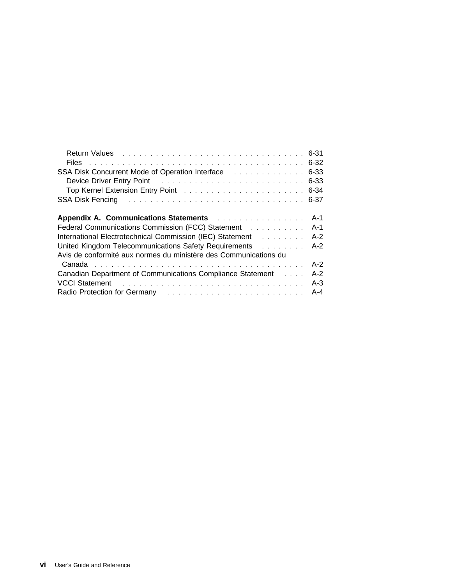| Return Values (Albert 2018) 2014 10:00 10:00 10:00 10:00 10:00 10:00 10:00 10:00 10:00 10:00 10:00 10:00 10:00  |       |
|-----------------------------------------------------------------------------------------------------------------|-------|
|                                                                                                                 |       |
| SSA Disk Concurrent Mode of Operation Interface Transmitted and SSA Disk Concurrent Mode of Operation Interface |       |
| Device Driver Entry Point (Fig. 1, The Country Lines, Theorem 2014) 19:33                                       |       |
| Top Kernel Extension Entry Point response to contact the contract of S44                                        |       |
| SSA Disk Fencing research and service in the service of the service of the service of the ST service of the ST  |       |
|                                                                                                                 |       |
| Appendix A. Communications Statements Alberta Alberta Alberta Alberta Alberta Alberta Alberta Alberta Alberta A | A-1   |
|                                                                                                                 | A-1   |
| International Electrotechnical Commission (IEC) Statement Alberta Lewissian Muslim                              | A-2   |
| United Kingdom Telecommunications Safety Requirements Alexander Contains                                        | $A-2$ |
| Avis de conformité aux normes du ministère des Communications du                                                |       |
|                                                                                                                 | $A-2$ |
| Canadian Department of Communications Compliance Statement                                                      | $A-2$ |
|                                                                                                                 | $A-3$ |
| Radio Protection for Germany enterprise in the set of the set of the set of the set of the set of the Protein   |       |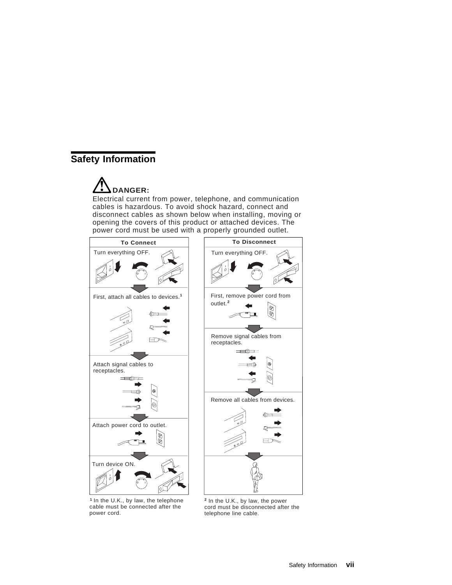# **Safety Information**

# **DANGER:**

Electrical current from power, telephone, and communication cables is hazardous. To avoid shock hazard, connect and disconnect cables as shown below when installing, moving or opening the covers of this product or attached devices. The power cord must be used with a properly grounded outlet.



<sup>1</sup> In the U.K., by law, the telephone <sup>2</sup> cable must be connected after the power cord.

<sup>2</sup> In the U.K., by law, the power cord must be disconnected after the telephone line cable.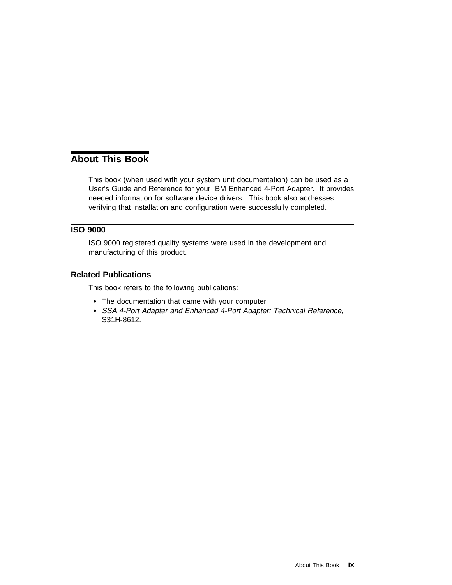# **About This Book**

This book (when used with your system unit documentation) can be used as a User's Guide and Reference for your IBM Enhanced 4-Port Adapter. It provides needed information for software device drivers. This book also addresses verifying that installation and configuration were successfully completed.

### **ISO 9000**

ISO 9000 registered quality systems were used in the development and manufacturing of this product.

#### **Related Publications**

This book refers to the following publications:

- The documentation that came with your computer
- SSA 4-Port Adapter and Enhanced 4-Port Adapter: Technical Reference, S31H-8612.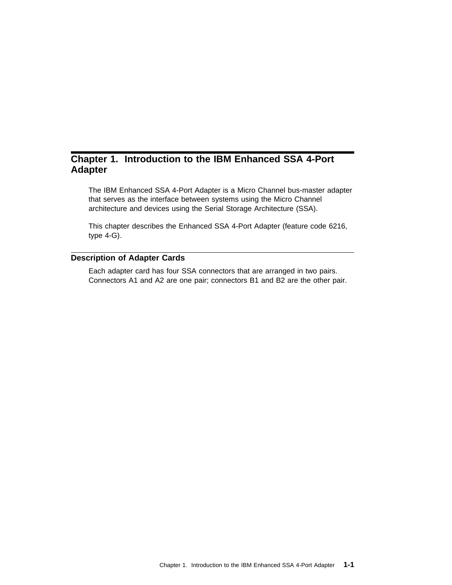# **Chapter 1. Introduction to the IBM Enhanced SSA 4-Port Adapter**

The IBM Enhanced SSA 4-Port Adapter is a Micro Channel bus-master adapter that serves as the interface between systems using the Micro Channel architecture and devices using the Serial Storage Architecture (SSA).

This chapter describes the Enhanced SSA 4-Port Adapter (feature code 6216, type 4-G).

#### **Description of Adapter Cards**

Each adapter card has four SSA connectors that are arranged in two pairs. Connectors A1 and A2 are one pair; connectors B1 and B2 are the other pair.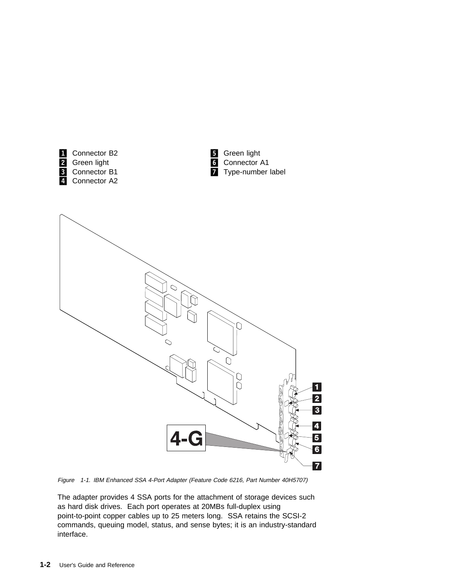

Figure 1-1. IBM Enhanced SSA 4-Port Adapter (Feature Code 6216, Part Number 40H5707)

The adapter provides 4 SSA ports for the attachment of storage devices such as hard disk drives. Each port operates at 20MBs full-duplex using point-to-point copper cables up to 25 meters long. SSA retains the SCSI-2 commands, queuing model, status, and sense bytes; it is an industry-standard interface.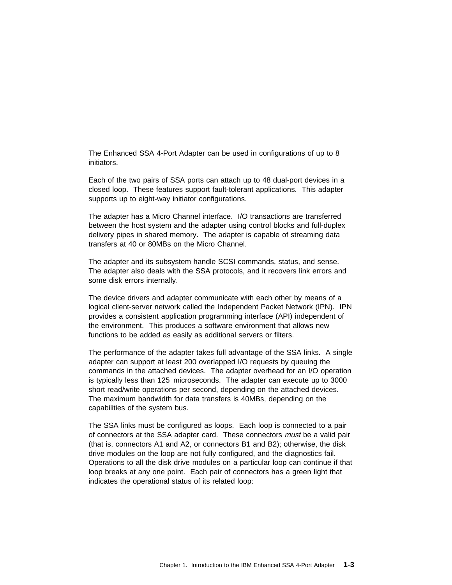The Enhanced SSA 4-Port Adapter can be used in configurations of up to 8 initiators.

Each of the two pairs of SSA ports can attach up to 48 dual-port devices in a closed loop. These features support fault-tolerant applications. This adapter supports up to eight-way initiator configurations.

The adapter has a Micro Channel interface. I/O transactions are transferred between the host system and the adapter using control blocks and full-duplex delivery pipes in shared memory. The adapter is capable of streaming data transfers at 40 or 80MBs on the Micro Channel.

The adapter and its subsystem handle SCSI commands, status, and sense. The adapter also deals with the SSA protocols, and it recovers link errors and some disk errors internally.

The device drivers and adapter communicate with each other by means of a logical client-server network called the Independent Packet Network (IPN). IPN provides a consistent application programming interface (API) independent of the environment. This produces a software environment that allows new functions to be added as easily as additional servers or filters.

The performance of the adapter takes full advantage of the SSA links. A single adapter can support at least 200 overlapped I/O requests by queuing the commands in the attached devices. The adapter overhead for an I/O operation is typically less than 125 microseconds. The adapter can execute up to 3000 short read/write operations per second, depending on the attached devices. The maximum bandwidth for data transfers is 40MBs, depending on the capabilities of the system bus.

The SSA links must be configured as loops. Each loop is connected to a pair of connectors at the SSA adapter card. These connectors *must* be a valid pair (that is, connectors A1 and A2, or connectors B1 and B2); otherwise, the disk drive modules on the loop are not fully configured, and the diagnostics fail. Operations to all the disk drive modules on a particular loop can continue if that loop breaks at any one point. Each pair of connectors has a green light that indicates the operational status of its related loop: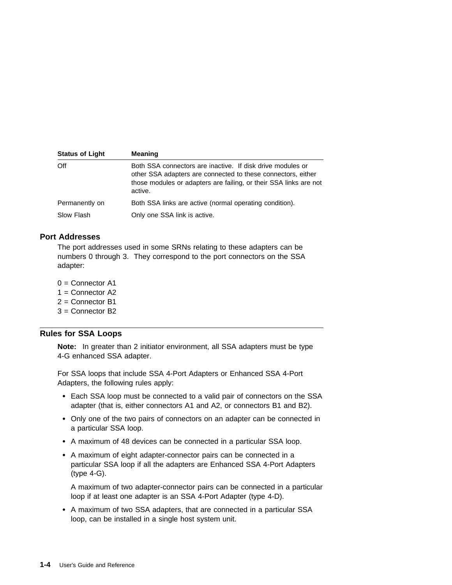| <b>Status of Light</b> | <b>Meaning</b>                                                                                                                                                                                             |
|------------------------|------------------------------------------------------------------------------------------------------------------------------------------------------------------------------------------------------------|
| Off                    | Both SSA connectors are inactive. If disk drive modules or<br>other SSA adapters are connected to these connectors, either<br>those modules or adapters are failing, or their SSA links are not<br>active. |
| Permanently on         | Both SSA links are active (normal operating condition).                                                                                                                                                    |
| Slow Flash             | Only one SSA link is active.                                                                                                                                                                               |

#### **Port Addresses**

The port addresses used in some SRNs relating to these adapters can be numbers 0 through 3. They correspond to the port connectors on the SSA adapter:

- $0 =$  Connector A1
- 1 = Connector A2
- 2 = Connector B1
- 3 = Connector B2

#### **Rules for SSA Loops**

**Note:** In greater than 2 initiator environment, all SSA adapters must be type 4-G enhanced SSA adapter.

For SSA loops that include SSA 4-Port Adapters or Enhanced SSA 4-Port Adapters, the following rules apply:

- Each SSA loop must be connected to a valid pair of connectors on the SSA adapter (that is, either connectors A1 and A2, or connectors B1 and B2).
- Only one of the two pairs of connectors on an adapter can be connected in a particular SSA loop.
- A maximum of 48 devices can be connected in a particular SSA loop.
- A maximum of eight adapter-connector pairs can be connected in a particular SSA loop if all the adapters are Enhanced SSA 4-Port Adapters (type 4-G).

A maximum of two adapter-connector pairs can be connected in a particular loop if at least one adapter is an SSA 4-Port Adapter (type 4-D).

 A maximum of two SSA adapters, that are connected in a particular SSA loop, can be installed in a single host system unit.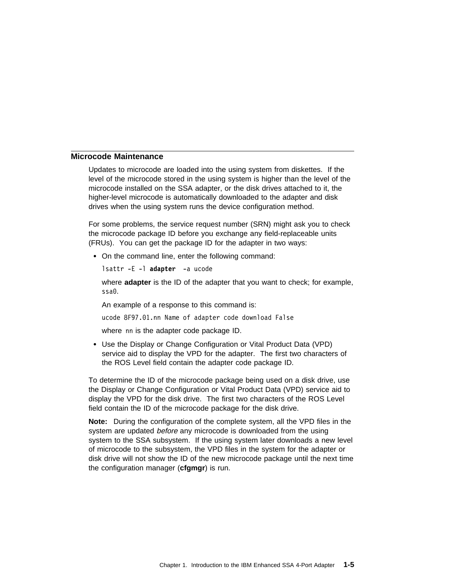#### **Microcode Maintenance**

Updates to microcode are loaded into the using system from diskettes. If the level of the microcode stored in the using system is higher than the level of the microcode installed on the SSA adapter, or the disk drives attached to it, the higher-level microcode is automatically downloaded to the adapter and disk drives when the using system runs the device configuration method.

For some problems, the service request number (SRN) might ask you to check the microcode package ID before you exchange any field-replaceable units (FRUs). You can get the package ID for the adapter in two ways:

On the command line, enter the following command:

```
lsattr -E -l adapter -a ucode
```
where **adapter** is the ID of the adapter that you want to check; for example, ssað.

An example of a response to this command is:

ucode 8F97.ð1.nn Name of adapter code download False

where nn is the adapter code package ID.

 Use the Display or Change Configuration or Vital Product Data (VPD) service aid to display the VPD for the adapter. The first two characters of the ROS Level field contain the adapter code package ID.

To determine the ID of the microcode package being used on a disk drive, use the Display or Change Configuration or Vital Product Data (VPD) service aid to display the VPD for the disk drive. The first two characters of the ROS Level field contain the ID of the microcode package for the disk drive.

**Note:** During the configuration of the complete system, all the VPD files in the system are updated before any microcode is downloaded from the using system to the SSA subsystem. If the using system later downloads a new level of microcode to the subsystem, the VPD files in the system for the adapter or disk drive will not show the ID of the new microcode package until the next time the configuration manager (**cfgmgr**) is run.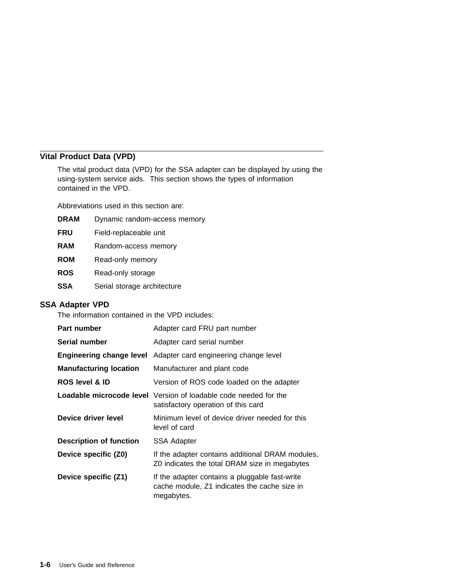# **Vital Product Data (VPD)**

The vital product data (VPD) for the SSA adapter can be displayed by using the using-system service aids. This section shows the types of information contained in the VPD.

Abbreviations used in this section are:

| <b>DRAM</b> | Dynamic random-access memory |
|-------------|------------------------------|
| <b>FRU</b>  | Field-replaceable unit       |
| <b>RAM</b>  | Random-access memory         |
| <b>ROM</b>  | Read-only memory             |
| <b>ROS</b>  | Read-only storage            |
| <b>SSA</b>  | Serial storage architecture  |
|             |                              |

#### **SSA Adapter VPD**

The information contained in the VPD includes:

| Part number                     | Adapter card FRU part number                                                                                   |
|---------------------------------|----------------------------------------------------------------------------------------------------------------|
| Serial number                   | Adapter card serial number                                                                                     |
| <b>Engineering change level</b> | Adapter card engineering change level                                                                          |
| <b>Manufacturing location</b>   | Manufacturer and plant code                                                                                    |
| <b>ROS level &amp; ID</b>       | Version of ROS code loaded on the adapter                                                                      |
|                                 | <b>Loadable microcode level</b> Version of loadable code needed for the<br>satisfactory operation of this card |
| Device driver level             | Minimum level of device driver needed for this<br>level of card                                                |
| <b>Description of function</b>  | SSA Adapter                                                                                                    |
| Device specific (Z0)            | If the adapter contains additional DRAM modules,<br>Z0 indicates the total DRAM size in megabytes              |
| Device specific (Z1)            | If the adapter contains a pluggable fast-write<br>cache module, Z1 indicates the cache size in<br>megabytes.   |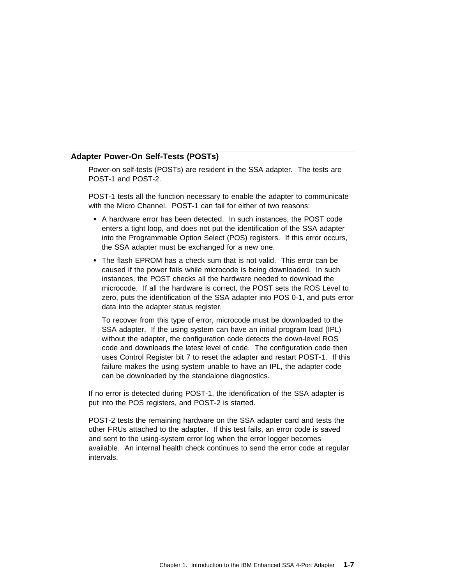#### **Adapter Power-On Self-Tests (POSTs)**

Power-on self-tests (POSTs) are resident in the SSA adapter. The tests are POST-1 and POST-2.

POST-1 tests all the function necessary to enable the adapter to communicate with the Micro Channel. POST-1 can fail for either of two reasons:

- A hardware error has been detected. In such instances, the POST code enters a tight loop, and does not put the identification of the SSA adapter into the Programmable Option Select (POS) registers. If this error occurs, the SSA adapter must be exchanged for a new one.
- The flash EPROM has a check sum that is not valid. This error can be caused if the power fails while microcode is being downloaded. In such instances, the POST checks all the hardware needed to download the microcode. If all the hardware is correct, the POST sets the ROS Level to zero, puts the identification of the SSA adapter into POS 0-1, and puts error data into the adapter status register.

To recover from this type of error, microcode must be downloaded to the SSA adapter. If the using system can have an initial program load (IPL) without the adapter, the configuration code detects the down-level ROS code and downloads the latest level of code. The configuration code then uses Control Register bit 7 to reset the adapter and restart POST-1. If this failure makes the using system unable to have an IPL, the adapter code can be downloaded by the standalone diagnostics.

If no error is detected during POST-1, the identification of the SSA adapter is put into the POS registers, and POST-2 is started.

POST-2 tests the remaining hardware on the SSA adapter card and tests the other FRUs attached to the adapter. If this test fails, an error code is saved and sent to the using-system error log when the error logger becomes available. An internal health check continues to send the error code at regular intervals.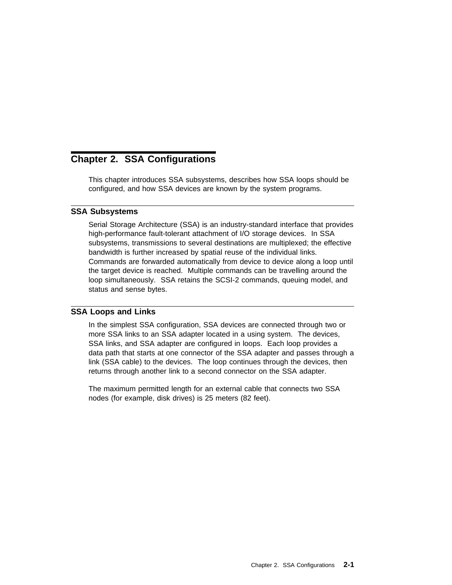# **Chapter 2. SSA Configurations**

This chapter introduces SSA subsystems, describes how SSA loops should be configured, and how SSA devices are known by the system programs.

#### **SSA Subsystems**

Serial Storage Architecture (SSA) is an industry-standard interface that provides high-performance fault-tolerant attachment of I/O storage devices. In SSA subsystems, transmissions to several destinations are multiplexed; the effective bandwidth is further increased by spatial reuse of the individual links. Commands are forwarded automatically from device to device along a loop until the target device is reached. Multiple commands can be travelling around the loop simultaneously. SSA retains the SCSI-2 commands, queuing model, and status and sense bytes.

#### **SSA Loops and Links**

In the simplest SSA configuration, SSA devices are connected through two or more SSA links to an SSA adapter located in a using system. The devices, SSA links, and SSA adapter are configured in loops. Each loop provides a data path that starts at one connector of the SSA adapter and passes through a link (SSA cable) to the devices. The loop continues through the devices, then returns through another link to a second connector on the SSA adapter.

The maximum permitted length for an external cable that connects two SSA nodes (for example, disk drives) is 25 meters (82 feet).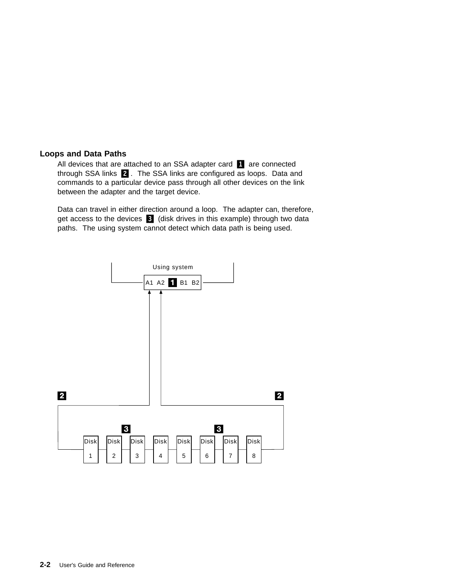#### **Loops and Data Paths**

All devices that are attached to an SSA adapter card **1** are connected through SSA links  $\overline{2}$ . The SSA links are configured as loops. Data and commands to a particular device pass through all other devices on the link between the adapter and the target device.

Data can travel in either direction around a loop. The adapter can, therefore, get access to the devices **3** (disk drives in this example) through two data paths. The using system cannot detect which data path is being used.

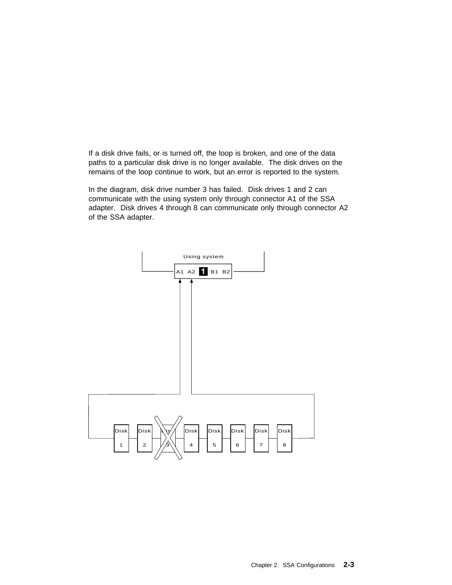If a disk drive fails, or is turned off, the loop is broken, and one of the data paths to a particular disk drive is no longer available. The disk drives on the remains of the loop continue to work, but an error is reported to the system.

In the diagram, disk drive number 3 has failed. Disk drives 1 and 2 can communicate with the using system only through connector A1 of the SSA adapter. Disk drives 4 through 8 can communicate only through connector A2 of the SSA adapter.

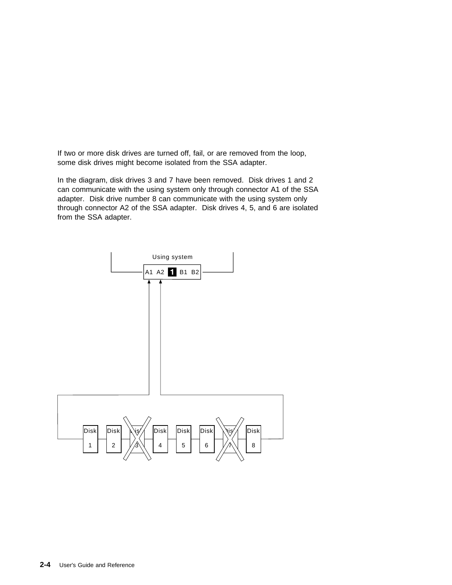If two or more disk drives are turned off, fail, or are removed from the loop, some disk drives might become isolated from the SSA adapter.

In the diagram, disk drives 3 and 7 have been removed. Disk drives 1 and 2 can communicate with the using system only through connector A1 of the SSA adapter. Disk drive number 8 can communicate with the using system only through connector A2 of the SSA adapter. Disk drives 4, 5, and 6 are isolated from the SSA adapter.

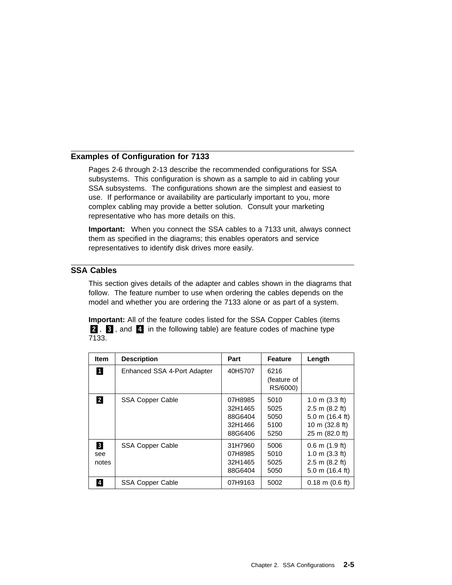#### **Examples of Configuration for 7133**

Pages 2-6 through 2-13 describe the recommended configurations for SSA subsystems. This configuration is shown as a sample to aid in cabling your SSA subsystems. The configurations shown are the simplest and easiest to use. If performance or availability are particularly important to you, more complex cabling may provide a better solution. Consult your marketing representative who has more details on this.

**Important:** When you connect the SSA cables to a 7133 unit, always connect them as specified in the diagrams; this enables operators and service representatives to identify disk drives more easily.

#### **SSA Cables**

This section gives details of the adapter and cables shown in the diagrams that follow. The feature number to use when ordering the cables depends on the model and whether you are ordering the 7133 alone or as part of a system.

**Important:** All of the feature codes listed for the SSA Copper Cables (items **2**, **8**, and **4** in the following table) are feature codes of machine type 7133.

| <b>Item</b>       | <b>Description</b>          | Part                                                | <b>Feature</b>                       | Length                                                                                                          |
|-------------------|-----------------------------|-----------------------------------------------------|--------------------------------------|-----------------------------------------------------------------------------------------------------------------|
| О                 | Enhanced SSA 4-Port Adapter | 40H5707                                             | 6216<br>(feature of<br>RS/6000)      |                                                                                                                 |
| 2                 | <b>SSA Copper Cable</b>     | 07H8985<br>32H1465<br>88G6404<br>32H1466<br>88G6406 | 5010<br>5025<br>5050<br>5100<br>5250 | $1.0 \text{ m}$ (3.3 ft)<br>$2.5$ m $(8.2$ ft)<br>5.0 m $(16.4 \text{ ft})$<br>10 m (32.8 ft)<br>25 m (82.0 ft) |
| 3<br>see<br>notes | <b>SSA Copper Cable</b>     | 31H7960<br>07H8985<br>32H1465<br>88G6404            | 5006<br>5010<br>5025<br>5050         | $0.6$ m $(1.9$ ft)<br>$1.0 \text{ m}$ (3.3 ft)<br>$2.5 \text{ m}$ (8.2 ft)<br>$5.0 \text{ m}$ (16.4 ft)         |
| 4                 | <b>SSA Copper Cable</b>     | 07H9163                                             | 5002                                 | $0.18 \text{ m}$ (0.6 ft)                                                                                       |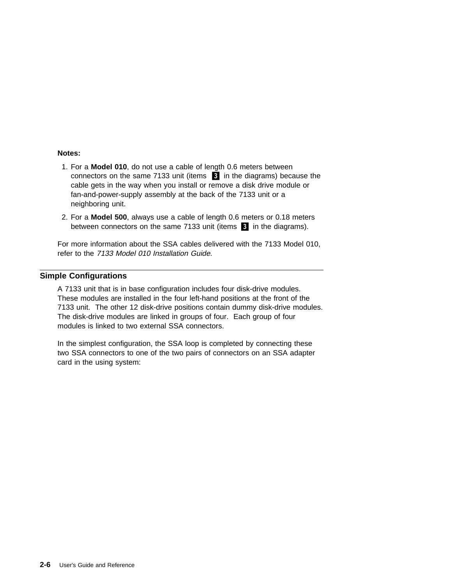#### **Notes:**

- 1. For a **Model 010**, do not use a cable of length 0.6 meters between connectors on the same 7133 unit (items  $\Box$  in the diagrams) because the cable gets in the way when you install or remove a disk drive module or fan-and-power-supply assembly at the back of the 7133 unit or a neighboring unit.
- 2. For a **Model 500**, always use a cable of length 0.6 meters or 0.18 meters between connectors on the same 7133 unit (items  $\epsilon$  in the diagrams).

For more information about the SSA cables delivered with the 7133 Model 010, refer to the 7133 Model 010 Installation Guide.

#### **Simple Configurations**

A 7133 unit that is in base configuration includes four disk-drive modules. These modules are installed in the four left-hand positions at the front of the 7133 unit. The other 12 disk-drive positions contain dummy disk-drive modules. The disk-drive modules are linked in groups of four. Each group of four modules is linked to two external SSA connectors.

In the simplest configuration, the SSA loop is completed by connecting these two SSA connectors to one of the two pairs of connectors on an SSA adapter card in the using system: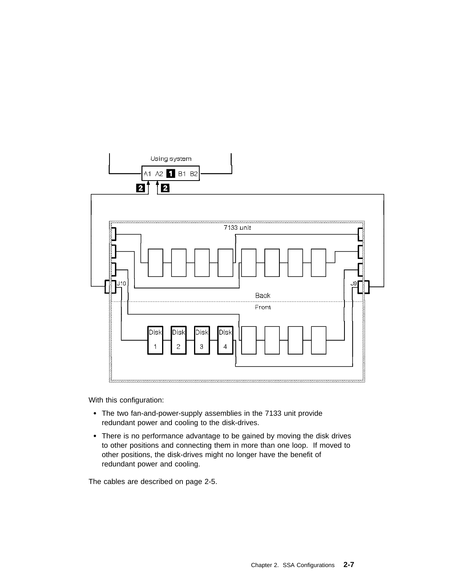

With this configuration:

- The two fan-and-power-supply assemblies in the 7133 unit provide redundant power and cooling to the disk-drives.
- There is no performance advantage to be gained by moving the disk drives to other positions and connecting them in more than one loop. If moved to other positions, the disk-drives might no longer have the benefit of redundant power and cooling.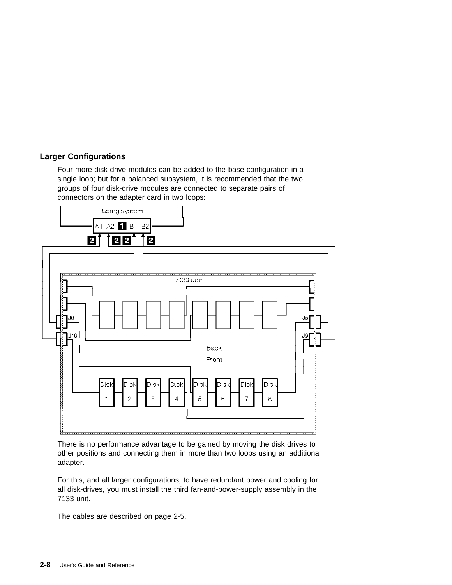#### **Larger Configurations**

Four more disk-drive modules can be added to the base configuration in a single loop; but for a balanced subsystem, it is recommended that the two groups of four disk-drive modules are connected to separate pairs of connectors on the adapter card in two loops:



There is no performance advantage to be gained by moving the disk drives to other positions and connecting them in more than two loops using an additional adapter.

For this, and all larger configurations, to have redundant power and cooling for all disk-drives, you must install the third fan-and-power-supply assembly in the 7133 unit.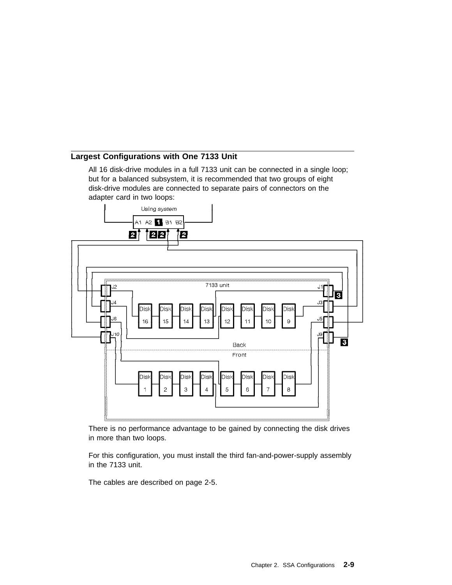#### **Largest Configurations with One 7133 Unit**

All 16 disk-drive modules in a full 7133 unit can be connected in a single loop; but for a balanced subsystem, it is recommended that two groups of eight disk-drive modules are connected to separate pairs of connectors on the adapter card in two loops:



There is no performance advantage to be gained by connecting the disk drives in more than two loops.

For this configuration, you must install the third fan-and-power-supply assembly in the 7133 unit.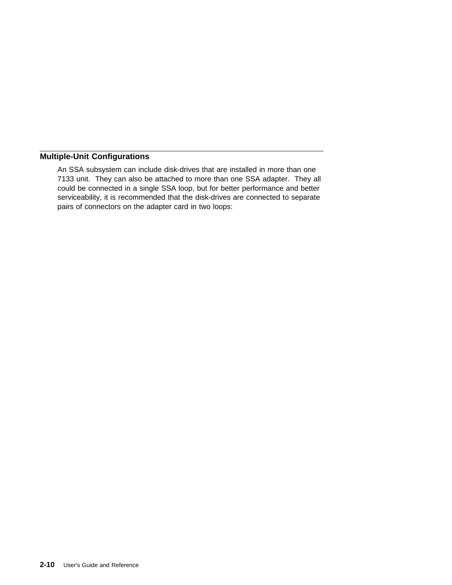## **Multiple-Unit Configurations**

An SSA subsystem can include disk-drives that are installed in more than one 7133 unit. They can also be attached to more than one SSA adapter. They all could be connected in a single SSA loop, but for better performance and better serviceability, it is recommended that the disk-drives are connected to separate pairs of connectors on the adapter card in two loops: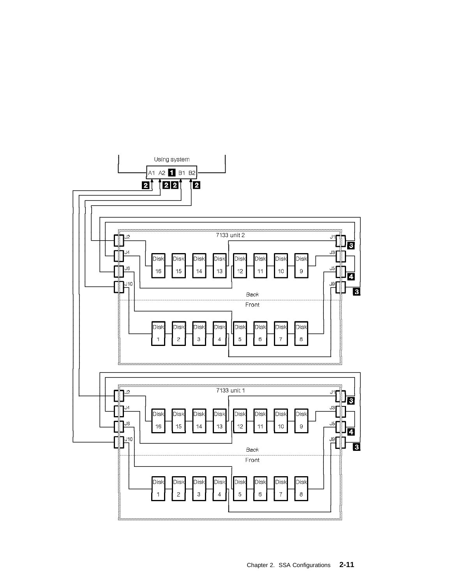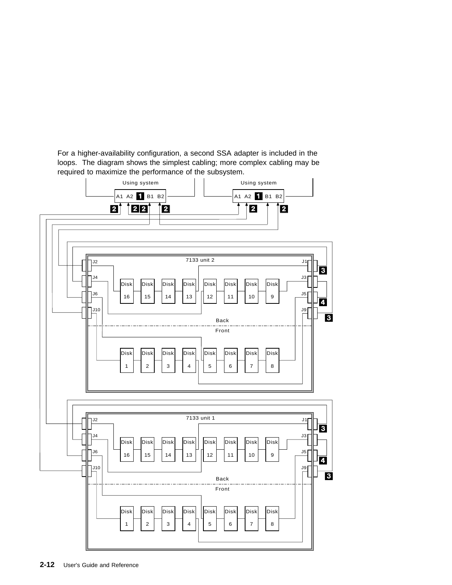For a higher-availability configuration, a second SSA adapter is included in the loops. The diagram shows the simplest cabling; more complex cabling may be required to maximize the performance of the subsystem.

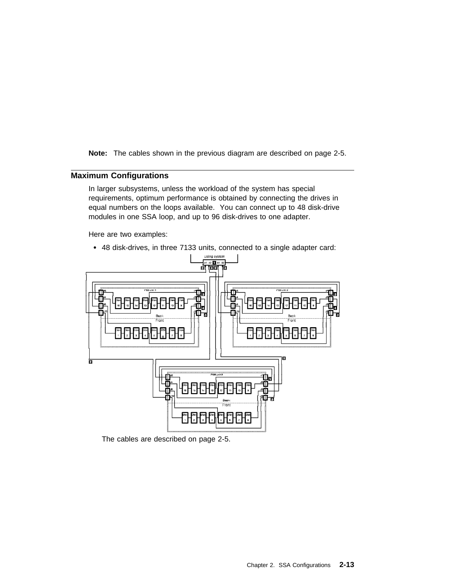**Note:** The cables shown in the previous diagram are described on page 2-5.

#### **Maximum Configurations**

In larger subsystems, unless the workload of the system has special requirements, optimum performance is obtained by connecting the drives in equal numbers on the loops available. You can connect up to 48 disk-drive modules in one SSA loop, and up to 96 disk-drives to one adapter.

Here are two examples:

48 disk-drives, in three 7133 units, connected to a single adapter card:

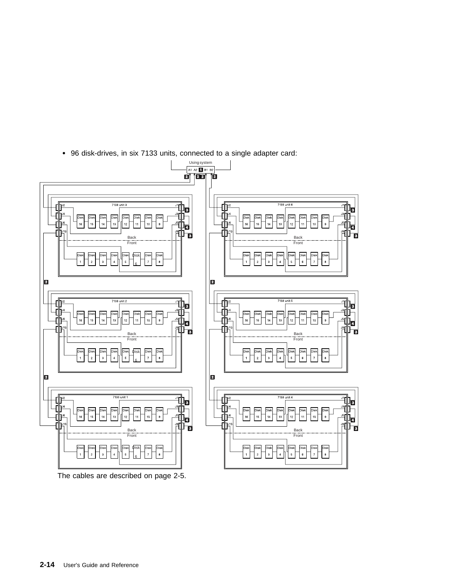96 disk-drives, in six 7133 units, connected to a single adapter card:



The cables are described on page 2-5.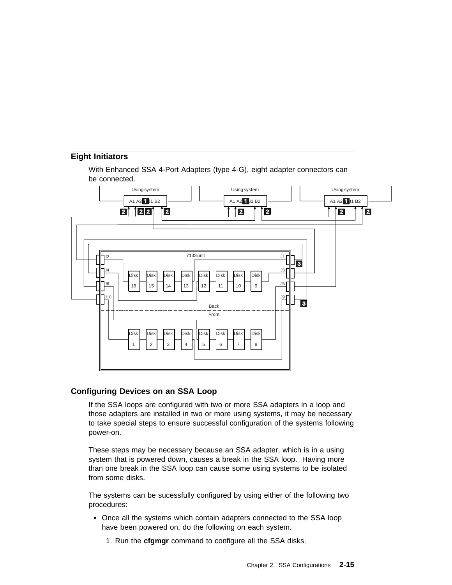#### **Eight Initiators**

With Enhanced SSA 4-Port Adapters (type 4-G), eight adapter connectors can be connected.



#### **Configuring Devices on an SSA Loop**

If the SSA loops are configured with two or more SSA adapters in a loop and those adapters are installed in two or more using systems, it may be necessary to take special steps to ensure successful configuration of the systems following power-on.

These steps may be necessary because an SSA adapter, which is in a using system that is powered down, causes a break in the SSA loop. Having more than one break in the SSA loop can cause some using systems to be isolated from some disks.

The systems can be sucessfully configured by using either of the following two procedures:

- Once all the systems which contain adapters connected to the SSA loop have been powered on, do the following on each system.
	- 1. Run the **cfgmgr** command to configure all the SSA disks.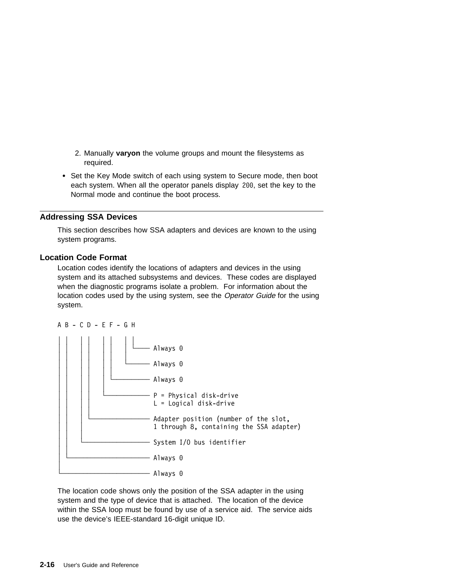- 2. Manually **varyon** the volume groups and mount the filesystems as required.
- Set the Key Mode switch of each using system to Secure mode, then boot each system. When all the operator panels display 2ðð, set the key to the Normal mode and continue the boot process.

#### **Addressing SSA Devices**

This section describes how SSA adapters and devices are known to the using system programs.

#### **Location Code Format**

Location codes identify the locations of adapters and devices in the using system and its attached subsystems and devices. These codes are displayed when the diagnostic programs isolate a problem. For information about the location codes used by the using system, see the Operator Guide for the using system.



The location code shows only the position of the SSA adapter in the using system and the type of device that is attached. The location of the device within the SSA loop must be found by use of a service aid. The service aids use the device's IEEE-standard 16-digit unique ID.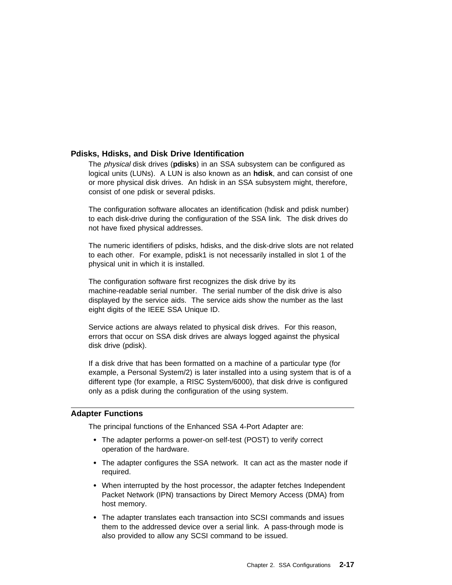#### **Pdisks, Hdisks, and Disk Drive Identification**

The physical disk drives (**pdisks**) in an SSA subsystem can be configured as logical units (LUNs). A LUN is also known as an **hdisk**, and can consist of one or more physical disk drives. An hdisk in an SSA subsystem might, therefore, consist of one pdisk or several pdisks.

The configuration software allocates an identification (hdisk and pdisk number) to each disk-drive during the configuration of the SSA link. The disk drives do not have fixed physical addresses.

The numeric identifiers of pdisks, hdisks, and the disk-drive slots are not related to each other. For example, pdisk1 is not necessarily installed in slot 1 of the physical unit in which it is installed.

The configuration software first recognizes the disk drive by its machine-readable serial number. The serial number of the disk drive is also displayed by the service aids. The service aids show the number as the last eight digits of the IEEE SSA Unique ID.

Service actions are always related to physical disk drives. For this reason, errors that occur on SSA disk drives are always logged against the physical disk drive (pdisk).

If a disk drive that has been formatted on a machine of a particular type (for example, a Personal System/2) is later installed into a using system that is of a different type (for example, a RISC System/6000), that disk drive is configured only as a pdisk during the configuration of the using system.

#### **Adapter Functions**

The principal functions of the Enhanced SSA 4-Port Adapter are:

- The adapter performs a power-on self-test (POST) to verify correct operation of the hardware.
- The adapter configures the SSA network. It can act as the master node if required.
- When interrupted by the host processor, the adapter fetches Independent Packet Network (IPN) transactions by Direct Memory Access (DMA) from host memory.
- The adapter translates each transaction into SCSI commands and issues them to the addressed device over a serial link. A pass-through mode is also provided to allow any SCSI command to be issued.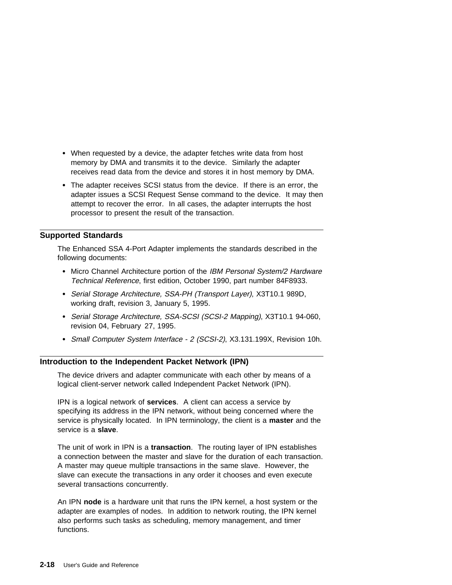- When requested by a device, the adapter fetches write data from host memory by DMA and transmits it to the device. Similarly the adapter receives read data from the device and stores it in host memory by DMA.
- The adapter receives SCSI status from the device. If there is an error, the adapter issues a SCSI Request Sense command to the device. It may then attempt to recover the error. In all cases, the adapter interrupts the host processor to present the result of the transaction.

#### **Supported Standards**

The Enhanced SSA 4-Port Adapter implements the standards described in the following documents:

- Micro Channel Architecture portion of the IBM Personal System/2 Hardware Technical Reference, first edition, October 1990, part number 84F8933.
- Serial Storage Architecture, SSA-PH (Transport Layer), X3T10.1 989D, working draft, revision 3, January 5, 1995.
- Serial Storage Architecture, SSA-SCSI (SCSI-2 Mapping), X3T10.1 94-060, revision 04, February 27, 1995.
- Small Computer System Interface 2 (SCSI-2), X3.131.199X, Revision 10h.

#### **Introduction to the Independent Packet Network (IPN)**

The device drivers and adapter communicate with each other by means of a logical client-server network called Independent Packet Network (IPN).

IPN is a logical network of **services**. A client can access a service by specifying its address in the IPN network, without being concerned where the service is physically located. In IPN terminology, the client is a **master** and the service is a **slave**.

The unit of work in IPN is a **transaction**. The routing layer of IPN establishes a connection between the master and slave for the duration of each transaction. A master may queue multiple transactions in the same slave. However, the slave can execute the transactions in any order it chooses and even execute several transactions concurrently.

An IPN **node** is a hardware unit that runs the IPN kernel, a host system or the adapter are examples of nodes. In addition to network routing, the IPN kernel also performs such tasks as scheduling, memory management, and timer functions.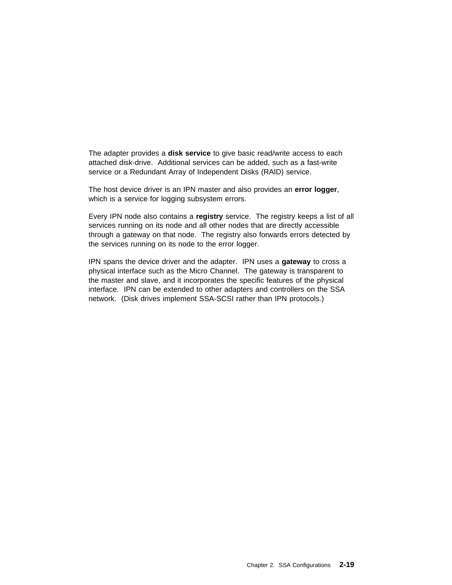The adapter provides a **disk service** to give basic read/write access to each attached disk-drive. Additional services can be added, such as a fast-write service or a Redundant Array of Independent Disks (RAID) service.

The host device driver is an IPN master and also provides an **error logger**, which is a service for logging subsystem errors.

Every IPN node also contains a **registry** service. The registry keeps a list of all services running on its node and all other nodes that are directly accessible through a gateway on that node. The registry also forwards errors detected by the services running on its node to the error logger.

IPN spans the device driver and the adapter. IPN uses a **gateway** to cross a physical interface such as the Micro Channel. The gateway is transparent to the master and slave, and it incorporates the specific features of the physical interface. IPN can be extended to other adapters and controllers on the SSA network. (Disk drives implement SSA-SCSI rather than IPN protocols.)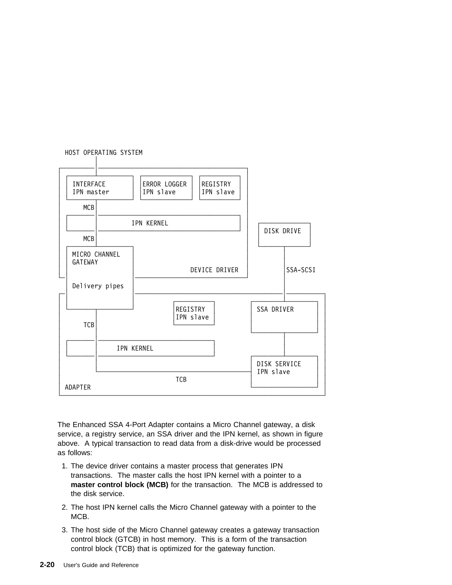

The Enhanced SSA 4-Port Adapter contains a Micro Channel gateway, a disk service, a registry service, an SSA driver and the IPN kernel, as shown in figure above. A typical transaction to read data from a disk-drive would be processed as follows:

- 1. The device driver contains a master process that generates IPN transactions. The master calls the host IPN kernel with a pointer to a **master control block (MCB)** for the transaction. The MCB is addressed to the disk service.
- 2. The host IPN kernel calls the Micro Channel gateway with a pointer to the MCB.
- 3. The host side of the Micro Channel gateway creates a gateway transaction control block (GTCB) in host memory. This is a form of the transaction control block (TCB) that is optimized for the gateway function.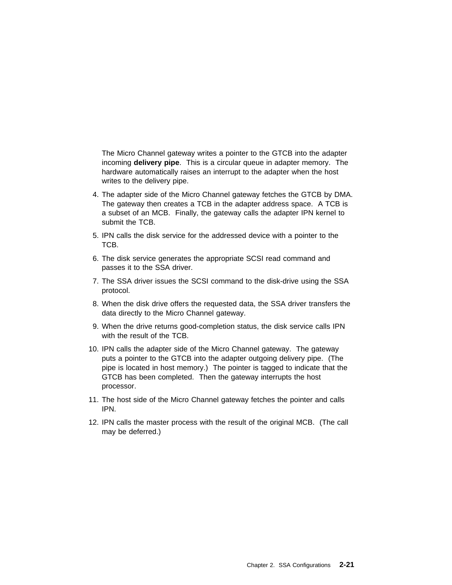The Micro Channel gateway writes a pointer to the GTCB into the adapter incoming **delivery pipe**. This is a circular queue in adapter memory. The hardware automatically raises an interrupt to the adapter when the host writes to the delivery pipe.

- 4. The adapter side of the Micro Channel gateway fetches the GTCB by DMA. The gateway then creates a TCB in the adapter address space. A TCB is a subset of an MCB. Finally, the gateway calls the adapter IPN kernel to submit the TCB.
- 5. IPN calls the disk service for the addressed device with a pointer to the TCB.
- 6. The disk service generates the appropriate SCSI read command and passes it to the SSA driver.
- 7. The SSA driver issues the SCSI command to the disk-drive using the SSA protocol.
- 8. When the disk drive offers the requested data, the SSA driver transfers the data directly to the Micro Channel gateway.
- 9. When the drive returns good-completion status, the disk service calls IPN with the result of the TCB.
- 10. IPN calls the adapter side of the Micro Channel gateway. The gateway puts a pointer to the GTCB into the adapter outgoing delivery pipe. (The pipe is located in host memory.) The pointer is tagged to indicate that the GTCB has been completed. Then the gateway interrupts the host processor.
- 11. The host side of the Micro Channel gateway fetches the pointer and calls IPN.
- 12. IPN calls the master process with the result of the original MCB. (The call may be deferred.)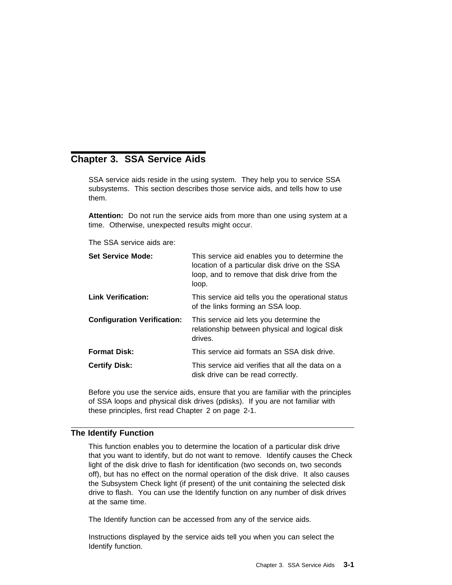# **Chapter 3. SSA Service Aids**

SSA service aids reside in the using system. They help you to service SSA subsystems. This section describes those service aids, and tells how to use them.

**Attention:** Do not run the service aids from more than one using system at a time. Otherwise, unexpected results might occur.

The SSA service aids are:

| <b>Set Service Mode:</b>           | This service aid enables you to determine the<br>location of a particular disk drive on the SSA<br>loop, and to remove that disk drive from the<br>loop. |
|------------------------------------|----------------------------------------------------------------------------------------------------------------------------------------------------------|
| <b>Link Verification:</b>          | This service aid tells you the operational status<br>of the links forming an SSA loop.                                                                   |
| <b>Configuration Verification:</b> | This service aid lets you determine the<br>relationship between physical and logical disk<br>drives.                                                     |
| <b>Format Disk:</b>                | This service aid formats an SSA disk drive.                                                                                                              |
| <b>Certify Disk:</b>               | This service aid verifies that all the data on a<br>disk drive can be read correctly.                                                                    |

Before you use the service aids, ensure that you are familiar with the principles of SSA loops and physical disk drives (pdisks). If you are not familiar with these principles, first read Chapter 2 on page 2-1.

## **The Identify Function**

This function enables you to determine the location of a particular disk drive that you want to identify, but do not want to remove. Identify causes the Check light of the disk drive to flash for identification (two seconds on, two seconds off), but has no effect on the normal operation of the disk drive. It also causes the Subsystem Check light (if present) of the unit containing the selected disk drive to flash. You can use the Identify function on any number of disk drives at the same time.

The Identify function can be accessed from any of the service aids.

Instructions displayed by the service aids tell you when you can select the Identify function.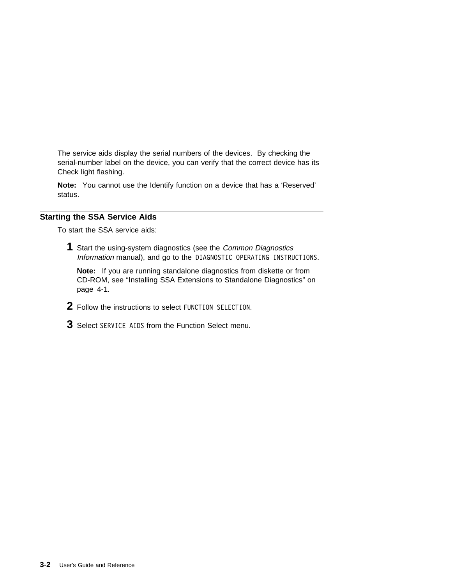The service aids display the serial numbers of the devices. By checking the serial-number label on the device, you can verify that the correct device has its Check light flashing.

**Note:** You cannot use the Identify function on a device that has a 'Reserved' status.

## **Starting the SSA Service Aids**

To start the SSA service aids:

**1** Start the using-system diagnostics (see the Common Diagnostics Information manual), and go to the DIAGNOSTIC OPERATING INSTRUCTIONS.

**Note:** If you are running standalone diagnostics from diskette or from CD-ROM, see "Installing SSA Extensions to Standalone Diagnostics" on page 4-1.

- **2** Follow the instructions to select FUNCTION SELECTION.
- **3** Select SERVICE AIDS from the Function Select menu.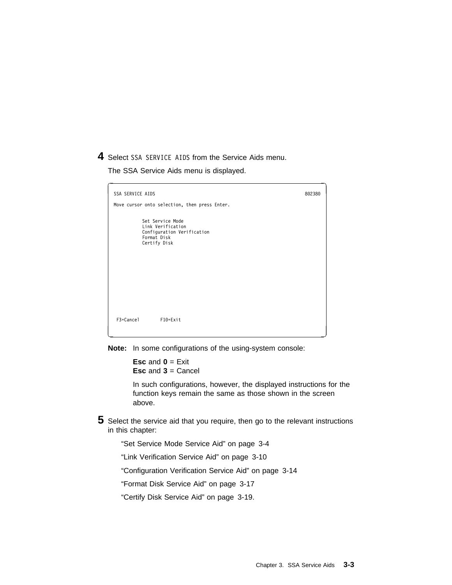**4** Select SSA SERVICE AIDS from the Service Aids menu.

The SSA Service Aids menu is displayed.



**Note:** In some configurations of the using-system console:

**Esc** and **0** = Exit **Esc** and **3** = Cancel

In such configurations, however, the displayed instructions for the function keys remain the same as those shown in the screen above.

- **5** Select the service aid that you require, then go to the relevant instructions in this chapter:
	- "Set Service Mode Service Aid" on page 3-4

"Link Verification Service Aid" on page 3-10

"Configuration Verification Service Aid" on page 3-14

"Format Disk Service Aid" on page 3-17

"Certify Disk Service Aid" on page 3-19.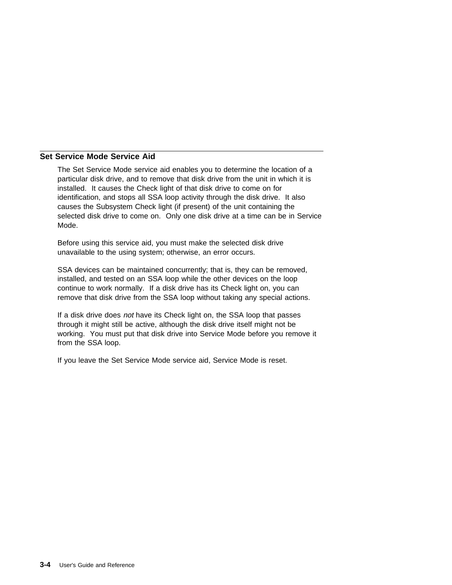## **Set Service Mode Service Aid**

The Set Service Mode service aid enables you to determine the location of a particular disk drive, and to remove that disk drive from the unit in which it is installed. It causes the Check light of that disk drive to come on for identification, and stops all SSA loop activity through the disk drive. It also causes the Subsystem Check light (if present) of the unit containing the selected disk drive to come on. Only one disk drive at a time can be in Service Mode.

Before using this service aid, you must make the selected disk drive unavailable to the using system; otherwise, an error occurs.

SSA devices can be maintained concurrently; that is, they can be removed, installed, and tested on an SSA loop while the other devices on the loop continue to work normally. If a disk drive has its Check light on, you can remove that disk drive from the SSA loop without taking any special actions.

If a disk drive does not have its Check light on, the SSA loop that passes through it might still be active, although the disk drive itself might not be working. You must put that disk drive into Service Mode before you remove it from the SSA loop.

If you leave the Set Service Mode service aid, Service Mode is reset.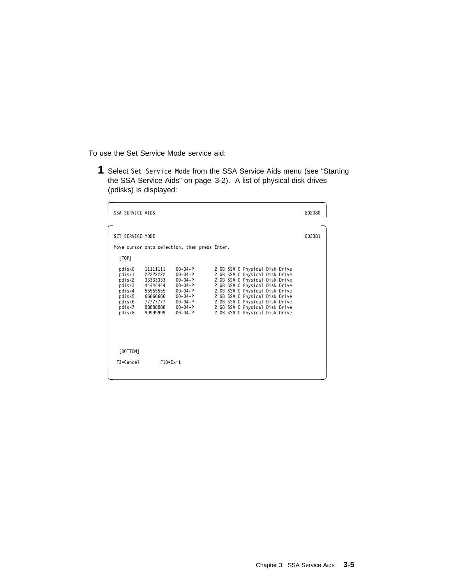To use the Set Service Mode service aid:

**1** Select Set Service Mode from the SSA Service Aids menu (see "Starting the SSA Service Aids" on page 3-2). A list of physical disk drives (pdisks) is displayed:

| <b>SSA SERVICE AIDS</b>                                                                |                                                                                                         |                                                                                                                                                       |                                                                                                                                                                                                                                                                                                                | 802380 |
|----------------------------------------------------------------------------------------|---------------------------------------------------------------------------------------------------------|-------------------------------------------------------------------------------------------------------------------------------------------------------|----------------------------------------------------------------------------------------------------------------------------------------------------------------------------------------------------------------------------------------------------------------------------------------------------------------|--------|
| SET SERVICE MODE                                                                       |                                                                                                         |                                                                                                                                                       |                                                                                                                                                                                                                                                                                                                | 802381 |
|                                                                                        |                                                                                                         | Move cursor onto selection, then press Enter.                                                                                                         |                                                                                                                                                                                                                                                                                                                |        |
| [TOP]                                                                                  |                                                                                                         |                                                                                                                                                       |                                                                                                                                                                                                                                                                                                                |        |
| pdisk0<br>pdisk1<br>pdisk2<br>pdisk3<br>pdisk4<br>pdisk5<br>pdisk6<br>pdisk7<br>pdisk8 | 11111111<br>22222222<br>33333333<br>44444444<br>55555555<br>6666666<br>77777777<br>88888888<br>99999999 | $00 - 04 - P$<br>$00 - 04 - P$<br>$00 - 04 - P$<br>$00 - 04 - P$<br>$00 - 04 - P$<br>$00 - 04 - P$<br>$00 - 04 - P$<br>$00 - 04 - P$<br>$00 - 04 - P$ | 2 GB SSA C Physical Disk Drive<br>2 GB SSA C Physical Disk Drive<br>2 GB SSA C Physical Disk Drive<br>2 GB SSA C Physical Disk Drive<br>2 GB SSA C Physical Disk Drive<br>2 GB SSA C Physical Disk Drive<br>2 GB SSA C Physical Disk Drive<br>2 GB SSA C Physical Disk Drive<br>2 GB SSA C Physical Disk Drive |        |
| [BOTTOM]                                                                               |                                                                                                         |                                                                                                                                                       |                                                                                                                                                                                                                                                                                                                |        |
| $F3 = Cancel$                                                                          | $F10 = Exit$                                                                                            |                                                                                                                                                       |                                                                                                                                                                                                                                                                                                                |        |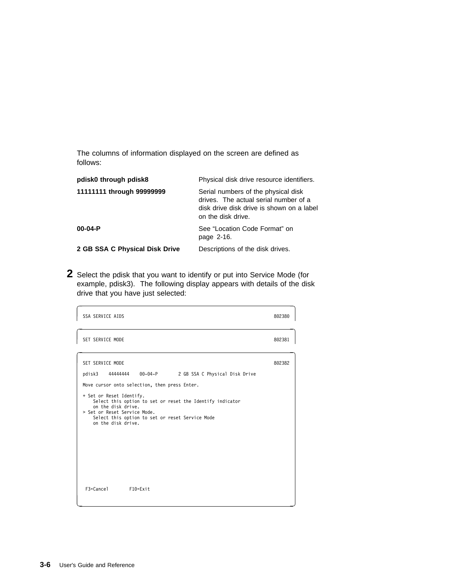The columns of information displayed on the screen are defined as follows:

| pdisk0 through pdisk8          | Physical disk drive resource identifiers.                                                                                                       |
|--------------------------------|-------------------------------------------------------------------------------------------------------------------------------------------------|
| 11111111 through 99999999      | Serial numbers of the physical disk<br>drives. The actual serial number of a<br>disk drive disk drive is shown on a label<br>on the disk drive. |
| $00-04-P$                      | See "Location Code Format" on<br>page 2-16.                                                                                                     |
| 2 GB SSA C Physical Disk Drive | Descriptions of the disk drives.                                                                                                                |

**2** Select the pdisk that you want to identify or put into Service Mode (for example, pdisk3). The following display appears with details of the disk drive that you have just selected:

| SSA SERVICE AIDS                                                                                                                                                                                                                                                                                                                                       | 802380 |
|--------------------------------------------------------------------------------------------------------------------------------------------------------------------------------------------------------------------------------------------------------------------------------------------------------------------------------------------------------|--------|
| SET SERVICE MODE                                                                                                                                                                                                                                                                                                                                       | 802381 |
| SET SERVICE MODE<br>44444444 00-04-P 2 GB SSA C Physical Disk Drive<br>pdisk3<br>Move cursor onto selection, then press Enter.<br>+ Set or Reset Identify.<br>Select this option to set or reset the Identify indicator<br>on the disk drive.<br>> Set or Reset Service Mode.<br>Select this option to set or reset Service Mode<br>on the disk drive. | 802382 |
| $F3 = Cancel$<br>$F10 = Exit$                                                                                                                                                                                                                                                                                                                          |        |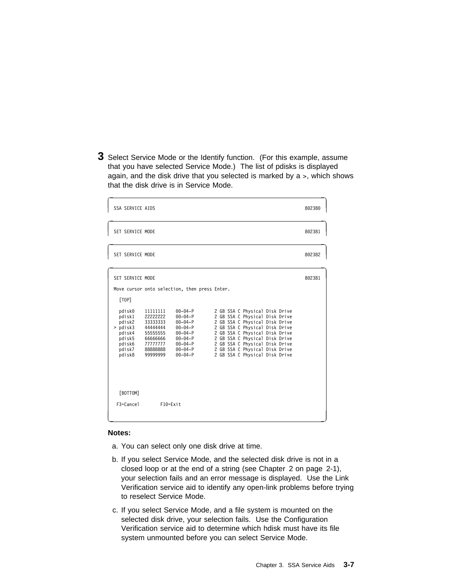**3** Select Service Mode or the Identify function. (For this example, assume that you have selected Service Mode.) The list of pdisks is displayed again, and the disk drive that you selected is marked by a >, which shows that the disk drive is in Service Mode.

| SSA SERVICE AIDS                                                                                  |                                                                                                         |                                                                                                                                                                                                        |                                                                                                                                                                                                                                                                                                                | 802380 |
|---------------------------------------------------------------------------------------------------|---------------------------------------------------------------------------------------------------------|--------------------------------------------------------------------------------------------------------------------------------------------------------------------------------------------------------|----------------------------------------------------------------------------------------------------------------------------------------------------------------------------------------------------------------------------------------------------------------------------------------------------------------|--------|
| SET SERVICE MODE                                                                                  |                                                                                                         |                                                                                                                                                                                                        |                                                                                                                                                                                                                                                                                                                | 802381 |
| SET SERVICE MODE                                                                                  |                                                                                                         |                                                                                                                                                                                                        |                                                                                                                                                                                                                                                                                                                | 802382 |
| SET SERVICE MODE                                                                                  |                                                                                                         |                                                                                                                                                                                                        |                                                                                                                                                                                                                                                                                                                | 802381 |
| [TOP]<br>pdisk0<br>pdisk1<br>pdisk2<br>> pdisk3<br>pdisk4<br>pdisk5<br>pdisk6<br>pdisk7<br>pdisk8 | 11111111<br>22222222<br>33333333<br>44444444<br>55555555<br>6666666<br>77777777<br>88888888<br>99999999 | Move cursor onto selection, then press Enter.<br>$00 - 04 - P$<br>$00 - 04 - P$<br>$00 - 04 - P$<br>$00 - 04 - P$<br>$00 - 04 - P$<br>$00 - 04 - P$<br>$00 - 04 - P$<br>$00 - 04 - P$<br>$00 - 04 - P$ | 2 GB SSA C Physical Disk Drive<br>2 GB SSA C Physical Disk Drive<br>2 GB SSA C Physical Disk Drive<br>2 GB SSA C Physical Disk Drive<br>2 GB SSA C Physical Disk Drive<br>2 GB SSA C Physical Disk Drive<br>2 GB SSA C Physical Disk Drive<br>2 GB SSA C Physical Disk Drive<br>2 GB SSA C Physical Disk Drive |        |
| [BOTTOM]<br>$F3 =$ Cancel                                                                         | $F10 = Exit$                                                                                            |                                                                                                                                                                                                        |                                                                                                                                                                                                                                                                                                                |        |

#### **Notes:**

- a. You can select only one disk drive at time.
- b. If you select Service Mode, and the selected disk drive is not in a closed loop or at the end of a string (see Chapter 2 on page 2-1), your selection fails and an error message is displayed. Use the Link Verification service aid to identify any open-link problems before trying to reselect Service Mode.
- c. If you select Service Mode, and a file system is mounted on the selected disk drive, your selection fails. Use the Configuration Verification service aid to determine which hdisk must have its file system unmounted before you can select Service Mode.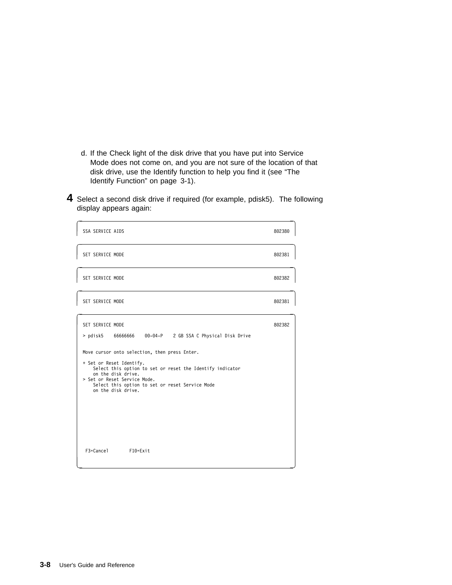- d. If the Check light of the disk drive that you have put into Service Mode does not come on, and you are not sure of the location of that disk drive, use the Identify function to help you find it (see "The Identify Function" on page 3-1).
- **4** Select a second disk drive if required (for example, pdisk5). The following display appears again:

| SSA SERVICE AIDS                                                                                                                                                                                                                                                      | 802380 |
|-----------------------------------------------------------------------------------------------------------------------------------------------------------------------------------------------------------------------------------------------------------------------|--------|
| SET SERVICE MODE                                                                                                                                                                                                                                                      | 802381 |
| SET SERVICE MODE                                                                                                                                                                                                                                                      | 802382 |
| SET SERVICE MODE                                                                                                                                                                                                                                                      | 802381 |
| SET SERVICE MODE<br>> pdisk5 66666666 00-04-P 2 GB SSA C Physical Disk Drive                                                                                                                                                                                          | 802382 |
| Move cursor onto selection, then press Enter.<br>+ Set or Reset Identify.<br>Select this option to set or reset the Identify indicator<br>on the disk drive.<br>> Set or Reset Service Mode.<br>Select this option to set or reset Service Mode<br>on the disk drive. |        |
| F3=Cancel<br>$F10 = Exit$                                                                                                                                                                                                                                             |        |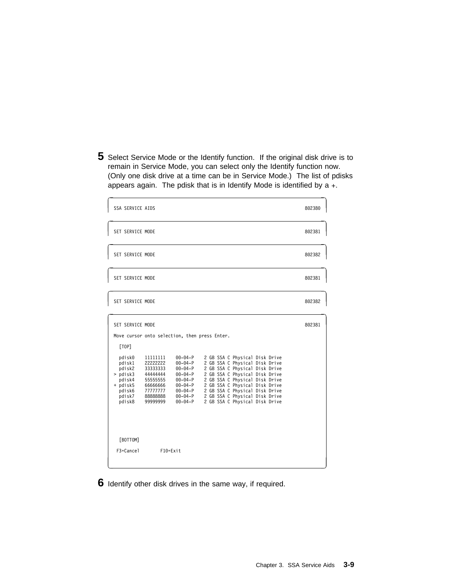**5** Select Service Mode or the Identify function. If the original disk drive is to remain in Service Mode, you can select only the Identify function now. (Only one disk drive at a time can be in Service Mode.) The list of pdisks appears again. The pdisk that is in Identify Mode is identified by a +.

| <b>SSA SERVICE AIDS</b>                                             |                                                                                               |                                                                                   |                                                                                                                                                                        | 802380 |
|---------------------------------------------------------------------|-----------------------------------------------------------------------------------------------|-----------------------------------------------------------------------------------|------------------------------------------------------------------------------------------------------------------------------------------------------------------------|--------|
| SET SERVICE MODE                                                    |                                                                                               |                                                                                   |                                                                                                                                                                        | 802381 |
| SET SERVICE MODE                                                    |                                                                                               |                                                                                   |                                                                                                                                                                        | 802382 |
| SET SERVICE MODE                                                    |                                                                                               |                                                                                   |                                                                                                                                                                        | 802381 |
| SET SERVICE MODE                                                    |                                                                                               |                                                                                   |                                                                                                                                                                        | 802382 |
| SET SERVICE MODE<br>[TOP]<br>pdisk0<br>pdisk1<br>pdisk2<br>> pdisk3 | Move cursor onto selection, then press Enter.<br>11111111<br>22222222<br>33333333<br>44444444 | $00 - 04 - P$<br>$00 - 04 - P$<br>$00 - 04 - P$<br>$00 - 04 - P$                  | 2 GB SSA C Physical Disk Drive<br>2 GB SSA C Physical Disk Drive<br>2 GB SSA C Physical Disk Drive<br>2 GB SSA C Physical Disk Drive                                   | 802381 |
| pdisk4<br>+ pdisk5<br>pdisk6<br>pdisk7<br>pdisk8                    | 55555555<br>6666666<br>77777777<br>88888888<br>99999999                                       | $00 - 04 - P$<br>$00 - 04 - P$<br>$00 - 04 - P$<br>$00 - 04 - P$<br>$00 - 04 - P$ | 2 GB SSA C Physical Disk Drive<br>2 GB SSA C Physical Disk Drive<br>2 GB SSA C Physical Disk Drive<br>2 GB SSA C Physical Disk Drive<br>2 GB SSA C Physical Disk Drive |        |
| [BOTTOM]                                                            |                                                                                               |                                                                                   |                                                                                                                                                                        |        |
| $F3 =$ Cancel                                                       | $F10 = Exit$                                                                                  |                                                                                   |                                                                                                                                                                        |        |

**6** Identify other disk drives in the same way, if required.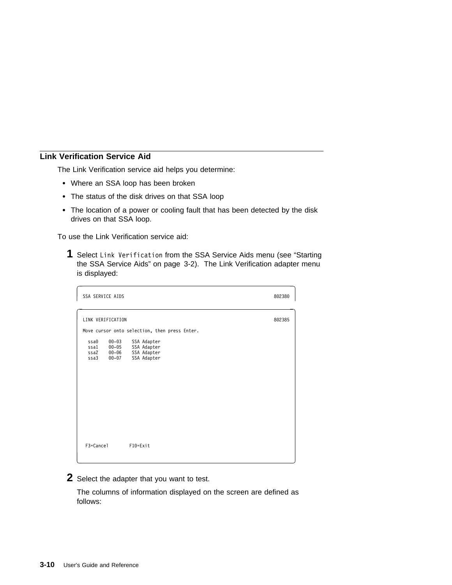## **Link Verification Service Aid**

The Link Verification service aid helps you determine:

- Where an SSA loop has been broken
- The status of the disk drives on that SSA loop
- The location of a power or cooling fault that has been detected by the disk drives on that SSA loop.

To use the Link Verification service aid:

**1** Select Link Verification from the SSA Service Aids menu (see "Starting the SSA Service Aids" on page 3-2). The Link Verification adapter menu is displayed:

| SSA SERVICE AIDS                                            |                                                          | 802380 |
|-------------------------------------------------------------|----------------------------------------------------------|--------|
| LINK VERIFICATION                                           | Move cursor onto selection, then press Enter.            | 802385 |
| $00 - 03$<br>ssa0<br>ssa1 00-05<br>ssa2 00-06<br>ssa3 00-07 | SSA Adapter<br>SSA Adapter<br>SSA Adapter<br>SSA Adapter |        |
| F3=Cancel                                                   | F10=Exit                                                 |        |

**2** Select the adapter that you want to test.

The columns of information displayed on the screen are defined as follows: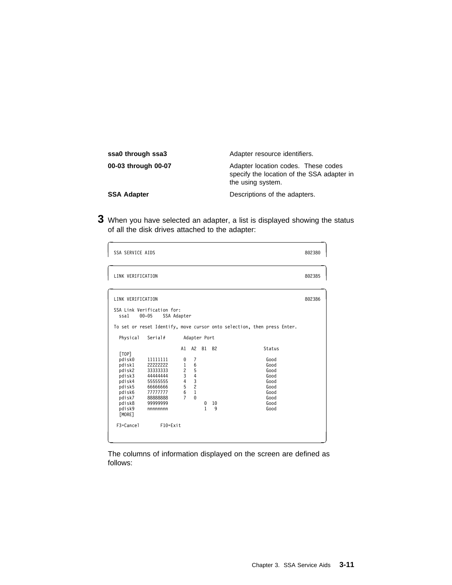| ssa0 through ssa3   | Adapter resource identifiers.                                                                          |
|---------------------|--------------------------------------------------------------------------------------------------------|
| 00-03 through 00-07 | Adapter location codes. These codes<br>specify the location of the SSA adapter in<br>the using system. |
| <b>SSA Adapter</b>  | Descriptions of the adapters.                                                                          |

**3** When you have selected an adapter, a list is displayed showing the status of all the disk drives attached to the adapter:

| <b>SSA SERVICE AIDS</b>                                                                                                          |                                                                                                                                |                                                                                 |                                                                                   |                                |                      |                                                                                        | 802380 |
|----------------------------------------------------------------------------------------------------------------------------------|--------------------------------------------------------------------------------------------------------------------------------|---------------------------------------------------------------------------------|-----------------------------------------------------------------------------------|--------------------------------|----------------------|----------------------------------------------------------------------------------------|--------|
| LINK VERIFICATION                                                                                                                |                                                                                                                                |                                                                                 |                                                                                   |                                |                      |                                                                                        | 802385 |
| LINK VERIFICATION<br>ssal<br>Physical                                                                                            | SSA Link Verification for:<br>$00 - 05$<br>SSA Adapter<br>Serial#                                                              |                                                                                 | Adapter Port                                                                      |                                |                      | To set or reset Identify, move cursor onto selection, then press Enter.                | 802386 |
| [TOP]<br>pdisk0<br>pdisk1<br>pdisk2<br>pdisk3<br>pdisk4<br>pdisk5<br>pdisk6<br>pdisk7<br>pdisk8<br>pdisk9<br>[MORE]<br>F3=Cancel | 11111111<br>22222222<br>33333333<br>44444444<br>55555555<br>6666666<br>77777777<br>88888888<br>99999999<br>nnnnnnn<br>F10=Exit | A1<br>0<br>$\mathbf{1}$<br>$\overline{c}$<br>3<br>4<br>5<br>6<br>$\overline{7}$ | A2<br>7<br>6<br>5<br>$\overline{4}$<br>3<br>$\overline{c}$<br>$\,1\,$<br>$\Theta$ | <b>B1</b><br>0<br>$\mathbf{1}$ | <b>B2</b><br>10<br>9 | Status<br>Good<br>Good<br>Good<br>Good<br>Good<br>Good<br>Good<br>Good<br>Good<br>Good |        |

The columns of information displayed on the screen are defined as follows: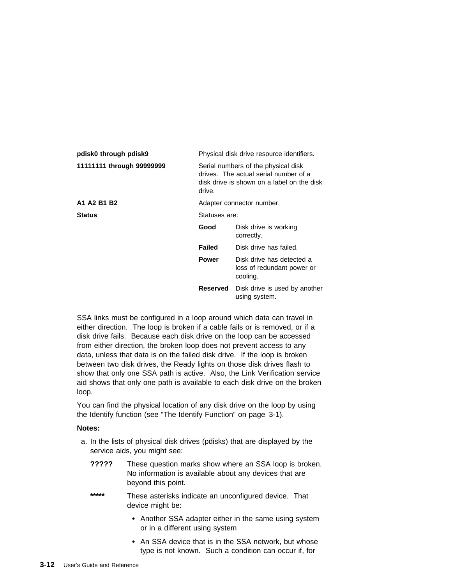| pdisk0 through pdisk9     | Physical disk drive resource identifiers. |                                                                                                                            |  |  |
|---------------------------|-------------------------------------------|----------------------------------------------------------------------------------------------------------------------------|--|--|
| 11111111 through 99999999 | drive.                                    | Serial numbers of the physical disk<br>drives. The actual serial number of a<br>disk drive is shown on a label on the disk |  |  |
| A1 A2 B1 B2               |                                           | Adapter connector number.                                                                                                  |  |  |
| <b>Status</b>             |                                           | Statuses are:                                                                                                              |  |  |
|                           | Good                                      | Disk drive is working<br>correctly.                                                                                        |  |  |
|                           | Failed                                    | Disk drive has failed.                                                                                                     |  |  |
|                           | <b>Power</b>                              | Disk drive has detected a<br>loss of redundant power or<br>cooling.                                                        |  |  |
|                           | Reserved                                  | Disk drive is used by another<br>using system.                                                                             |  |  |

SSA links must be configured in a loop around which data can travel in either direction. The loop is broken if a cable fails or is removed, or if a disk drive fails. Because each disk drive on the loop can be accessed from either direction, the broken loop does not prevent access to any data, unless that data is on the failed disk drive. If the loop is broken between two disk drives, the Ready lights on those disk drives flash to show that only one SSA path is active. Also, the Link Verification service aid shows that only one path is available to each disk drive on the broken loop.

You can find the physical location of any disk drive on the loop by using the Identify function (see "The Identify Function" on page 3-1).

### **Notes:**

- a. In the lists of physical disk drives (pdisks) that are displayed by the service aids, you might see:
	- **?????** These question marks show where an SSA loop is broken. No information is available about any devices that are beyond this point.
	- **\*\*\*\*\*** These asterisks indicate an unconfigured device. That device might be:
		- Another SSA adapter either in the same using system or in a different using system
		- An SSA device that is in the SSA network, but whose type is not known. Such a condition can occur if, for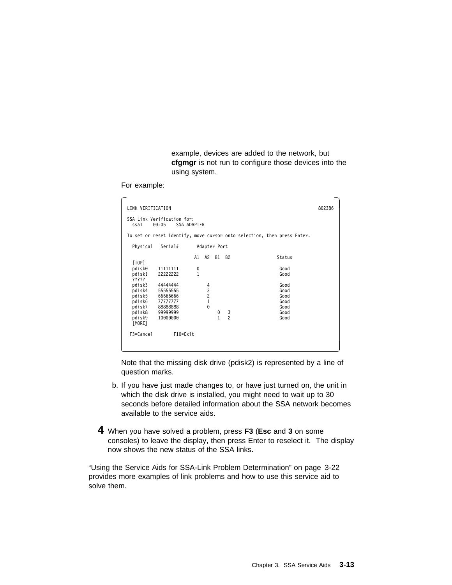example, devices are added to the network, but **cfgmgr** is not run to configure those devices into the using system.

For example:

| LINK VERIFICATION                  |                                                                         |        |                                                 |        |                     |                      | 802386 |
|------------------------------------|-------------------------------------------------------------------------|--------|-------------------------------------------------|--------|---------------------|----------------------|--------|
| ssa1                               | SSA Link Verification for:<br>SSA ADAPTER<br>$00 - 05$                  |        |                                                 |        |                     |                      |        |
|                                    | To set or reset Identify, move cursor onto selection, then press Enter. |        |                                                 |        |                     |                      |        |
| Physical                           | Serial#                                                                 |        | Adapter Port                                    |        |                     |                      |        |
|                                    |                                                                         |        | A1 A2 B1 B2                                     |        |                     | Status               |        |
| [TOP]<br>pdisk0<br>pdisk1<br>????? | 11111111<br>22222222                                                    | 0<br>1 |                                                 |        |                     | Good<br>Good         |        |
| pdisk3<br>pdisk4                   | 44444444<br>55555555                                                    |        | 4<br>$\begin{array}{c} 3 \\ 2 \\ 1 \end{array}$ |        |                     | Good<br>Good         |        |
| pdisk5<br>pdisk6<br>pdisk7         | 6666666<br>77777777<br>88888888                                         |        | $\Theta$                                        |        |                     | Good<br>Good<br>Good |        |
| pdisk8<br>pdisk9<br>[MORE]         | 99999999<br>10000000                                                    |        |                                                 | 0<br>1 | 3<br>$\overline{c}$ | Good<br>Good         |        |
| F3=Cancel                          | $F10 = Exit$                                                            |        |                                                 |        |                     |                      |        |

Note that the missing disk drive (pdisk2) is represented by a line of question marks.

- b. If you have just made changes to, or have just turned on, the unit in which the disk drive is installed, you might need to wait up to 30 seconds before detailed information about the SSA network becomes available to the service aids.
- **4** When you have solved a problem, press **F3** (**Esc** and **3** on some consoles) to leave the display, then press Enter to reselect it. The display now shows the new status of the SSA links.

"Using the Service Aids for SSA-Link Problem Determination" on page 3-22 provides more examples of link problems and how to use this service aid to solve them.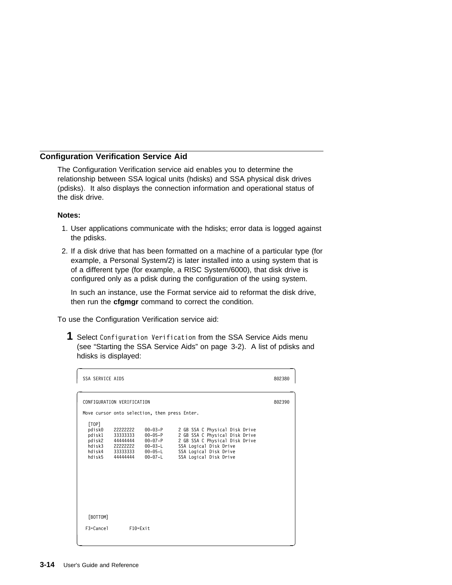## **Configuration Verification Service Aid**

The Configuration Verification service aid enables you to determine the relationship between SSA logical units (hdisks) and SSA physical disk drives (pdisks). It also displays the connection information and operational status of the disk drive.

### **Notes:**

- 1. User applications communicate with the hdisks; error data is logged against the pdisks.
- 2. If a disk drive that has been formatted on a machine of a particular type (for example, a Personal System/2) is later installed into a using system that is of a different type (for example, a RISC System/6000), that disk drive is configured only as a pdisk during the configuration of the using system.

In such an instance, use the Format service aid to reformat the disk drive, then run the **cfgmgr** command to correct the condition.

To use the Configuration Verification service aid:

**1** Select Configuration Verification from the SSA Service Aids menu (see "Starting the SSA Service Aids" on page 3-2). A list of pdisks and hdisks is displayed:

| SSA SERVICE AIDS                                        |                                                                             |                                                                                        |                                                                                                                                                                                  | 802380 |  |  |  |  |
|---------------------------------------------------------|-----------------------------------------------------------------------------|----------------------------------------------------------------------------------------|----------------------------------------------------------------------------------------------------------------------------------------------------------------------------------|--------|--|--|--|--|
|                                                         | CONFIGURATION VERIFICATION                                                  |                                                                                        |                                                                                                                                                                                  |        |  |  |  |  |
|                                                         |                                                                             | Move cursor onto selection, then press Enter.                                          |                                                                                                                                                                                  |        |  |  |  |  |
| [TOP]<br>pdisk0<br>pdisk1<br>pdisk2<br>hdisk3<br>hdisk5 | 22222222<br>33333333<br>44444444<br>22222222<br>hdisk4 33333333<br>44444444 | $00 - 03 - P$<br>00-05-P<br>$00 - 07 - P$<br>00-03-L<br>$00 - 05 - L$<br>$00 - 07 - L$ | 2 GB SSA C Physical Disk Drive<br>2 GB SSA C Physical Disk Drive<br>2 GB SSA C Physical Disk Drive<br>SSA Logical Disk Drive<br>SSA Logical Disk Drive<br>SSA Logical Disk Drive |        |  |  |  |  |
| [BOTTOM]                                                |                                                                             |                                                                                        |                                                                                                                                                                                  |        |  |  |  |  |
| $F3 =$ Cancel                                           | $F10 = Exit$                                                                |                                                                                        |                                                                                                                                                                                  |        |  |  |  |  |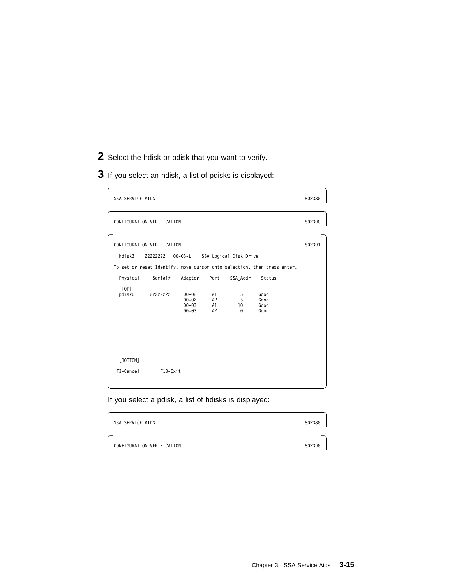- **2** Select the hdisk or pdisk that you want to verify.
- **3** If you select an hdisk, a list of pdisks is displayed:

| SSA SERVICE AIDS                      |                                                               |                                                                              |                              |                                                                |                                                                                                                   | 802380 |
|---------------------------------------|---------------------------------------------------------------|------------------------------------------------------------------------------|------------------------------|----------------------------------------------------------------|-------------------------------------------------------------------------------------------------------------------|--------|
|                                       | CONFIGURATION VERIFICATION                                    |                                                                              |                              |                                                                |                                                                                                                   | 802390 |
| hdisk3<br>Physical<br>[TOP]<br>pdisk0 | CONFIGURATION VERIFICATION<br>22222222<br>Serial#<br>22222222 | $00 - 03 - L$<br>Adapter<br>$00 - 02$<br>$00 - 02$<br>$00 - 03$<br>$00 - 03$ | Port<br>A1<br>A2<br>A1<br>A2 | SSA Logical Disk Drive<br>SSA Addr<br>5<br>5<br>10<br>$\Theta$ | To set or reset Identify, move cursor onto selection, then press enter.<br>Status<br>Good<br>Good<br>Good<br>Good | 802391 |
| [BOTTOM]<br>F3=Cancel                 | F10=Exit                                                      |                                                                              |                              |                                                                |                                                                                                                   |        |

If you select a pdisk, a list of hdisks is displayed:

| SSA SERVICE AIDS           | 802380 |
|----------------------------|--------|
| CONFIGURATION VERIFICATION | 802390 |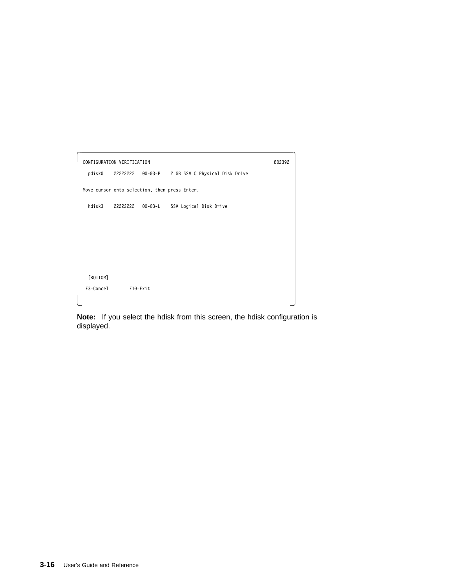| CONFIGURATION VERIFICATION |                                               |  |                                                         | 802392 |  |  |  |
|----------------------------|-----------------------------------------------|--|---------------------------------------------------------|--------|--|--|--|
|                            |                                               |  | pdisk0 222222222 00-03-P 2 GB SSA C Physical Disk Drive |        |  |  |  |
|                            | Move cursor onto selection, then press Enter. |  |                                                         |        |  |  |  |
|                            |                                               |  | hdisk3 22222222 00-03-L SSA Logical Disk Drive          |        |  |  |  |
|                            |                                               |  |                                                         |        |  |  |  |
|                            |                                               |  |                                                         |        |  |  |  |
|                            |                                               |  |                                                         |        |  |  |  |
| [BOTTOM]                   |                                               |  |                                                         |        |  |  |  |
| F3=Cancel                  | F10=Exit                                      |  |                                                         |        |  |  |  |
|                            |                                               |  |                                                         |        |  |  |  |

**Note:** If you select the hdisk from this screen, the hdisk configuration is displayed.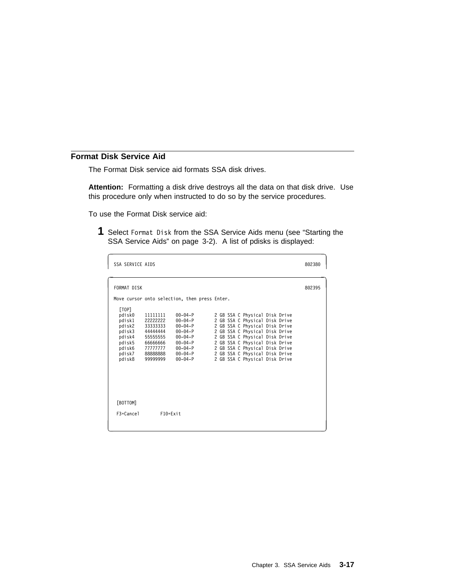## **Format Disk Service Aid**

The Format Disk service aid formats SSA disk drives.

**Attention:** Formatting a disk drive destroys all the data on that disk drive. Use this procedure only when instructed to do so by the service procedures.

To use the Format Disk service aid:

**1** Select Format Disk from the SSA Service Aids menu (see "Starting the SSA Service Aids" on page 3-2). A list of pdisks is displayed:

| <b>SSA SERVICE AIDS</b>                                                                         |                                                                                                          |                                                                                                                                                 |                                                                                                                                                                                                                                                                                                                | 802380 |
|-------------------------------------------------------------------------------------------------|----------------------------------------------------------------------------------------------------------|-------------------------------------------------------------------------------------------------------------------------------------------------|----------------------------------------------------------------------------------------------------------------------------------------------------------------------------------------------------------------------------------------------------------------------------------------------------------------|--------|
| FORMAT DISK                                                                                     |                                                                                                          |                                                                                                                                                 |                                                                                                                                                                                                                                                                                                                | 802395 |
|                                                                                                 |                                                                                                          | Move cursor onto selection, then press Enter.                                                                                                   |                                                                                                                                                                                                                                                                                                                |        |
| [TOP]<br>pdisk0<br>pdisk1<br>pdisk2<br>pdisk3<br>pdisk4<br>pdisk5<br>pdisk6<br>pdisk7<br>pdisk8 | 11111111<br>22222222<br>33333333<br>44444444<br>55555555<br>66666666<br>77777777<br>88888888<br>99999999 | $00 - 04 - P$<br>$00 - 04 - P$<br>$00 - 04 - P$<br>$00 - 04 - P$<br>$00 - 04 - P$<br>$00 - 04 - P$<br>00-04-P<br>$00 - 04 - P$<br>$00 - 04 - P$ | 2 GB SSA C Physical Disk Drive<br>2 GB SSA C Physical Disk Drive<br>2 GB SSA C Physical Disk Drive<br>2 GB SSA C Physical Disk Drive<br>2 GB SSA C Physical Disk Drive<br>2 GB SSA C Physical Disk Drive<br>2 GB SSA C Physical Disk Drive<br>2 GB SSA C Physical Disk Drive<br>2 GB SSA C Physical Disk Drive |        |
| [BOTTOM]                                                                                        |                                                                                                          |                                                                                                                                                 |                                                                                                                                                                                                                                                                                                                |        |
| $F3 =$ Cancel                                                                                   | $F10 = Exit$                                                                                             |                                                                                                                                                 |                                                                                                                                                                                                                                                                                                                |        |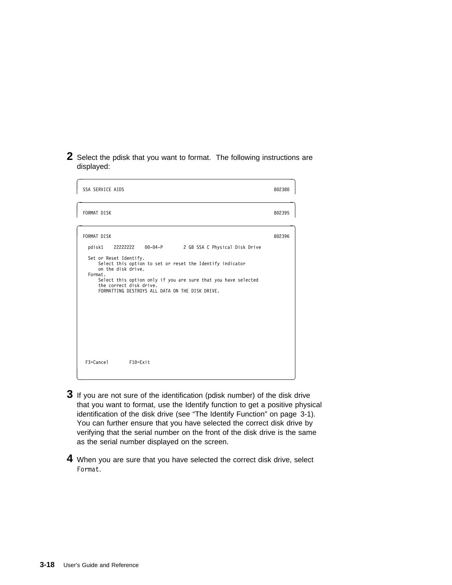**2** Select the pdisk that you want to format. The following instructions are displayed:

| <b>SSA SERVICE AIDS</b>                                                                                                                                                                                                                                                                                                                          | 802380 |
|--------------------------------------------------------------------------------------------------------------------------------------------------------------------------------------------------------------------------------------------------------------------------------------------------------------------------------------------------|--------|
| FORMAT DISK                                                                                                                                                                                                                                                                                                                                      | 802395 |
| FORMAT DISK<br>22222222 00-04-P 2 GB SSA C Physical Disk Drive<br>pdisk1<br>Set or Reset Identify.<br>Select this option to set or reset the Identify indicator<br>on the disk drive.<br>Format.<br>Select this option only if you are sure that you have selected<br>the correct disk drive.<br>FORMATTING DESTROYS ALL DATA ON THE DISK DRIVE. | 802396 |
| F3=Cancel F10=Exit                                                                                                                                                                                                                                                                                                                               |        |

- **3** If you are not sure of the identification (pdisk number) of the disk drive that you want to format, use the Identify function to get a positive physical identification of the disk drive (see "The Identify Function" on page 3-1). You can further ensure that you have selected the correct disk drive by verifying that the serial number on the front of the disk drive is the same as the serial number displayed on the screen.
- **4** When you are sure that you have selected the correct disk drive, select Format.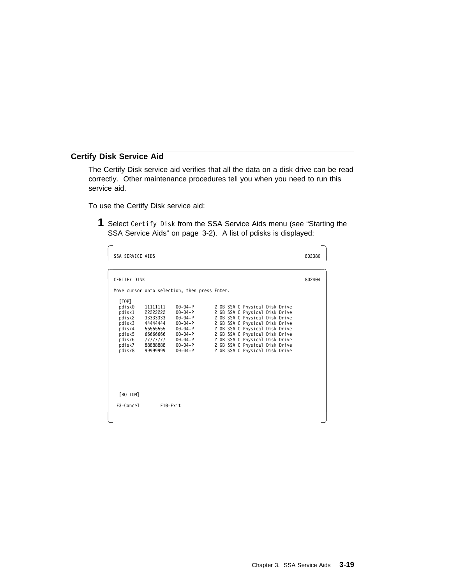## **Certify Disk Service Aid**

The Certify Disk service aid verifies that all the data on a disk drive can be read correctly. Other maintenance procedures tell you when you need to run this service aid.

To use the Certify Disk service aid:

**1** Select Certify Disk from the SSA Service Aids menu (see "Starting the SSA Service Aids" on page 3-2). A list of pdisks is displayed:

| <b>SSA SERVICE AIDS</b>                                                                         |                                                                                                          |                                                                                                                                                 |                                                                                                                                                                                                                                                                                                                | 802380 |
|-------------------------------------------------------------------------------------------------|----------------------------------------------------------------------------------------------------------|-------------------------------------------------------------------------------------------------------------------------------------------------|----------------------------------------------------------------------------------------------------------------------------------------------------------------------------------------------------------------------------------------------------------------------------------------------------------------|--------|
| <b>CERTIFY DISK</b>                                                                             |                                                                                                          |                                                                                                                                                 |                                                                                                                                                                                                                                                                                                                | 802404 |
|                                                                                                 |                                                                                                          | Move cursor onto selection, then press Enter.                                                                                                   |                                                                                                                                                                                                                                                                                                                |        |
| [TOP]<br>pdisk0<br>pdisk1<br>pdisk2<br>pdisk3<br>pdisk4<br>pdisk5<br>pdisk6<br>pdisk7<br>pdisk8 | 11111111<br>22222222<br>33333333<br>44444444<br>55555555<br>66666666<br>77777777<br>88888888<br>99999999 | $00 - 04 - P$<br>$00 - 04 - P$<br>$00 - 04 - P$<br>$00 - 04 - P$<br>$00 - 04 - P$<br>$00 - 04 - P$<br>00-04-P<br>$00 - 04 - P$<br>$00 - 04 - P$ | 2 GB SSA C Physical Disk Drive<br>2 GB SSA C Physical Disk Drive<br>2 GB SSA C Physical Disk Drive<br>2 GB SSA C Physical Disk Drive<br>2 GB SSA C Physical Disk Drive<br>2 GB SSA C Physical Disk Drive<br>2 GB SSA C Physical Disk Drive<br>2 GB SSA C Physical Disk Drive<br>2 GB SSA C Physical Disk Drive |        |
| [BOTTOM]<br>$F3 =$ Cancel                                                                       | $F10 = Exit$                                                                                             |                                                                                                                                                 |                                                                                                                                                                                                                                                                                                                |        |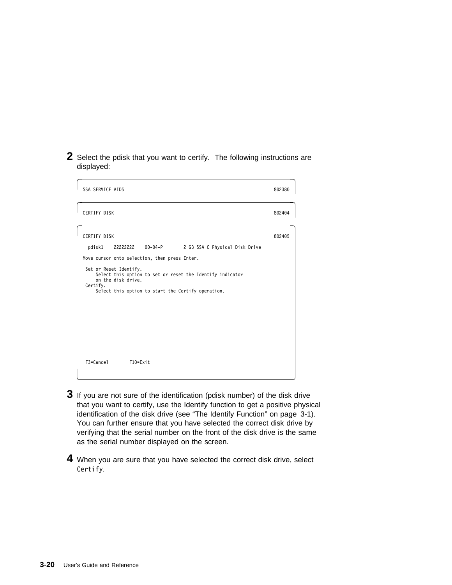**2** Select the pdisk that you want to certify. The following instructions are displayed:

| SSA SERVICE AIDS                                                                                                                                                                                                                                                                                                 | 802380 |
|------------------------------------------------------------------------------------------------------------------------------------------------------------------------------------------------------------------------------------------------------------------------------------------------------------------|--------|
| CERTIFY DISK                                                                                                                                                                                                                                                                                                     | 802404 |
| <b>CERTIFY DISK</b><br>22222222 00-04-P 2 GB SSA C Physical Disk Drive<br>pdisk1<br>Move cursor onto selection, then press Enter.<br>Set or Reset Identify.<br>Select this option to set or reset the Identify indicator<br>on the disk drive.<br>Certify.<br>Select this option to start the Certify operation. | 802405 |
| F3=Cancel F10=Exit                                                                                                                                                                                                                                                                                               |        |

- **3** If you are not sure of the identification (pdisk number) of the disk drive that you want to certify, use the Identify function to get a positive physical identification of the disk drive (see "The Identify Function" on page 3-1). You can further ensure that you have selected the correct disk drive by verifying that the serial number on the front of the disk drive is the same as the serial number displayed on the screen.
- **4** When you are sure that you have selected the correct disk drive, select Certify.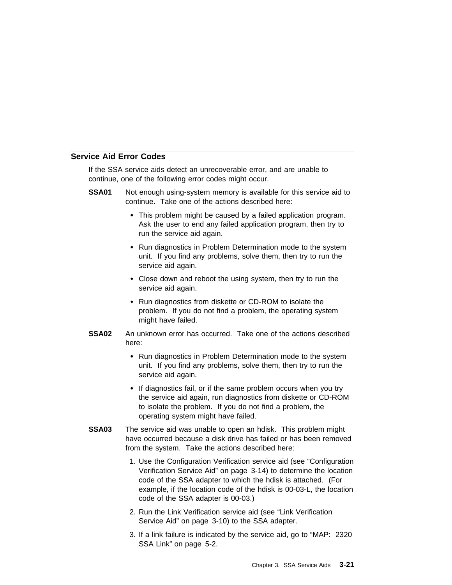## **Service Aid Error Codes**

If the SSA service aids detect an unrecoverable error, and are unable to continue, one of the following error codes might occur.

- **SSA01** Not enough using-system memory is available for this service aid to continue. Take one of the actions described here:
	- This problem might be caused by a failed application program. Ask the user to end any failed application program, then try to run the service aid again.
	- Run diagnostics in Problem Determination mode to the system unit. If you find any problems, solve them, then try to run the service aid again.
	- Close down and reboot the using system, then try to run the service aid again.
	- Run diagnostics from diskette or CD-ROM to isolate the problem. If you do not find a problem, the operating system might have failed.
- **SSA02** An unknown error has occurred. Take one of the actions described here:
	- Run diagnostics in Problem Determination mode to the system unit. If you find any problems, solve them, then try to run the service aid again.
	- If diagnostics fail, or if the same problem occurs when you try the service aid again, run diagnostics from diskette or CD-ROM to isolate the problem. If you do not find a problem, the operating system might have failed.
- **SSA03** The service aid was unable to open an hdisk. This problem might have occurred because a disk drive has failed or has been removed from the system. Take the actions described here:
	- 1. Use the Configuration Verification service aid (see "Configuration Verification Service Aid" on page 3-14) to determine the location code of the SSA adapter to which the hdisk is attached. (For example, if the location code of the hdisk is 00-03-L, the location code of the SSA adapter is 00-03.)
	- 2. Run the Link Verification service aid (see "Link Verification Service Aid" on page 3-10) to the SSA adapter.
	- 3. If a link failure is indicated by the service aid, go to "MAP: 2320 SSA Link" on page 5-2.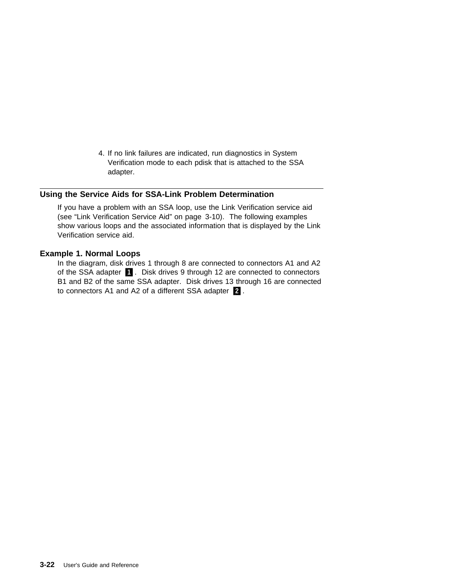4. If no link failures are indicated, run diagnostics in System Verification mode to each pdisk that is attached to the SSA adapter.

## **Using the Service Aids for SSA-Link Problem Determination**

If you have a problem with an SSA loop, use the Link Verification service aid (see "Link Verification Service Aid" on page 3-10). The following examples show various loops and the associated information that is displayed by the Link Verification service aid.

### **Example 1. Normal Loops**

In the diagram, disk drives 1 through 8 are connected to connectors A1 and A2 of the SSA adapter  $\blacksquare$ . Disk drives 9 through 12 are connected to connectors B1 and B2 of the same SSA adapter. Disk drives 13 through 16 are connected to connectors A1 and A2 of a different SSA adapter  $2$ .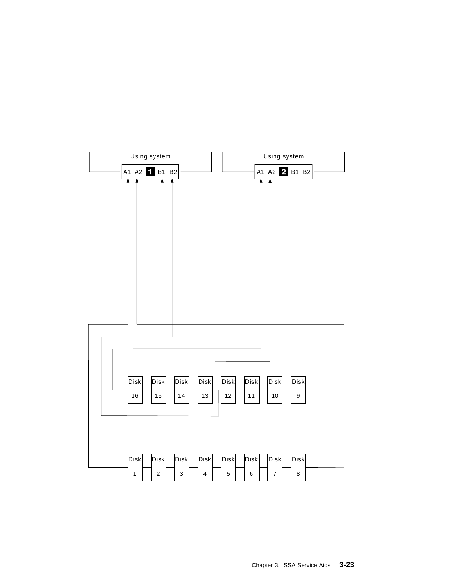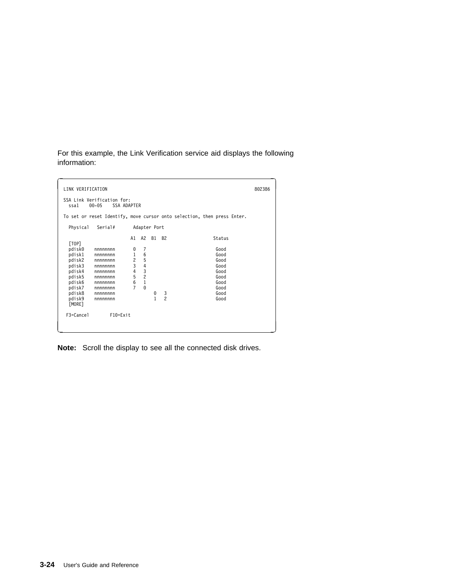For this example, the Link Verification service aid displays the following information:

| LINK VERIFICATION                                                                                                                                                                                                                 |                                                                                        |                                                                           |                                |                                  |                                                                                        | 802386 |
|-----------------------------------------------------------------------------------------------------------------------------------------------------------------------------------------------------------------------------------|----------------------------------------------------------------------------------------|---------------------------------------------------------------------------|--------------------------------|----------------------------------|----------------------------------------------------------------------------------------|--------|
| SSA Link Verification for:<br><b>SSA ADAPTER</b><br>$00 - 05$<br>ssa1                                                                                                                                                             |                                                                                        |                                                                           |                                |                                  |                                                                                        |        |
|                                                                                                                                                                                                                                   |                                                                                        |                                                                           |                                |                                  | To set or reset Identify, move cursor onto selection, then press Enter.                |        |
| Physical<br>Serial#                                                                                                                                                                                                               |                                                                                        | Adapter Port                                                              |                                |                                  |                                                                                        |        |
| [TOP]<br>pdisk0<br>nnnnnnn<br>pdisk1<br>nnnnnnn<br>pdisk2<br>nnnnnnn<br>pdisk3<br>nnnnnnn<br>pdisk4<br>nnnnnnn<br>pdisk5<br>nnnnnnn<br>pdisk6<br>nnnnnnn<br>pdisk7<br>nnnnnnn<br>pdisk8<br>nnnnnnn<br>pdisk9<br>nnnnnnn<br>[MORE] | A1<br>0<br>$\mathbf{1}$<br>$\overline{c}$<br>3<br>$\frac{4}{5}$<br>6<br>$\overline{7}$ | A2<br>7<br>6<br>5<br>$\overline{4}$<br>$\frac{3}{2}$<br>$\,1$<br>$\Theta$ | <b>B1</b><br>0<br>$\mathbf{1}$ | <b>B2</b><br>3<br>$\overline{c}$ | Status<br>Good<br>Good<br>Good<br>Good<br>Good<br>Good<br>Good<br>Good<br>Good<br>Good |        |
| F3=Cancel<br>$F10 = Exit$                                                                                                                                                                                                         |                                                                                        |                                                                           |                                |                                  |                                                                                        |        |

**Note:** Scroll the display to see all the connected disk drives.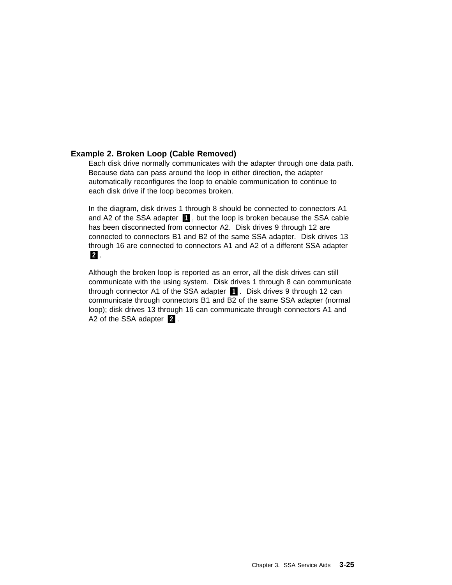## **Example 2. Broken Loop (Cable Removed)**

Each disk drive normally communicates with the adapter through one data path. Because data can pass around the loop in either direction, the adapter automatically reconfigures the loop to enable communication to continue to each disk drive if the loop becomes broken.

In the diagram, disk drives 1 through 8 should be connected to connectors A1 and A2 of the SSA adapter  $\blacksquare$ , but the loop is broken because the SSA cable has been disconnected from connector A2. Disk drives 9 through 12 are connected to connectors B1 and B2 of the same SSA adapter. Disk drives 13 through 16 are connected to connectors A1 and A2 of a different SSA adapter .2/.

Although the broken loop is reported as an error, all the disk drives can still communicate with the using system. Disk drives 1 through 8 can communicate through connector A1 of the SSA adapter  $\blacksquare$ . Disk drives 9 through 12 can communicate through connectors B1 and B2 of the same SSA adapter (normal loop); disk drives 13 through 16 can communicate through connectors A1 and A2 of the SSA adapter  $\boxed{2}$ .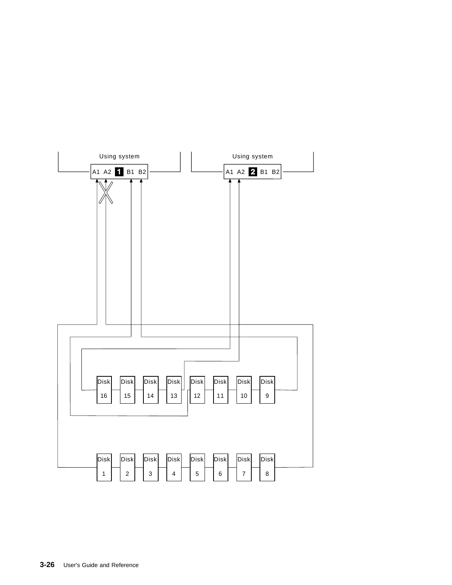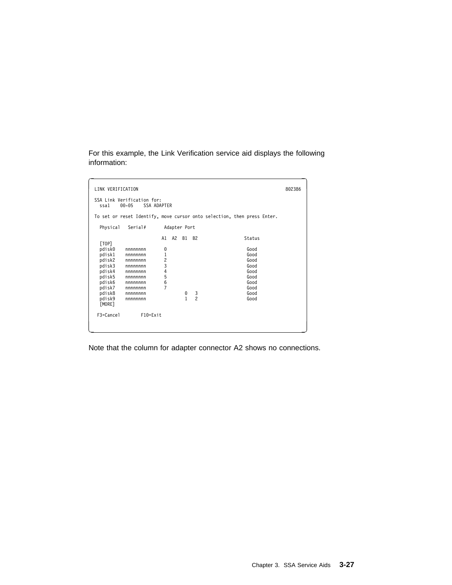For this example, the Link Verification service aid displays the following information:

| LINK VERIFICATION                                                                                                                                                                                                                 |                                           |                                      |                            |                                                                                        |  |  |  |  |
|-----------------------------------------------------------------------------------------------------------------------------------------------------------------------------------------------------------------------------------|-------------------------------------------|--------------------------------------|----------------------------|----------------------------------------------------------------------------------------|--|--|--|--|
| $00 - 05$<br>ssa1                                                                                                                                                                                                                 | SSA Link Verification for:<br>SSA ADAPTER |                                      |                            |                                                                                        |  |  |  |  |
|                                                                                                                                                                                                                                   |                                           |                                      |                            | To set or reset Identify, move cursor onto selection, then press Enter.                |  |  |  |  |
| Physical<br>Serial#                                                                                                                                                                                                               |                                           | Adapter Port                         |                            |                                                                                        |  |  |  |  |
| [TOP]<br>pdisk0<br>nnnnnnn<br>pdisk1<br>nnnnnnn<br>pdisk2<br>nnnnnnn<br>pdisk3<br>nnnnnnn<br>pdisk4<br>nnnnnnn<br>pdisk5<br>nnnnnnn<br>pdisk6<br>nnnnnnn<br>pdisk7<br>nnnnnnn<br>pdisk8<br>nnnnnnn<br>pdisk9<br>nnnnnnn<br>[MORE] | A1<br>0<br>$\mathbf 1$<br>234567          | A2<br><b>B1</b><br>0<br>$\mathbf{1}$ | <b>B2</b><br>$\frac{3}{2}$ | Status<br>Good<br>Good<br>Good<br>Good<br>Good<br>Good<br>Good<br>Good<br>Good<br>Good |  |  |  |  |
| F3=Cancel                                                                                                                                                                                                                         | $F10 = Exit$                              |                                      |                            |                                                                                        |  |  |  |  |

Note that the column for adapter connector A2 shows no connections.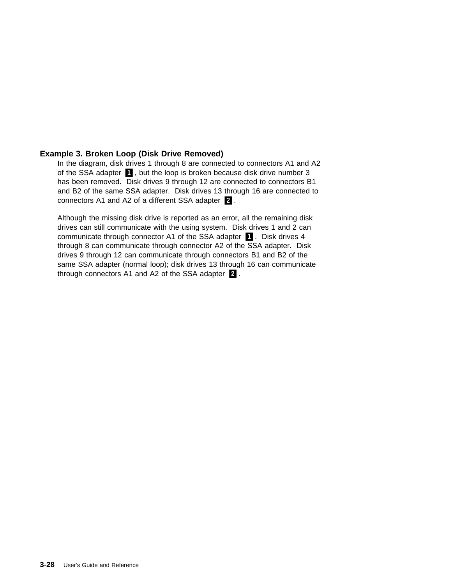## **Example 3. Broken Loop (Disk Drive Removed)**

In the diagram, disk drives 1 through 8 are connected to connectors A1 and A2 of the SSA adapter  $\blacksquare$ , but the loop is broken because disk drive number 3 has been removed. Disk drives 9 through 12 are connected to connectors B1 and B2 of the same SSA adapter. Disk drives 13 through 16 are connected to connectors A1 and A2 of a different SSA adapter  $\boxed{2}$ .

Although the missing disk drive is reported as an error, all the remaining disk drives can still communicate with the using system. Disk drives 1 and 2 can communicate through connector A1 of the SSA adapter **1.** Disk drives 4 through 8 can communicate through connector A2 of the SSA adapter. Disk drives 9 through 12 can communicate through connectors B1 and B2 of the same SSA adapter (normal loop); disk drives 13 through 16 can communicate through connectors A1 and A2 of the SSA adapter  $\blacksquare$ .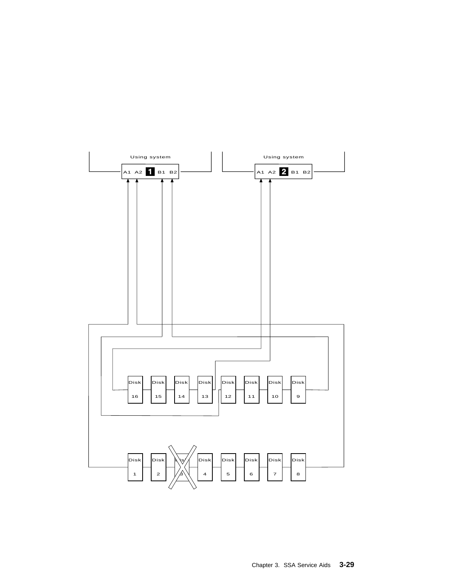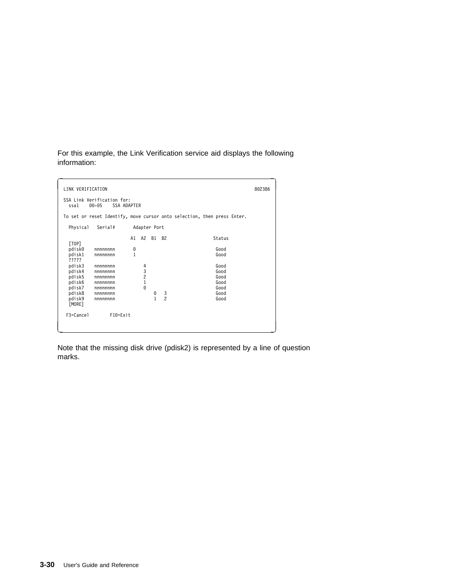For this example, the Link Verification service aid displays the following information:

```
∫<br>ILINK VERIFICATION 802386
  SSA Link Verification for:
ssa1 ðð-ð5 SSA ADAPTER
 To set or reset Identify, move cursor onto selection, then press Enter.
    Physical Serial# Adapter Port
                          A1 A2 B1 B2 Status
   [TOP]
             pdiskð nnnnnnnn ð Good
            nnnnnnnn
   pdisk1<br>?????
    pdisk3 nnnnnnnn 4 Good
    pdisk4 nnnnnnnn 3 Good
    pdisk5 nnnnnnnn 2 Good
            mnnnnnnnn 1<br>1 Good<br>19 - Good 10 Good<br>1 Good 10 Good 10 Good
             pdisk7 nnnnnnnn ð Good
    pdisk8 nnnnnnnn ð 3 Good
             pdisk9 nnnnnnnn 1 2 Good
   puisko<br>pdisk9<br>[MORE]
   F3=Cancel F1ð=Exit
<u>á an t-Iomraidh ann an t-Iomraidh ann an t-Iomraidh ann an t-Iomraidh ann an t-Iomraidh ann an t-Iomraidh ann an t-Iomraidh ann an t-Iomraidh ann an t-Iomraidh ann an t-Iomraidh ann an t-Iomraidh ann an t-Iomraidh ann an </u>
```
Note that the missing disk drive (pdisk2) is represented by a line of question marks.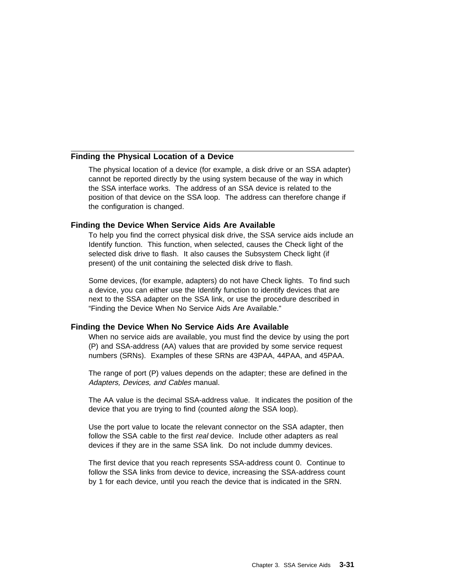#### **Finding the Physical Location of a Device**

The physical location of a device (for example, a disk drive or an SSA adapter) cannot be reported directly by the using system because of the way in which the SSA interface works. The address of an SSA device is related to the position of that device on the SSA loop. The address can therefore change if the configuration is changed.

### **Finding the Device When Service Aids Are Available**

To help you find the correct physical disk drive, the SSA service aids include an Identify function. This function, when selected, causes the Check light of the selected disk drive to flash. It also causes the Subsystem Check light (if present) of the unit containing the selected disk drive to flash.

Some devices, (for example, adapters) do not have Check lights. To find such a device, you can either use the Identify function to identify devices that are next to the SSA adapter on the SSA link, or use the procedure described in "Finding the Device When No Service Aids Are Available."

#### **Finding the Device When No Service Aids Are Available**

When no service aids are available, you must find the device by using the port (P) and SSA-address (AA) values that are provided by some service request numbers (SRNs). Examples of these SRNs are 43PAA, 44PAA, and 45PAA.

The range of port (P) values depends on the adapter; these are defined in the Adapters, Devices, and Cables manual.

The AA value is the decimal SSA-address value. It indicates the position of the device that you are trying to find (counted along the SSA loop).

Use the port value to locate the relevant connector on the SSA adapter, then follow the SSA cable to the first real device. Include other adapters as real devices if they are in the same SSA link. Do not include dummy devices.

The first device that you reach represents SSA-address count 0. Continue to follow the SSA links from device to device, increasing the SSA-address count by 1 for each device, until you reach the device that is indicated in the SRN.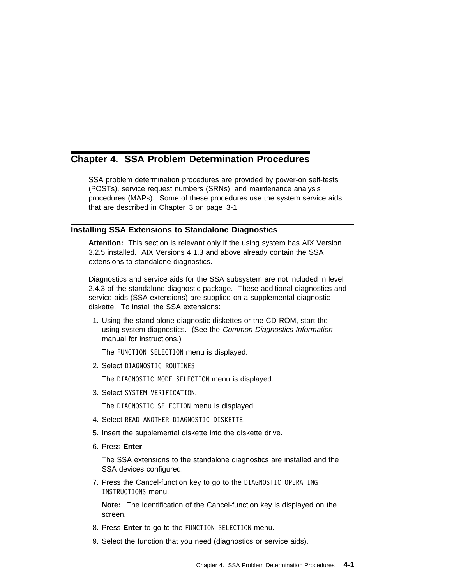# **Chapter 4. SSA Problem Determination Procedures**

SSA problem determination procedures are provided by power-on self-tests (POSTs), service request numbers (SRNs), and maintenance analysis procedures (MAPs). Some of these procedures use the system service aids that are described in Chapter 3 on page 3-1.

### **Installing SSA Extensions to Standalone Diagnostics**

**Attention:** This section is relevant only if the using system has AIX Version 3.2.5 installed. AIX Versions 4.1.3 and above already contain the SSA extensions to standalone diagnostics.

Diagnostics and service aids for the SSA subsystem are not included in level 2.4.3 of the standalone diagnostic package. These additional diagnostics and service aids (SSA extensions) are supplied on a supplemental diagnostic diskette. To install the SSA extensions:

1. Using the stand-alone diagnostic diskettes or the CD-ROM, start the using-system diagnostics. (See the Common Diagnostics Information manual for instructions.)

The FUNCTION SELECTION menu is displayed.

2. Select DIAGNOSTIC ROUTINES

The DIAGNOSTIC MODE SELECTION menu is displayed.

3. Select SYSTEM VERIFICATION.

The DIAGNOSTIC SELECTION menu is displayed.

- 4. Select READ ANOTHER DIAGNOSTIC DISKETTE.
- 5. Insert the supplemental diskette into the diskette drive.
- 6. Press **Enter**.

The SSA extensions to the standalone diagnostics are installed and the SSA devices configured.

7. Press the Cancel-function key to go to the DIAGNOSTIC OPERATING INSTRUCTIONS menu.

**Note:** The identification of the Cancel-function key is displayed on the screen.

- 8. Press **Enter** to go to the FUNCTION SELECTION menu.
- 9. Select the function that you need (diagnostics or service aids).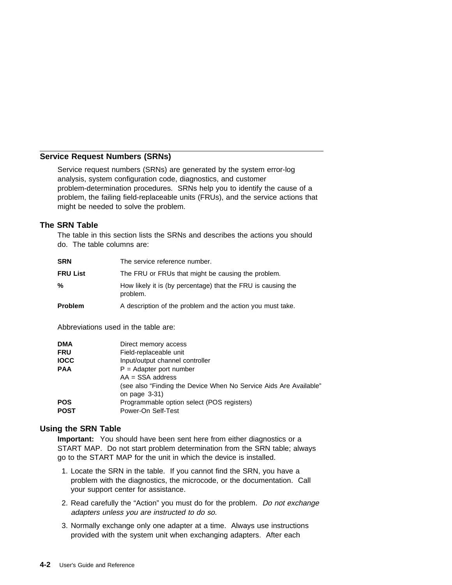## **Service Request Numbers (SRNs)**

Service request numbers (SRNs) are generated by the system error-log analysis, system configuration code, diagnostics, and customer problem-determination procedures. SRNs help you to identify the cause of a problem, the failing field-replaceable units (FRUs), and the service actions that might be needed to solve the problem.

### **The SRN Table**

The table in this section lists the SRNs and describes the actions you should do. The table columns are:

| <b>SRN</b>      | The service reference number.                                            |
|-----------------|--------------------------------------------------------------------------|
| <b>FRU List</b> | The FRU or FRUs that might be causing the problem.                       |
| %               | How likely it is (by percentage) that the FRU is causing the<br>problem. |
| <b>Problem</b>  | A description of the problem and the action you must take.               |

Abbreviations used in the table are:

| <b>DMA</b><br><b>FRU</b><br><b>IOCC</b> | Direct memory access<br>Field-replaceable unit<br>Input/output channel controller                                    |
|-----------------------------------------|----------------------------------------------------------------------------------------------------------------------|
| <b>PAA</b>                              | $P =$ Adapter port number<br>$AA = SSA$ address<br>(see also "Finding the Device When No Service Aids Are Available" |
| <b>POS</b><br><b>POST</b>               | on page $3-31$ )<br>Programmable option select (POS registers)<br>Power-On Self-Test                                 |

### **Using the SRN Table**

**Important:** You should have been sent here from either diagnostics or a START MAP. Do not start problem determination from the SRN table; always go to the START MAP for the unit in which the device is installed.

- 1. Locate the SRN in the table. If you cannot find the SRN, you have a problem with the diagnostics, the microcode, or the documentation. Call your support center for assistance.
- 2. Read carefully the "Action" you must do for the problem. Do not exchange adapters unless you are instructed to do so.
- 3. Normally exchange only one adapter at a time. Always use instructions provided with the system unit when exchanging adapters. After each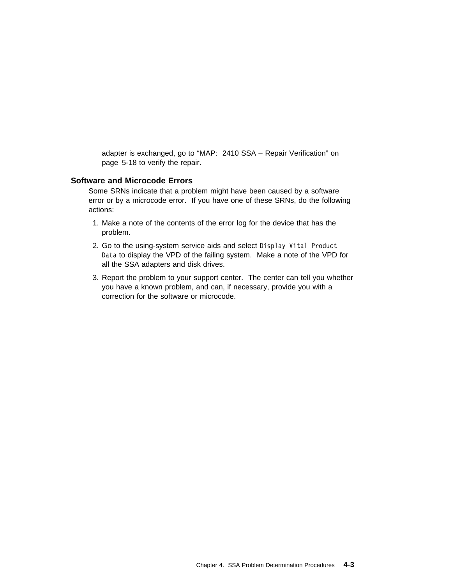adapter is exchanged, go to "MAP: 2410 SSA – Repair Verification" on page 5-18 to verify the repair.

### **Software and Microcode Errors**

Some SRNs indicate that a problem might have been caused by a software error or by a microcode error. If you have one of these SRNs, do the following actions:

- 1. Make a note of the contents of the error log for the device that has the problem.
- 2. Go to the using-system service aids and select Display Vital Product Data to display the VPD of the failing system. Make a note of the VPD for all the SSA adapters and disk drives.
- 3. Report the problem to your support center. The center can tell you whether you have a known problem, and can, if necessary, provide you with a correction for the software or microcode.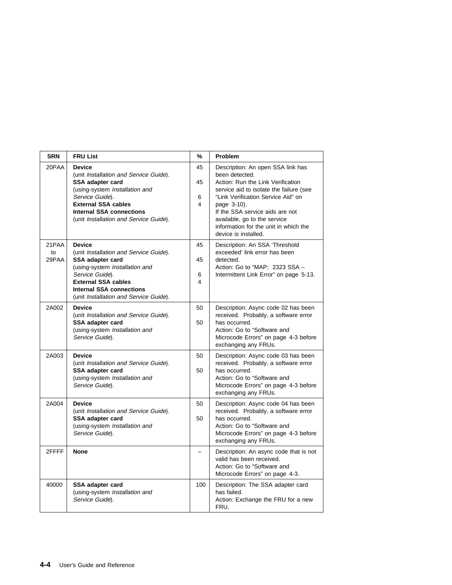| <b>SRN</b>           | <b>FRU List</b>                                                                                                                                                                                                                             | %                  | Problem                                                                                                                                                                                                                                                                                                                      |
|----------------------|---------------------------------------------------------------------------------------------------------------------------------------------------------------------------------------------------------------------------------------------|--------------------|------------------------------------------------------------------------------------------------------------------------------------------------------------------------------------------------------------------------------------------------------------------------------------------------------------------------------|
| 20PAA                | <b>Device</b><br>(unit Installation and Service Guide).<br>SSA adapter card<br>(using-system Installation and<br>Service Guide).<br><b>External SSA cables</b><br><b>Internal SSA connections</b><br>(unit Installation and Service Guide). | 45<br>45<br>6<br>4 | Description: An open SSA link has<br>been detected.<br>Action: Run the Link Verification<br>service aid to isolate the failure (see<br>"Link Verification Service Aid" on<br>page 3-10).<br>If the SSA service aids are not<br>available, go to the service<br>information for the unit in which the<br>device is installed. |
| 21PAA<br>to<br>29PAA | <b>Device</b><br>(unit Installation and Service Guide).<br>SSA adapter card<br>(using-system Installation and<br>Service Guide).<br><b>External SSA cables</b><br><b>Internal SSA connections</b><br>(unit Installation and Service Guide). | 45<br>45<br>6<br>4 | Description: An SSA 'Threshold<br>exceeded' link error has been<br>detected.<br>Action: Go to "MAP: 2323 SSA -<br>Intermittent Link Error" on page 5-13.                                                                                                                                                                     |
| 2A002                | <b>Device</b><br>(unit Installation and Service Guide).<br>SSA adapter card<br>(using-system Installation and<br>Service Guide).                                                                                                            | 50<br>50           | Description: Async code 02 has been<br>received. Probably, a software error<br>has occurred.<br>Action: Go to "Software and<br>Microcode Errors" on page 4-3 before<br>exchanging any FRUs.                                                                                                                                  |
| 2A003                | <b>Device</b><br>(unit Installation and Service Guide).<br>SSA adapter card<br>(using-system Installation and<br>Service Guide).                                                                                                            | 50<br>50           | Description: Async code 03 has been<br>received. Probably, a software error<br>has occurred.<br>Action: Go to "Software and<br>Microcode Errors" on page 4-3 before<br>exchanging any FRUs.                                                                                                                                  |
| 2A004                | <b>Device</b><br>(unit Installation and Service Guide).<br><b>SSA adapter card</b><br>(using-system Installation and<br>Service Guide).                                                                                                     | 50<br>50           | Description: Async code 04 has been<br>received. Probably, a software error<br>has occurred.<br>Action: Go to "Software and<br>Microcode Errors" on page 4-3 before<br>exchanging any FRUs.                                                                                                                                  |
| 2FFFF                | <b>None</b>                                                                                                                                                                                                                                 |                    | Description: An async code that is not<br>valid has been received.<br>Action: Go to "Software and<br>Microcode Errors" on page 4-3.                                                                                                                                                                                          |
| 40000                | SSA adapter card<br>(using-system Installation and<br>Service Guide).                                                                                                                                                                       | 100                | Description: The SSA adapter card<br>has failed.<br>Action: Exchange the FRU for a new<br>FRU.                                                                                                                                                                                                                               |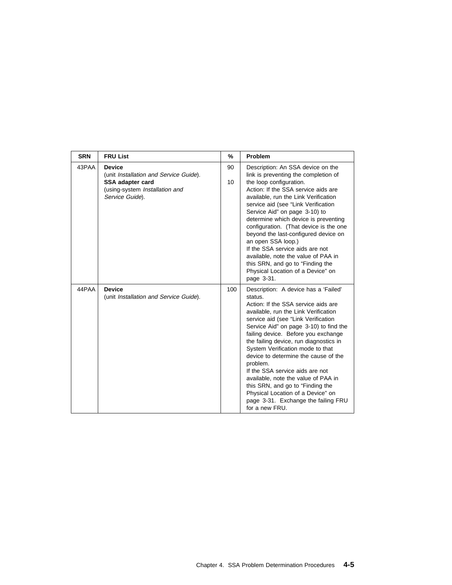| <b>SRN</b> | <b>FRU List</b>                                                                                                                  | %        | Problem                                                                                                                                                                                                                                                                                                                                                                                                                                                                                                                                                                                              |
|------------|----------------------------------------------------------------------------------------------------------------------------------|----------|------------------------------------------------------------------------------------------------------------------------------------------------------------------------------------------------------------------------------------------------------------------------------------------------------------------------------------------------------------------------------------------------------------------------------------------------------------------------------------------------------------------------------------------------------------------------------------------------------|
| 43PAA      | <b>Device</b><br>(unit Installation and Service Guide).<br>SSA adapter card<br>(using-system Installation and<br>Service Guide). | 90<br>10 | Description: An SSA device on the<br>link is preventing the completion of<br>the loop configuration.<br>Action: If the SSA service aids are<br>available, run the Link Verification<br>service aid (see "Link Verification<br>Service Aid" on page 3-10) to<br>determine which device is preventing<br>configuration. (That device is the one<br>beyond the last-configured device on<br>an open SSA loop.)<br>If the SSA service aids are not<br>available, note the value of PAA in<br>this SRN, and go to "Finding the<br>Physical Location of a Device" on<br>page 3-31.                         |
| 44PAA      | <b>Device</b><br>(unit Installation and Service Guide).                                                                          | 100      | Description: A device has a 'Failed'<br>status.<br>Action: If the SSA service aids are<br>available, run the Link Verification<br>service aid (see "Link Verification<br>Service Aid" on page 3-10) to find the<br>failing device. Before you exchange<br>the failing device, run diagnostics in<br>System Verification mode to that<br>device to determine the cause of the<br>problem.<br>If the SSA service aids are not<br>available, note the value of PAA in<br>this SRN, and go to "Finding the<br>Physical Location of a Device" on<br>page 3-31. Exchange the failing FRU<br>for a new FRU. |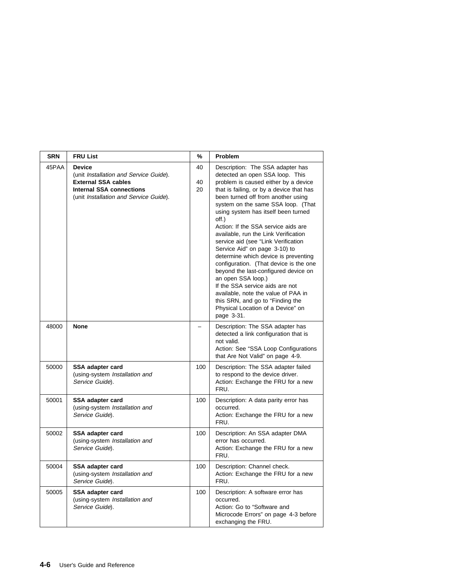| <b>SRN</b> | <b>FRU List</b>                                                                                                                                                    | %              | Problem                                                                                                                                                                                                                                                                                                                                                                                                                                                                                                                                                                                                                                                                                                                                                     |
|------------|--------------------------------------------------------------------------------------------------------------------------------------------------------------------|----------------|-------------------------------------------------------------------------------------------------------------------------------------------------------------------------------------------------------------------------------------------------------------------------------------------------------------------------------------------------------------------------------------------------------------------------------------------------------------------------------------------------------------------------------------------------------------------------------------------------------------------------------------------------------------------------------------------------------------------------------------------------------------|
| 45PAA      | <b>Device</b><br>(unit Installation and Service Guide).<br><b>External SSA cables</b><br><b>Internal SSA connections</b><br>(unit Installation and Service Guide). | 40<br>40<br>20 | Description: The SSA adapter has<br>detected an open SSA loop. This<br>problem is caused either by a device<br>that is failing, or by a device that has<br>been turned off from another using<br>system on the same SSA loop. (That<br>using system has itself been turned<br>off.)<br>Action: If the SSA service aids are<br>available, run the Link Verification<br>service aid (see "Link Verification<br>Service Aid" on page 3-10) to<br>determine which device is preventing<br>configuration. (That device is the one<br>beyond the last-configured device on<br>an open SSA loop.)<br>If the SSA service aids are not<br>available, note the value of PAA in<br>this SRN, and go to "Finding the<br>Physical Location of a Device" on<br>page 3-31. |
| 48000      | <b>None</b>                                                                                                                                                        |                | Description: The SSA adapter has<br>detected a link configuration that is<br>not valid.<br>Action: See "SSA Loop Configurations<br>that Are Not Valid" on page 4-9.                                                                                                                                                                                                                                                                                                                                                                                                                                                                                                                                                                                         |
| 50000      | SSA adapter card<br>(using-system Installation and<br>Service Guide).                                                                                              | 100            | Description: The SSA adapter failed<br>to respond to the device driver.<br>Action: Exchange the FRU for a new<br>FRU.                                                                                                                                                                                                                                                                                                                                                                                                                                                                                                                                                                                                                                       |
| 50001      | SSA adapter card<br>(using-system Installation and<br>Service Guide).                                                                                              | 100            | Description: A data parity error has<br>occurred.<br>Action: Exchange the FRU for a new<br>FRU.                                                                                                                                                                                                                                                                                                                                                                                                                                                                                                                                                                                                                                                             |
| 50002      | SSA adapter card<br>(using-system Installation and<br>Service Guide).                                                                                              | 100            | Description: An SSA adapter DMA<br>error has occurred.<br>Action: Exchange the FRU for a new<br>FRU.                                                                                                                                                                                                                                                                                                                                                                                                                                                                                                                                                                                                                                                        |
| 50004      | SSA adapter card<br>(using-system Installation and<br>Service Guide).                                                                                              | 100            | Description: Channel check.<br>Action: Exchange the FRU for a new<br>FRU.                                                                                                                                                                                                                                                                                                                                                                                                                                                                                                                                                                                                                                                                                   |
| 50005      | SSA adapter card<br>(using-system Installation and<br>Service Guide).                                                                                              | 100            | Description: A software error has<br>occurred.<br>Action: Go to "Software and<br>Microcode Errors" on page 4-3 before<br>exchanging the FRU.                                                                                                                                                                                                                                                                                                                                                                                                                                                                                                                                                                                                                |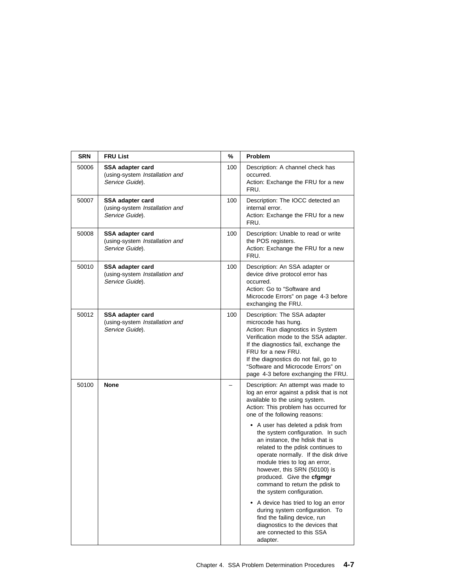| <b>SRN</b> | <b>FRU List</b>                                                       | %   | Problem                                                                                                                                                                                                                                                                                                                                                                                                                                                                                                                                                                                                                                                                                                                                 |
|------------|-----------------------------------------------------------------------|-----|-----------------------------------------------------------------------------------------------------------------------------------------------------------------------------------------------------------------------------------------------------------------------------------------------------------------------------------------------------------------------------------------------------------------------------------------------------------------------------------------------------------------------------------------------------------------------------------------------------------------------------------------------------------------------------------------------------------------------------------------|
| 50006      | SSA adapter card<br>(using-system Installation and<br>Service Guide). | 100 | Description: A channel check has<br>occurred.<br>Action: Exchange the FRU for a new<br>FRU.                                                                                                                                                                                                                                                                                                                                                                                                                                                                                                                                                                                                                                             |
| 50007      | SSA adapter card<br>(using-system Installation and<br>Service Guide). | 100 | Description: The IOCC detected an<br>internal error.<br>Action: Exchange the FRU for a new<br>FRU.                                                                                                                                                                                                                                                                                                                                                                                                                                                                                                                                                                                                                                      |
| 50008      | SSA adapter card<br>(using-system Installation and<br>Service Guide). | 100 | Description: Unable to read or write<br>the POS registers.<br>Action: Exchange the FRU for a new<br>FRU.                                                                                                                                                                                                                                                                                                                                                                                                                                                                                                                                                                                                                                |
| 50010      | SSA adapter card<br>(using-system Installation and<br>Service Guide). | 100 | Description: An SSA adapter or<br>device drive protocol error has<br>occurred.<br>Action: Go to "Software and<br>Microcode Errors" on page 4-3 before<br>exchanging the FRU.                                                                                                                                                                                                                                                                                                                                                                                                                                                                                                                                                            |
| 50012      | SSA adapter card<br>(using-system Installation and<br>Service Guide). | 100 | Description: The SSA adapter<br>microcode has hung.<br>Action: Run diagnostics in System<br>Verification mode to the SSA adapter.<br>If the diagnostics fail, exchange the<br>FRU for a new FRU.<br>If the diagnostics do not fail, go to<br>"Software and Microcode Errors" on<br>page 4-3 before exchanging the FRU.                                                                                                                                                                                                                                                                                                                                                                                                                  |
| 50100      | <b>None</b>                                                           |     | Description: An attempt was made to<br>log an error against a pdisk that is not<br>available to the using system.<br>Action: This problem has occurred for<br>one of the following reasons:<br>• A user has deleted a pdisk from<br>the system configuration. In such<br>an instance, the hdisk that is<br>related to the pdisk continues to<br>operate normally. If the disk drive<br>module tries to log an error,<br>however, this SRN (50100) is<br>produced. Give the cfgmgr<br>command to return the pdisk to<br>the system configuration.<br>• A device has tried to log an error<br>during system configuration. To<br>find the failing device, run<br>diagnostics to the devices that<br>are connected to this SSA<br>adapter. |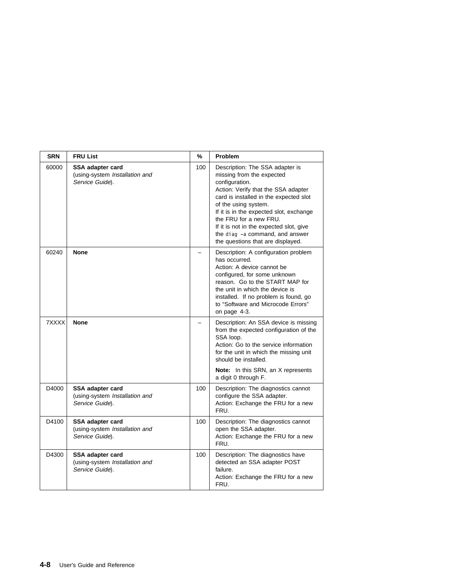| <b>SRN</b> | <b>FRU List</b>                                                       | %   | Problem                                                                                                                                                                                                                                                                                                                                                                         |
|------------|-----------------------------------------------------------------------|-----|---------------------------------------------------------------------------------------------------------------------------------------------------------------------------------------------------------------------------------------------------------------------------------------------------------------------------------------------------------------------------------|
| 60000      | SSA adapter card<br>(using-system Installation and<br>Service Guide). | 100 | Description: The SSA adapter is<br>missing from the expected<br>configuration.<br>Action: Verify that the SSA adapter<br>card is installed in the expected slot<br>of the using system.<br>If it is in the expected slot, exchange<br>the FRU for a new FRU.<br>If it is not in the expected slot, give<br>the diag -a command, and answer<br>the questions that are displayed. |
| 60240      | <b>None</b>                                                           |     | Description: A configuration problem<br>has occurred.<br>Action: A device cannot be<br>configured, for some unknown<br>reason. Go to the START MAP for<br>the unit in which the device is<br>installed. If no problem is found, go<br>to "Software and Microcode Errors"<br>on page 4-3.                                                                                        |
| 7XXXX      | None                                                                  |     | Description: An SSA device is missing<br>from the expected configuration of the<br>SSA loop.<br>Action: Go to the service information<br>for the unit in which the missing unit<br>should be installed.<br>Note: In this SRN, an X represents<br>a digit 0 through F.                                                                                                           |
| D4000      | SSA adapter card<br>(using-system Installation and<br>Service Guide). | 100 | Description: The diagnostics cannot<br>configure the SSA adapter.<br>Action: Exchange the FRU for a new<br>FRU.                                                                                                                                                                                                                                                                 |
| D4100      | SSA adapter card<br>(using-system Installation and<br>Service Guide). | 100 | Description: The diagnostics cannot<br>open the SSA adapter.<br>Action: Exchange the FRU for a new<br>FRU.                                                                                                                                                                                                                                                                      |
| D4300      | SSA adapter card<br>(using-system Installation and<br>Service Guide). | 100 | Description: The diagnostics have<br>detected an SSA adapter POST<br>failure.<br>Action: Exchange the FRU for a new<br>FRU.                                                                                                                                                                                                                                                     |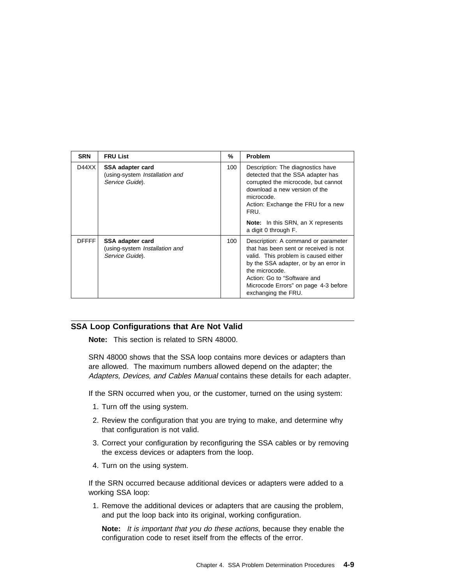| <b>SRN</b>   | <b>FRU List</b>                                                       | %   | <b>Problem</b>                                                                                                                                                                                                                                                                |
|--------------|-----------------------------------------------------------------------|-----|-------------------------------------------------------------------------------------------------------------------------------------------------------------------------------------------------------------------------------------------------------------------------------|
| D44XX        | SSA adapter card<br>(using-system Installation and<br>Service Guide). | 100 | Description: The diagnostics have<br>detected that the SSA adapter has<br>corrupted the microcode, but cannot<br>download a new version of the<br>microcode.<br>Action: Exchange the FRU for a new<br>FRU.<br><b>Note:</b> In this SRN, an X represents                       |
|              |                                                                       |     | a digit 0 through F.                                                                                                                                                                                                                                                          |
| <b>DFFFF</b> | SSA adapter card<br>(using-system Installation and<br>Service Guide). | 100 | Description: A command or parameter<br>that has been sent or received is not<br>valid. This problem is caused either<br>by the SSA adapter, or by an error in<br>the microcode.<br>Action: Go to "Software and<br>Microcode Errors" on page 4-3 before<br>exchanging the FRU. |

### **SSA Loop Configurations that Are Not Valid**

**Note:** This section is related to SRN 48000.

SRN 48000 shows that the SSA loop contains more devices or adapters than are allowed. The maximum numbers allowed depend on the adapter; the Adapters, Devices, and Cables Manual contains these details for each adapter.

If the SRN occurred when you, or the customer, turned on the using system:

- 1. Turn off the using system.
- 2. Review the configuration that you are trying to make, and determine why that configuration is not valid.
- 3. Correct your configuration by reconfiguring the SSA cables or by removing the excess devices or adapters from the loop.
- 4. Turn on the using system.

If the SRN occurred because additional devices or adapters were added to a working SSA loop:

1. Remove the additional devices or adapters that are causing the problem, and put the loop back into its original, working configuration.

**Note:** It is important that you do these actions, because they enable the configuration code to reset itself from the effects of the error.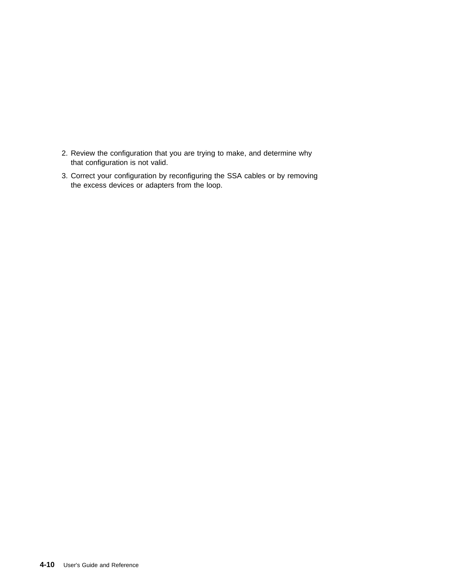- 2. Review the configuration that you are trying to make, and determine why that configuration is not valid.
- 3. Correct your configuration by reconfiguring the SSA cables or by removing the excess devices or adapters from the loop.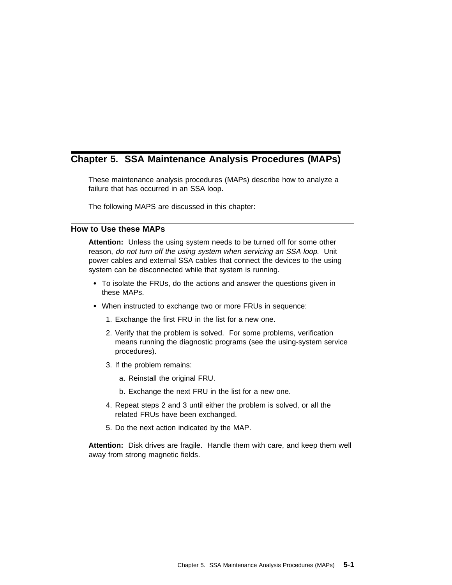# **Chapter 5. SSA Maintenance Analysis Procedures (MAPs)**

These maintenance analysis procedures (MAPs) describe how to analyze a failure that has occurred in an SSA loop.

The following MAPS are discussed in this chapter:

### **How to Use these MAPs**

**Attention:** Unless the using system needs to be turned off for some other reason, do not turn off the using system when servicing an SSA loop. Unit power cables and external SSA cables that connect the devices to the using system can be disconnected while that system is running.

- To isolate the FRUs, do the actions and answer the questions given in these MAPs.
- When instructed to exchange two or more FRUs in sequence:
	- 1. Exchange the first FRU in the list for a new one.
	- 2. Verify that the problem is solved. For some problems, verification means running the diagnostic programs (see the using-system service procedures).
	- 3. If the problem remains:
		- a. Reinstall the original FRU.
		- b. Exchange the next FRU in the list for a new one.
	- 4. Repeat steps 2 and 3 until either the problem is solved, or all the related FRUs have been exchanged.
	- 5. Do the next action indicated by the MAP.

**Attention:** Disk drives are fragile. Handle them with care, and keep them well away from strong magnetic fields.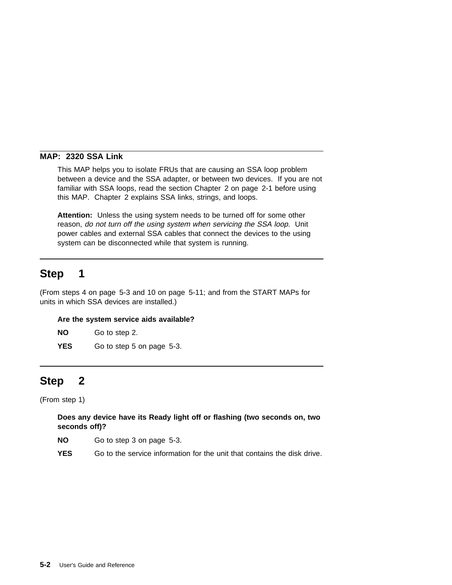### **MAP: 2320 SSA Link**

This MAP helps you to isolate FRUs that are causing an SSA loop problem between a device and the SSA adapter, or between two devices. If you are not familiar with SSA loops, read the section Chapter 2 on page 2-1 before using this MAP. Chapter 2 explains SSA links, strings, and loops.

**Attention:** Unless the using system needs to be turned off for some other reason, do not turn off the using system when servicing the SSA loop. Unit power cables and external SSA cables that connect the devices to the using system can be disconnected while that system is running.

# **Step 1**

(From steps 4 on page 5-3 and 10 on page 5-11; and from the START MAPs for units in which SSA devices are installed.)

#### **Are the system service aids available?**

**NO** Go to step 2.

**YES** Go to step 5 on page 5-3.

# **Step 2**

(From step 1)

## **Does any device have its Ready light off or flashing (two seconds on, two seconds off)?**

**NO** Go to step 3 on page 5-3.

**YES** Go to the service information for the unit that contains the disk drive.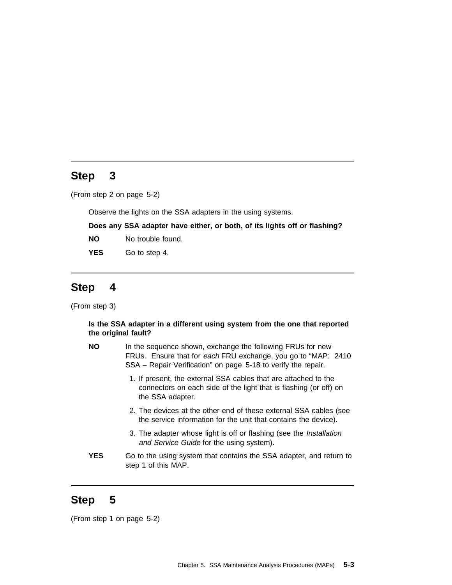(From step 2 on page 5-2)

Observe the lights on the SSA adapters in the using systems.

**Does any SSA adapter have either, or both, of its lights off or flashing?**

- **NO** No trouble found.
- YES Go to step 4.

# **Step 4**

(From step 3)

**Is the SSA adapter in a different using system from the one that reported the original fault?**

| ΝO | In the sequence shown, exchange the following FRUs for new     |  |  |  |  |  |  |
|----|----------------------------------------------------------------|--|--|--|--|--|--|
|    | FRUs. Ensure that for each FRU exchange, you go to "MAP: 2410" |  |  |  |  |  |  |
|    | SSA – Repair Verification" on page 5-18 to verify the repair.  |  |  |  |  |  |  |

- 1. If present, the external SSA cables that are attached to the connectors on each side of the light that is flashing (or off) on the SSA adapter.
- 2. The devices at the other end of these external SSA cables (see the service information for the unit that contains the device).
- 3. The adapter whose light is off or flashing (see the Installation and Service Guide for the using system).
- **YES** Go to the using system that contains the SSA adapter, and return to step 1 of this MAP.

# **Step 5**

(From step 1 on page 5-2)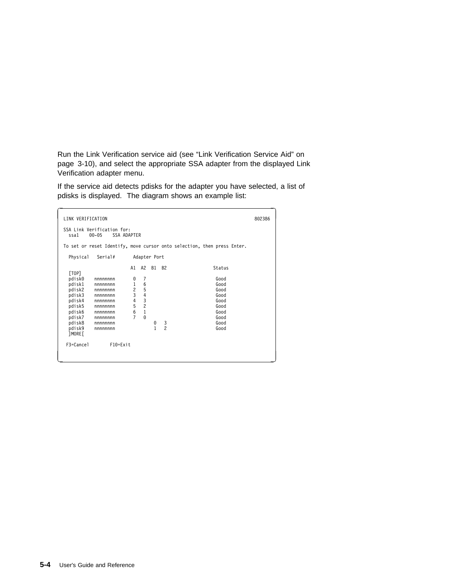Run the Link Verification service aid (see "Link Verification Service Aid" on page 3-10), and select the appropriate SSA adapter from the displayed Link Verification adapter menu.

If the service aid detects pdisks for the adapter you have selected, a list of pdisks is displayed. The diagram shows an example list:

| LINK VERIFICATION                                                                                                                                                             |                                                                                 |                                                                             |        |               |                                                                         | 802386 |  |  |
|-------------------------------------------------------------------------------------------------------------------------------------------------------------------------------|---------------------------------------------------------------------------------|-----------------------------------------------------------------------------|--------|---------------|-------------------------------------------------------------------------|--------|--|--|
| SSA Link Verification for:<br>SSA ADAPTER<br>ssa1<br>$00 - 05$                                                                                                                |                                                                                 |                                                                             |        |               |                                                                         |        |  |  |
|                                                                                                                                                                               |                                                                                 |                                                                             |        |               | To set or reset Identify, move cursor onto selection, then press Enter. |        |  |  |
| Physical<br>Serial#                                                                                                                                                           |                                                                                 | Adapter Port                                                                |        |               |                                                                         |        |  |  |
| [TOP]<br>pdisk0<br>nnnnnnn<br>pdisk1<br>nnnnnnn<br>pdisk2<br>nnnnnnn<br>pdisk3<br>nnnnnnn<br>pdisk4<br>nnnnnnn<br>pdisk5<br>nnnnnnn<br>pdisk6<br>nnnnnnn<br>pdisk7<br>nnnnnnn | A1<br>0<br>$\mathbf{1}$<br>$\overline{c}$<br>3<br>4<br>5<br>6<br>$\overline{7}$ | A2<br>7<br>6<br>5<br>$\frac{4}{3}$<br>$\overline{c}$<br>$\,1\,$<br>$\Theta$ | B1     | <b>B2</b>     | Status<br>Good<br>Good<br>Good<br>Good<br>Good<br>Good<br>Good<br>Good  |        |  |  |
| pdisk8<br>nnnnnnn<br>pdisk9<br>nnnnnnn<br><b>TMORE</b>                                                                                                                        |                                                                                 |                                                                             | 0<br>1 | $\frac{3}{2}$ | Good<br>Good                                                            |        |  |  |
| F3=Cancel<br>F10=Exit                                                                                                                                                         |                                                                                 |                                                                             |        |               |                                                                         |        |  |  |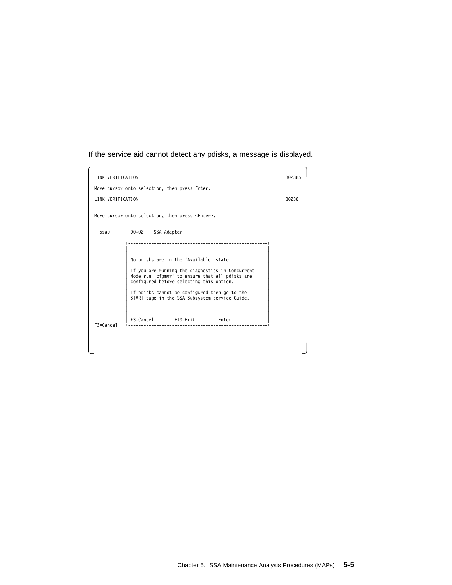If the service aid cannot detect any pdisks, a message is displayed.

| LINK VERIFICATION |                                                                                                                                                                                                                                                                                               | 802385 |  |  |  |  |  |  |
|-------------------|-----------------------------------------------------------------------------------------------------------------------------------------------------------------------------------------------------------------------------------------------------------------------------------------------|--------|--|--|--|--|--|--|
|                   | Move cursor onto selection, then press Enter.                                                                                                                                                                                                                                                 |        |  |  |  |  |  |  |
| LINK VERIFICATION |                                                                                                                                                                                                                                                                                               | 80238  |  |  |  |  |  |  |
|                   | Move cursor onto selection, then press <enter>.</enter>                                                                                                                                                                                                                                       |        |  |  |  |  |  |  |
| ssa0              | 00-02 SSA Adapter                                                                                                                                                                                                                                                                             |        |  |  |  |  |  |  |
|                   | No pdisks are in the 'Available' state.<br>If you are running the diagnostics in Concurrent<br>Mode run 'cfgmgr' to ensure that all pdisks are<br>configured before selecting this option.<br>If pdisks cannot be configured then go to the<br>START page in the SSA Subsystem Service Guide. |        |  |  |  |  |  |  |
| $F3 = Cancel$     | F3=Cancel F10=Exit Enter                                                                                                                                                                                                                                                                      |        |  |  |  |  |  |  |
|                   |                                                                                                                                                                                                                                                                                               |        |  |  |  |  |  |  |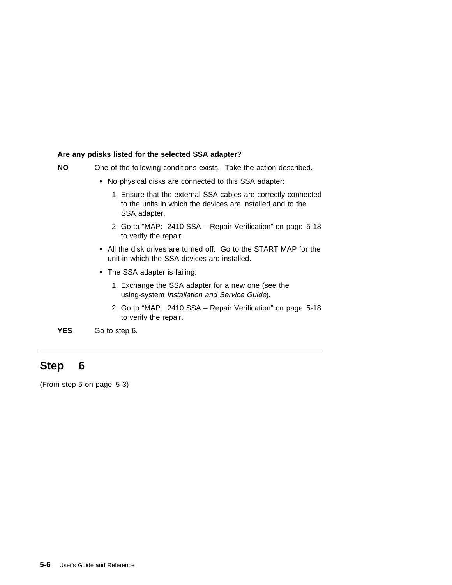### **Are any pdisks listed for the selected SSA adapter?**

- **NO** One of the following conditions exists. Take the action described.
	- No physical disks are connected to this SSA adapter:
		- 1. Ensure that the external SSA cables are correctly connected to the units in which the devices are installed and to the SSA adapter.
		- 2. Go to "MAP: 2410 SSA Repair Verification" on page 5-18 to verify the repair.
	- All the disk drives are turned off. Go to the START MAP for the unit in which the SSA devices are installed.
	- The SSA adapter is failing:
		- 1. Exchange the SSA adapter for a new one (see the using-system Installation and Service Guide).
		- 2. Go to "MAP: 2410 SSA Repair Verification" on page 5-18 to verify the repair.

**YES** Go to step 6.

# **Step 6**

(From step 5 on page 5-3)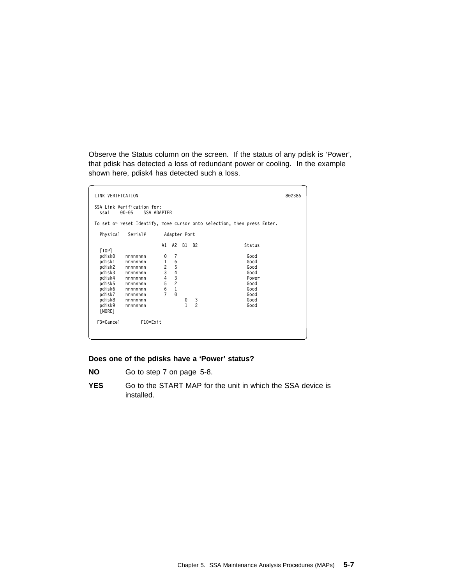Observe the Status column on the screen. If the status of any pdisk is 'Power', that pdisk has detected a loss of redundant power or cooling. In the example shown here, pdisk4 has detected such a loss.

| LINK VERIFICATION                                                                                                                                                                                                       |                                                                                              |                                                                |              |                            |  |                                                                                         | 802386 |  |
|-------------------------------------------------------------------------------------------------------------------------------------------------------------------------------------------------------------------------|----------------------------------------------------------------------------------------------|----------------------------------------------------------------|--------------|----------------------------|--|-----------------------------------------------------------------------------------------|--------|--|
| SSA Link Verification for:<br>SSA ADAPTER<br>ssa1<br>$00 - 05$                                                                                                                                                          |                                                                                              |                                                                |              |                            |  |                                                                                         |        |  |
| To set or reset Identify, move cursor onto selection, then press Enter.                                                                                                                                                 |                                                                                              |                                                                |              |                            |  |                                                                                         |        |  |
| Physical<br>Serial#                                                                                                                                                                                                     |                                                                                              |                                                                | Adapter Port |                            |  |                                                                                         |        |  |
| [TOP]<br>pdisk0<br>nnnnnnn<br>pdisk1<br>nnnnnnn<br>pdisk2<br>nnnnnnn<br>pdisk3<br>nnnnnnn<br>pdisk4<br>nnnnnnn<br>pdisk5<br>nnnnnnn<br>pdisk6<br>nnnnnnn<br>pdisk7<br>nnnnnnn<br>pdisk8<br>nnnnnnn<br>pdisk9<br>nnnnnnn | A1<br>0<br>$\mathbf{1}$<br>$\overline{c}$<br>$\overline{3}$<br>4<br>5<br>6<br>$\overline{7}$ | A2<br>7<br>6<br>5<br>4<br>$\frac{3}{2}$<br>$\,1\,$<br>$\Theta$ | B1<br>0<br>1 | <b>B2</b><br>$\frac{3}{2}$ |  | Status<br>Good<br>Good<br>Good<br>Good<br>Power<br>Good<br>Good<br>Good<br>Good<br>Good |        |  |
| [MORE]<br>F3=Cancel<br>F10=Exit                                                                                                                                                                                         |                                                                                              |                                                                |              |                            |  |                                                                                         |        |  |

### **Does one of the pdisks have a 'Power' status?**

- **NO** Go to step 7 on page 5-8.
- **YES** Go to the START MAP for the unit in which the SSA device is installed.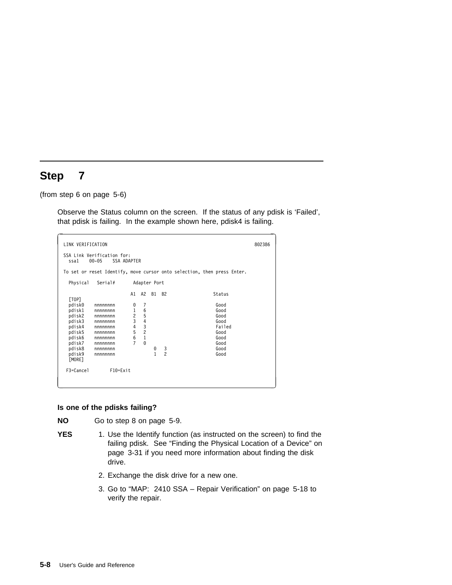(from step 6 on page 5-6)

Observe the Status column on the screen. If the status of any pdisk is 'Failed', that pdisk is failing. In the example shown here, pdisk4 is failing.

| LINK VERIFICATION                                              |                    |                               |                |    |               |  |                                                                         | 802386 |
|----------------------------------------------------------------|--------------------|-------------------------------|----------------|----|---------------|--|-------------------------------------------------------------------------|--------|
| SSA Link Verification for:<br>SSA ADAPTER<br>$00 - 05$<br>ssa1 |                    |                               |                |    |               |  |                                                                         |        |
|                                                                |                    |                               |                |    |               |  | To set or reset Identify, move cursor onto selection, then press Enter. |        |
| Physical                                                       | Serial#            |                               | Adapter Port   |    |               |  |                                                                         |        |
| [TOP]                                                          |                    | A1                            | A2             | B1 | <b>B2</b>     |  | Status                                                                  |        |
| pdisk0                                                         | nnnnnnn            | 0                             | 7              |    |               |  | Good                                                                    |        |
| pdisk1<br>pdisk2                                               | nnnnnnn<br>nnnnnnn | $\mathbf 1$<br>$\overline{c}$ | 6<br>5         |    |               |  | Good<br>Good                                                            |        |
| pdisk3                                                         | nnnnnnn            | 3                             | 4              |    |               |  | Good                                                                    |        |
| pdisk4                                                         | nnnnnnn            | 4                             | 3              |    |               |  | Failed                                                                  |        |
| pdisk5                                                         | nnnnnnn            | 5                             | $\overline{c}$ |    |               |  | Good                                                                    |        |
| pdisk6                                                         | nnnnnnn            | 6                             | $\,1\,$        |    |               |  | Good                                                                    |        |
| pdisk7                                                         | nnnnnnn            | $\overline{7}$                | $\Theta$       |    |               |  | Good                                                                    |        |
| pdisk8                                                         | nnnnnnn            |                               |                | 0  | $\frac{3}{2}$ |  | Good                                                                    |        |
| pdisk9<br>[MORE]                                               | nnnnnnn            |                               |                | 1  |               |  | Good                                                                    |        |
| F3=Cancel                                                      | $F10 = Exit$       |                               |                |    |               |  |                                                                         |        |

### **Is one of the pdisks failing?**

**NO** Go to step 8 on page 5-9.

- **YES** 1. Use the Identify function (as instructed on the screen) to find the failing pdisk. See "Finding the Physical Location of a Device" on page 3-31 if you need more information about finding the disk drive.
	- 2. Exchange the disk drive for a new one.
	- 3. Go to "MAP: 2410 SSA Repair Verification" on page 5-18 to verify the repair.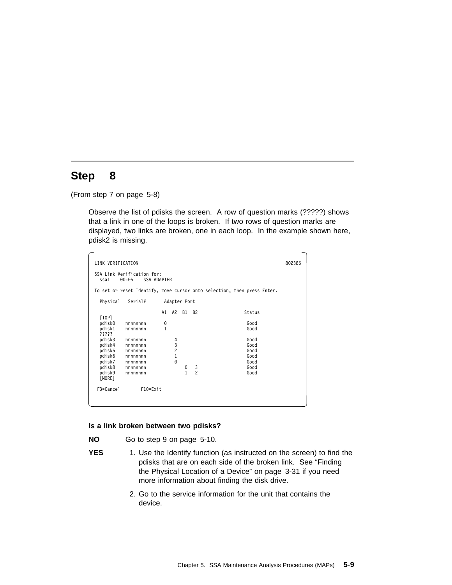(From step 7 on page 5-8)

Observe the list of pdisks the screen. A row of question marks (?????) shows that a link in one of the loops is broken. If two rows of question marks are displayed, two links are broken, one in each loop. In the example shown here, pdisk2 is missing.

| LINK VERIFICATION<br>802386                                    |                         |    |               |           |               |                                                                         |  |
|----------------------------------------------------------------|-------------------------|----|---------------|-----------|---------------|-------------------------------------------------------------------------|--|
| SSA Link Verification for:<br>$00 - 05$<br>SSA ADAPTER<br>ssa1 |                         |    |               |           |               |                                                                         |  |
|                                                                |                         |    |               |           |               | To set or reset Identify, move cursor onto selection, then press Enter. |  |
| Physical                                                       | Serial#<br>Adapter Port |    |               |           |               |                                                                         |  |
| [TOP]                                                          |                         | A1 | A2            | <b>B1</b> | <b>B2</b>     | Status                                                                  |  |
| pdisk0                                                         | nnnnnnn                 | 0  |               |           |               | Good                                                                    |  |
| pdisk1<br>?????                                                | nnnnnnn                 | 1  |               |           |               | Good                                                                    |  |
| pdisk3                                                         | nnnnnnn                 |    | 4             |           |               | Good                                                                    |  |
| pdisk4                                                         | nnnnnnn                 |    |               |           |               | Good                                                                    |  |
| pdisk5                                                         | nnnnnnn                 |    | $\frac{3}{2}$ |           |               | Good                                                                    |  |
| pdisk6                                                         | nnnnnnn                 |    | $\mathbf{1}$  |           |               | Good                                                                    |  |
| pdisk7                                                         | nnnnnnn                 |    | $\Theta$      |           |               | Good                                                                    |  |
| pdisk8                                                         | nnnnnnn                 |    |               | 0         | $\frac{3}{2}$ | Good                                                                    |  |
| pdisk9<br>[MORE]                                               | nnnnnnn                 |    |               | 1         |               | Good                                                                    |  |
| F3=Cancel                                                      | $F10 = Exit$            |    |               |           |               |                                                                         |  |
|                                                                |                         |    |               |           |               |                                                                         |  |

### **Is a link broken between two pdisks?**

**NO** Go to step 9 on page 5-10.

- **YES** 1. Use the Identify function (as instructed on the screen) to find the pdisks that are on each side of the broken link. See "Finding the Physical Location of a Device" on page 3-31 if you need more information about finding the disk drive.
	- 2. Go to the service information for the unit that contains the device.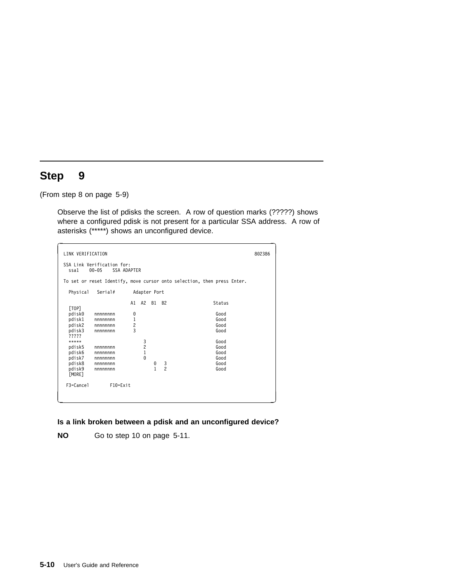(From step 8 on page 5-9)

Observe the list of pdisks the screen. A row of question marks (?????) shows where a configured pdisk is not present for a particular SSA address. A row of asterisks (\*\*\*\*\*) shows an unconfigured device.

```
à ð LINK VERIFICATION 8ð2386
 SSA Link Verification for:
ssa1 ðð-ð5 SSA ADAPTER
 To set or reset Identify, move cursor onto selection, then press Enter.
   Physical Serial# Adapter Port
                      A1 A2 B1 B2 Status
  [TOP]
   pdiskð nnnnnnnn ð Good
   pdisk1 nnnnnnnn 1 Good
            pdisk2 nnnnnnnn 2 Good
           nnnnnnnn
  pdisk3<br>?????<br>*****
 \{\star\star\star\star\star 600d
   pdisk5 nnnnnnnn 2 Good
            pdisk6 nnnnnnnn 1 Good
   pdisk7 nnnnnnnn ð Good
            pdisk8 nnnnnnnn ð 3 Good
           nnnnnnnn
  paisk9<br>[MORE]
   F3=Cancel F1ð=Exit
<u>á an t-Iomraid an t-Iomraid an t-Iomraid an t-Iomraid an t-Iomraid an t-Iomraid an t-Iomraid ann an t-Iomraid an t-Iomraid ann an t-Iomraid ann an t-Iomraid ann an t-Iomraid ann an t-Iomraid ann an t-Iomraid ann an t-Iomr</u>
```
**Is a link broken between a pdisk and an unconfigured device?**

**NO** Go to step 10 on page 5-11.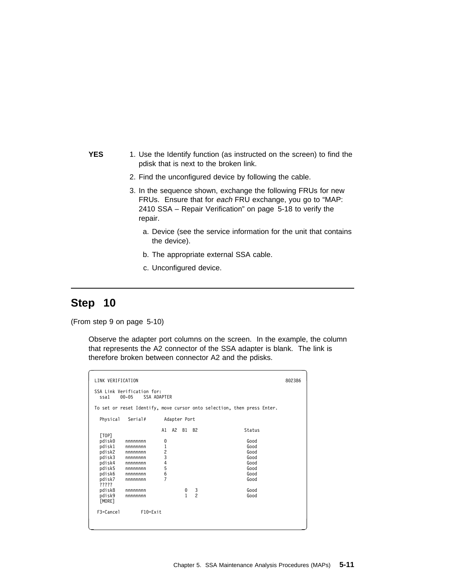- **YES** 1. Use the Identify function (as instructed on the screen) to find the pdisk that is next to the broken link.
	- 2. Find the unconfigured device by following the cable.
	- 3. In the sequence shown, exchange the following FRUs for new FRUs. Ensure that for each FRU exchange, you go to "MAP: 2410 SSA – Repair Verification" on page 5-18 to verify the repair.
		- a. Device (see the service information for the unit that contains the device).
		- b. The appropriate external SSA cable.
		- c. Unconfigured device.

(From step 9 on page 5-10)

Observe the adapter port columns on the screen. In the example, the column that represents the A2 connector of the SSA adapter is blank. The link is therefore broken between connector A2 and the pdisks.

| LINK VERIFICATION<br>802386                                                                                                  |                                                                                                            |                                                                             |  |                           |               |                                                                                        |  |
|------------------------------------------------------------------------------------------------------------------------------|------------------------------------------------------------------------------------------------------------|-----------------------------------------------------------------------------|--|---------------------------|---------------|----------------------------------------------------------------------------------------|--|
| SSA Link Verification for:<br>SSA ADAPTER<br>$00 - 05$<br>ssa1                                                               |                                                                                                            |                                                                             |  |                           |               |                                                                                        |  |
|                                                                                                                              |                                                                                                            |                                                                             |  |                           |               | To set or reset Identify, move cursor onto selection, then press Enter.                |  |
| Physical                                                                                                                     | Serial#                                                                                                    |                                                                             |  | Adapter Port              |               |                                                                                        |  |
| [TOP]<br>pdisk0<br>pdisk1<br>pdisk2<br>pdisk3<br>pdisk4<br>pdisk5<br>pdisk6<br>pdisk7<br>?????<br>pdisk8<br>pdisk9<br>[MORE] | nnnnnnn<br>nnnnnnn<br>nnnnnnn<br>nnnnnnn<br>nnnnnnn<br>nnnnnnn<br>nnnnnnn<br>nnnnnnn<br>nnnnnnn<br>nnnnnnn | A1<br>0<br>$\overline{1}$<br>$\frac{2}{3}$<br>4<br>5<br>6<br>$\overline{7}$ |  | A2 B1 B2<br>$\frac{0}{1}$ | $\frac{3}{2}$ | Status<br>Good<br>Good<br>Good<br>Good<br>Good<br>Good<br>Good<br>Good<br>Good<br>Good |  |
| F3=Cancel                                                                                                                    | $F10 = Exit$                                                                                               |                                                                             |  |                           |               |                                                                                        |  |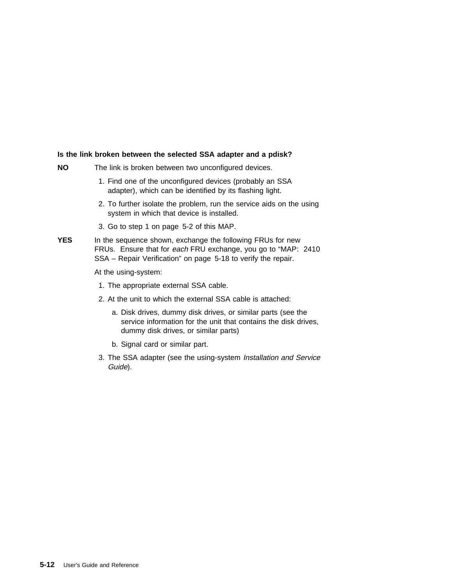### **Is the link broken between the selected SSA adapter and a pdisk?**

- **NO** The link is broken between two unconfigured devices.
	- 1. Find one of the unconfigured devices (probably an SSA adapter), which can be identified by its flashing light.
	- 2. To further isolate the problem, run the service aids on the using system in which that device is installed.
	- 3. Go to step 1 on page 5-2 of this MAP.
- YES In the sequence shown, exchange the following FRUs for new FRUs. Ensure that for each FRU exchange, you go to "MAP: 2410 SSA – Repair Verification" on page 5-18 to verify the repair.

At the using-system:

- 1. The appropriate external SSA cable.
- 2. At the unit to which the external SSA cable is attached:
	- a. Disk drives, dummy disk drives, or similar parts (see the service information for the unit that contains the disk drives, dummy disk drives, or similar parts)
	- b. Signal card or similar part.
- 3. The SSA adapter (see the using-system Installation and Service Guide).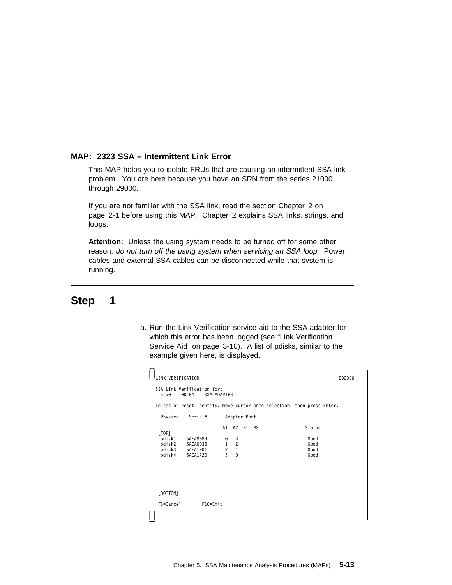### **MAP: 2323 SSA – Intermittent Link Error**

This MAP helps you to isolate FRUs that are causing an intermittent SSA link problem. You are here because you have an SRN from the series 21000 through 29000.

If you are not familiar with the SSA link, read the section Chapter 2 on page 2-1 before using this MAP. Chapter 2 explains SSA links, strings, and loops.

**Attention:** Unless the using system needs to be turned off for some other reason, do not turn off the using system when servicing an SSA loop. Power cables and external SSA cables can be disconnected while that system is running.

# **Step 1**

a. Run the Link Verification service aid to the SSA adapter for which this error has been logged (see "Link Verification Service Aid" on page 3-10). A list of pdisks, similar to the example given here, is displayed.

|                                                                       | LINK VERIFICATION                             |                                                                         |                                                            |                                             |              |  |                                        | 802386 |
|-----------------------------------------------------------------------|-----------------------------------------------|-------------------------------------------------------------------------|------------------------------------------------------------|---------------------------------------------|--------------|--|----------------------------------------|--------|
| SSA Link Verification for:<br>$00 - 04$<br><b>SSA ADAPTER</b><br>ssa0 |                                               |                                                                         |                                                            |                                             |              |  |                                        |        |
|                                                                       |                                               | To set or reset Identify, move cursor onto selection, then press Enter. |                                                            |                                             |              |  |                                        |        |
|                                                                       | Physical                                      | Serial#                                                                 |                                                            |                                             | Adapter Port |  |                                        |        |
|                                                                       | [TOP]<br>pdisk1<br>pdisk2<br>pdisk3<br>pdisk4 | 5AEA8089<br>5AEA0035<br>5AEA1001<br>5AEA1720                            | $\begin{smallmatrix}0\1\end{smallmatrix}$<br>$\frac{2}{3}$ | A1 A2<br>$\frac{3}{2}$<br>$1\,$<br>$\Theta$ | B1 B2        |  | Status<br>Good<br>Good<br>Good<br>Good |        |
|                                                                       | [BOTTOM]<br>F3=Cancel                         | F10=Exit                                                                |                                                            |                                             |              |  |                                        |        |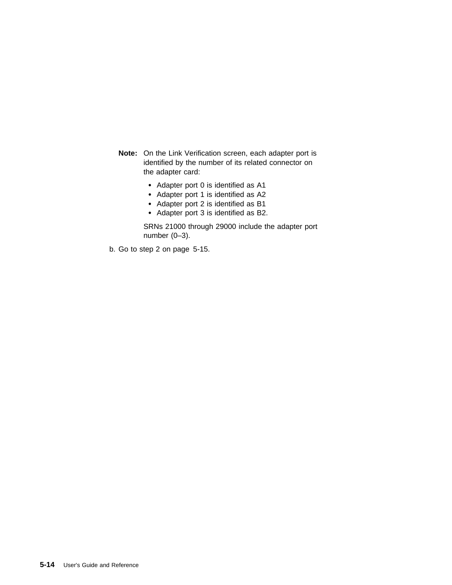**Note:** On the Link Verification screen, each adapter port is identified by the number of its related connector on the adapter card:

- Adapter port 0 is identified as A1
- Adapter port 1 is identified as A2
- Adapter port 2 is identified as B1
- Adapter port 3 is identified as B2.

SRNs 21000 through 29000 include the adapter port number (0–3).

b. Go to step 2 on page 5-15.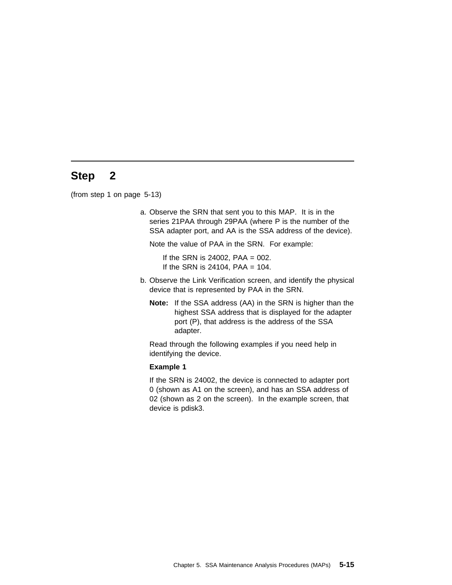(from step 1 on page 5-13)

a. Observe the SRN that sent you to this MAP. It is in the series 21PAA through 29PAA (where P is the number of the SSA adapter port, and AA is the SSA address of the device).

Note the value of PAA in the SRN. For example:

If the SRN is 24002,  $PAA = 002$ . If the SRN is 24104, PAA =  $104$ .

- b. Observe the Link Verification screen, and identify the physical device that is represented by PAA in the SRN.
	- **Note:** If the SSA address (AA) in the SRN is higher than the highest SSA address that is displayed for the adapter port (P), that address is the address of the SSA adapter.

Read through the following examples if you need help in identifying the device.

#### **Example 1**

If the SRN is 24002, the device is connected to adapter port 0 (shown as A1 on the screen), and has an SSA address of 02 (shown as 2 on the screen). In the example screen, that device is pdisk3.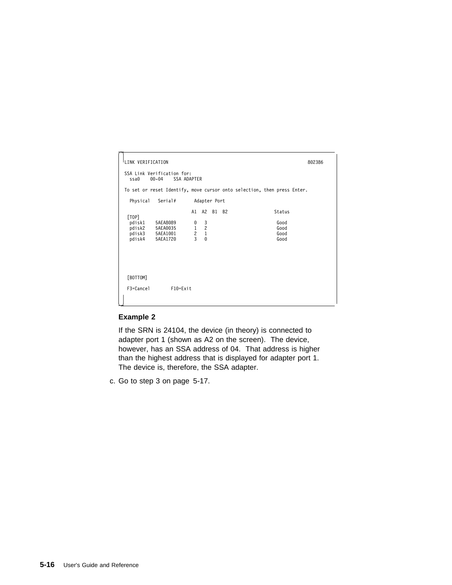```
l<br>LINK VERIFICATION 802386
 SSA Link Verification for:
  ssað ðð-ð4 SSA ADAPTER
 To set or reset Identify, move cursor onto selection, then press Enter.
   Physical Serial# Adapter Port
                      A1 A2 B1 B2 Status
 [TOP]
 pdisk1 5AEA8ð89 ð 3 Good
  pdisk2 5AEA0035 1 2<br>pdisk2 5AEA0035 1 2<br>pdisk3 5AEA1001 2 1 Good<br>pdisk4 5AEA1720 3 0 Good
  pdisk3 5AEA1ðð1 2 1 Good
 pdisk4 5AEA172ð 3 ð Good
  [BOTTOM]
   F3=Cancel F1ð=Exit
\bigcup
```
### **Example 2**

If the SRN is 24104, the device (in theory) is connected to adapter port 1 (shown as A2 on the screen). The device, however, has an SSA address of 04. That address is higher than the highest address that is displayed for adapter port 1. The device is, therefore, the SSA adapter.

c. Go to step 3 on page 5-17.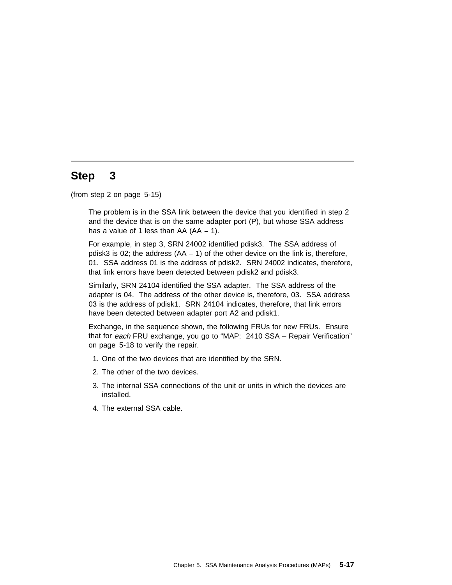(from step 2 on page 5-15)

The problem is in the SSA link between the device that you identified in step 2 and the device that is on the same adapter port (P), but whose SSA address has a value of 1 less than AA (AA − 1).

For example, in step 3, SRN 24002 identified pdisk3. The SSA address of pdisk3 is 02; the address (AA − 1) of the other device on the link is, therefore, 01. SSA address 01 is the address of pdisk2. SRN 24002 indicates, therefore, that link errors have been detected between pdisk2 and pdisk3.

Similarly, SRN 24104 identified the SSA adapter. The SSA address of the adapter is 04. The address of the other device is, therefore, 03. SSA address 03 is the address of pdisk1. SRN 24104 indicates, therefore, that link errors have been detected between adapter port A2 and pdisk1.

Exchange, in the sequence shown, the following FRUs for new FRUs. Ensure that for each FRU exchange, you go to "MAP: 2410 SSA – Repair Verification" on page 5-18 to verify the repair.

- 1. One of the two devices that are identified by the SRN.
- 2. The other of the two devices.
- 3. The internal SSA connections of the unit or units in which the devices are installed.
- 4. The external SSA cable.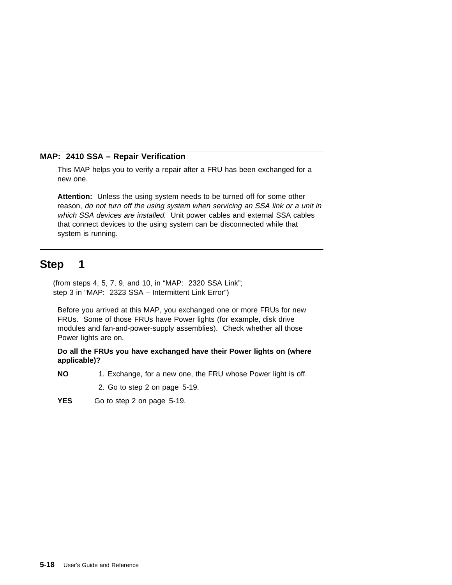## **MAP: 2410 SSA – Repair Verification**

This MAP helps you to verify a repair after a FRU has been exchanged for a new one.

**Attention:** Unless the using system needs to be turned off for some other reason, do not turn off the using system when servicing an SSA link or a unit in which SSA devices are installed. Unit power cables and external SSA cables that connect devices to the using system can be disconnected while that system is running.

# **Step 1**

(from steps 4, 5, 7, 9, and 10, in "MAP: 2320 SSA Link"; step 3 in "MAP: 2323 SSA – Intermittent Link Error")

Before you arrived at this MAP, you exchanged one or more FRUs for new FRUs. Some of those FRUs have Power lights (for example, disk drive modules and fan-and-power-supply assemblies). Check whether all those Power lights are on.

**Do all the FRUs you have exchanged have their Power lights on (where applicable)?**

- **NO** 1. Exchange, for a new one, the FRU whose Power light is off.
	- 2. Go to step 2 on page 5-19.
- **YES** Go to step 2 on page 5-19.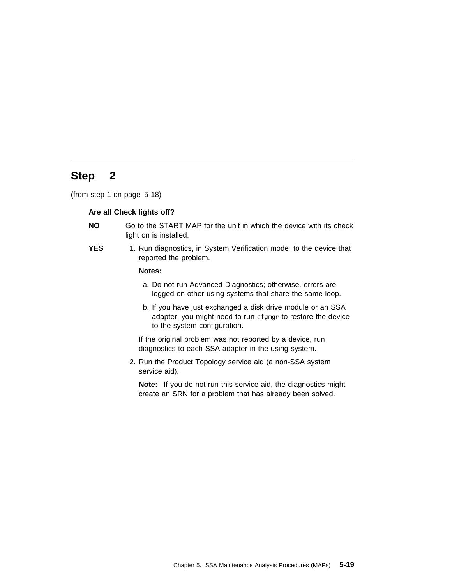(from step 1 on page 5-18)

### **Are all Check lights off?**

- **NO** Go to the START MAP for the unit in which the device with its check light on is installed.
- **YES** 1. Run diagnostics, in System Verification mode, to the device that reported the problem.

### **Notes:**

- a. Do not run Advanced Diagnostics; otherwise, errors are logged on other using systems that share the same loop.
- b. If you have just exchanged a disk drive module or an SSA adapter, you might need to run cfgmgr to restore the device to the system configuration.

If the original problem was not reported by a device, run diagnostics to each SSA adapter in the using system.

2. Run the Product Topology service aid (a non-SSA system service aid).

**Note:** If you do not run this service aid, the diagnostics might create an SRN for a problem that has already been solved.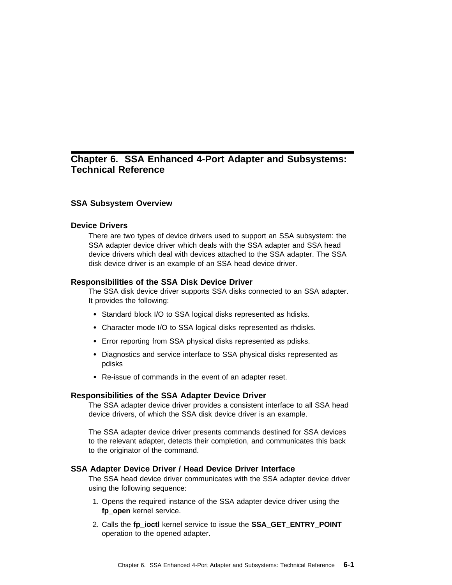# **Chapter 6. SSA Enhanced 4-Port Adapter and Subsystems: Technical Reference**

### **SSA Subsystem Overview**

### **Device Drivers**

There are two types of device drivers used to support an SSA subsystem: the SSA adapter device driver which deals with the SSA adapter and SSA head device drivers which deal with devices attached to the SSA adapter. The SSA disk device driver is an example of an SSA head device driver.

#### **Responsibilities of the SSA Disk Device Driver**

The SSA disk device driver supports SSA disks connected to an SSA adapter. It provides the following:

- Standard block I/O to SSA logical disks represented as hdisks.
- Character mode I/O to SSA logical disks represented as rhdisks.
- Error reporting from SSA physical disks represented as pdisks.
- Diagnostics and service interface to SSA physical disks represented as pdisks
- Re-issue of commands in the event of an adapter reset.

### **Responsibilities of the SSA Adapter Device Driver**

The SSA adapter device driver provides a consistent interface to all SSA head device drivers, of which the SSA disk device driver is an example.

The SSA adapter device driver presents commands destined for SSA devices to the relevant adapter, detects their completion, and communicates this back to the originator of the command.

### **SSA Adapter Device Driver / Head Device Driver Interface**

The SSA head device driver communicates with the SSA adapter device driver using the following sequence:

- 1. Opens the required instance of the SSA adapter device driver using the **fp\_open** kernel service.
- 2. Calls the **fp\_ioctl** kernel service to issue the **SSA\_GET\_ENTRY\_POINT** operation to the opened adapter.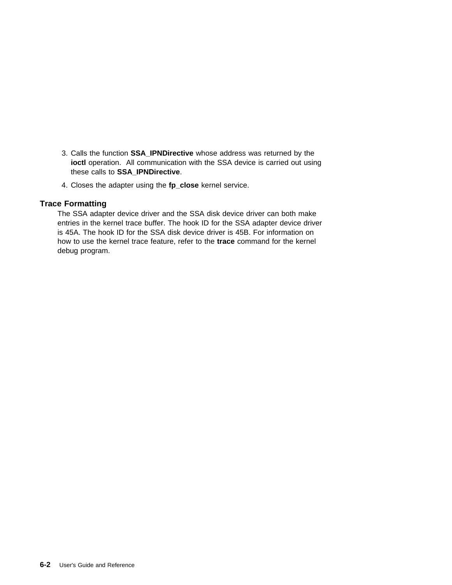- 3. Calls the function **SSA\_IPNDirective** whose address was returned by the **ioctl** operation. All communication with the SSA device is carried out using these calls to **SSA\_IPNDirective**.
- 4. Closes the adapter using the **fp\_close** kernel service.

## **Trace Formatting**

The SSA adapter device driver and the SSA disk device driver can both make entries in the kernel trace buffer. The hook ID for the SSA adapter device driver is 45A. The hook ID for the SSA disk device driver is 45B. For information on how to use the kernel trace feature, refer to the **trace** command for the kernel debug program.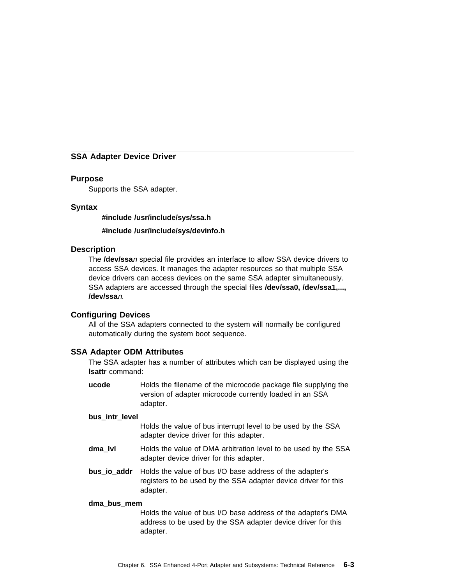### **SSA Adapter Device Driver**

### **Purpose**

Supports the SSA adapter.

## **Syntax**

**#include /usr/include/sys/ssa.h**

**#include /usr/include/sys/devinfo.h**

### **Description**

The **/dev/ssa**n special file provides an interface to allow SSA device drivers to access SSA devices. It manages the adapter resources so that multiple SSA device drivers can access devices on the same SSA adapter simultaneously. SSA adapters are accessed through the special files **/dev/ssa0, /dev/ssa1,..., /dev/ssa**n.

### **Configuring Devices**

All of the SSA adapters connected to the system will normally be configured automatically during the system boot sequence.

### **SSA Adapter ODM Attributes**

The SSA adapter has a number of attributes which can be displayed using the **lsattr** command:

**ucode** Holds the filename of the microcode package file supplying the version of adapter microcode currently loaded in an SSA adapter.

#### **bus\_intr\_level**

Holds the value of bus interrupt level to be used by the SSA adapter device driver for this adapter.

- **dma\_lvl** Holds the value of DMA arbitration level to be used by the SSA adapter device driver for this adapter.
- **bus io addr** Holds the value of bus I/O base address of the adapter's registers to be used by the SSA adapter device driver for this adapter.

#### **dma\_bus\_mem**

Holds the value of bus I/O base address of the adapter's DMA address to be used by the SSA adapter device driver for this adapter.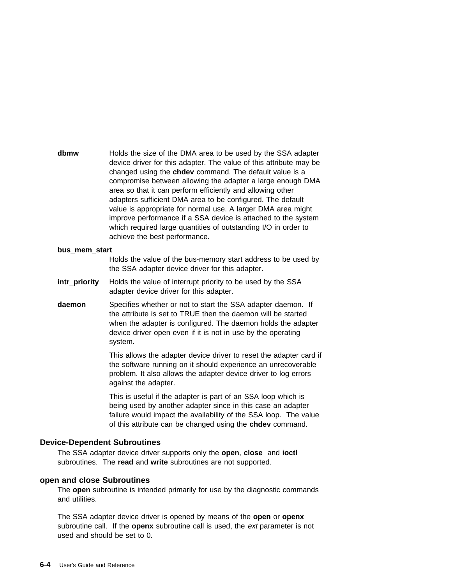**dbmw** Holds the size of the DMA area to be used by the SSA adapter device driver for this adapter. The value of this attribute may be changed using the **chdev** command. The default value is a compromise between allowing the adapter a large enough DMA area so that it can perform efficiently and allowing other adapters sufficient DMA area to be configured. The default value is appropriate for normal use. A larger DMA area might improve performance if a SSA device is attached to the system which required large quantities of outstanding I/O in order to achieve the best performance.

#### **bus\_mem\_start**

Holds the value of the bus-memory start address to be used by the SSA adapter device driver for this adapter.

- **intr\_priority** Holds the value of interrupt priority to be used by the SSA adapter device driver for this adapter.
- **daemon** Specifies whether or not to start the SSA adapter daemon. If the attribute is set to TRUE then the daemon will be started when the adapter is configured. The daemon holds the adapter device driver open even if it is not in use by the operating system.

This allows the adapter device driver to reset the adapter card if the software running on it should experience an unrecoverable problem. It also allows the adapter device driver to log errors against the adapter.

This is useful if the adapter is part of an SSA loop which is being used by another adapter since in this case an adapter failure would impact the availability of the SSA loop. The value of this attribute can be changed using the **chdev** command.

### **Device-Dependent Subroutines**

The SSA adapter device driver supports only the **open**, **close** and **ioctl** subroutines. The **read** and **write** subroutines are not supported.

### **open and close Subroutines**

The **open** subroutine is intended primarily for use by the diagnostic commands and utilities.

The SSA adapter device driver is opened by means of the **open** or **openx** subroutine call. If the **openx** subroutine call is used, the ext parameter is not used and should be set to 0.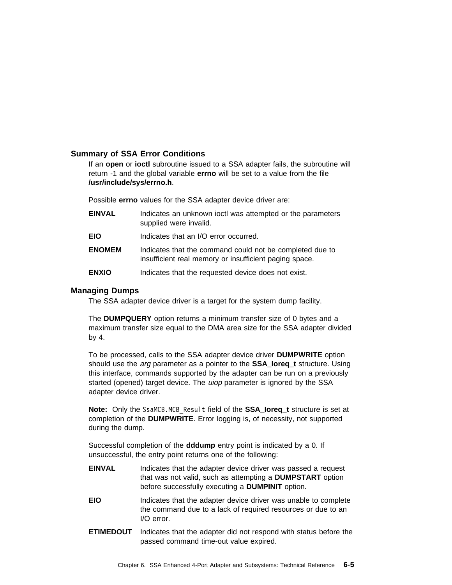### **Summary of SSA Error Conditions**

If an **open** or **ioctl** subroutine issued to a SSA adapter fails, the subroutine will return -1 and the global variable **errno** will be set to a value from the file **/usr/include/sys/errno.h**.

Possible **errno** values for the SSA adapter device driver are:

| <b>EINVAL</b> | Indicates an unknown joctl was attempted or the parameters<br>supplied were invalid.                               |
|---------------|--------------------------------------------------------------------------------------------------------------------|
| <b>EIO</b>    | Indicates that an I/O error occurred.                                                                              |
| <b>ENOMEM</b> | Indicates that the command could not be completed due to<br>insufficient real memory or insufficient paging space. |
| <b>ENXIO</b>  | Indicates that the requested device does not exist.                                                                |

### **Managing Dumps**

The SSA adapter device driver is a target for the system dump facility.

The **DUMPQUERY** option returns a minimum transfer size of 0 bytes and a maximum transfer size equal to the DMA area size for the SSA adapter divided by 4.

To be processed, calls to the SSA adapter device driver **DUMPWRITE** option should use the arg parameter as a pointer to the **SSA\_Ioreq\_t** structure. Using this interface, commands supported by the adapter can be run on a previously started (opened) target device. The *uiop* parameter is ignored by the SSA adapter device driver.

**Note:** Only the SsaMCB.MCB\_Result field of the **SSA\_Ioreq\_t** structure is set at completion of the **DUMPWRITE**. Error logging is, of necessity, not supported during the dump.

Successful completion of the **dddump** entry point is indicated by a 0. If unsuccessful, the entry point returns one of the following:

- **EINVAL** Indicates that the adapter device driver was passed a request that was not valid, such as attempting a **DUMPSTART** option before successfully executing a **DUMPINIT** option.
- **EIO** Indicates that the adapter device driver was unable to complete the command due to a lack of required resources or due to an I/O error.
- **ETIMEDOUT** Indicates that the adapter did not respond with status before the passed command time-out value expired.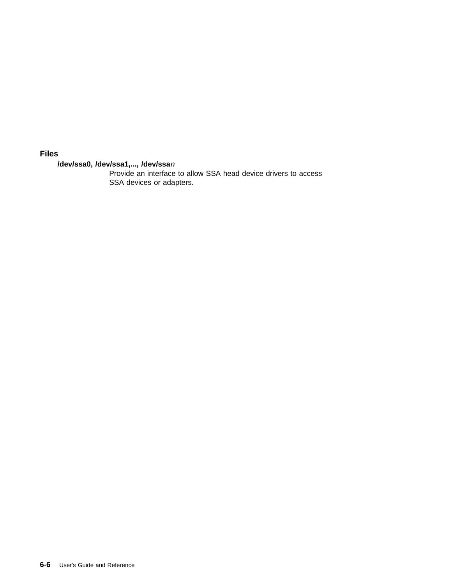## **Files**

## **/dev/ssa0, /dev/ssa1,..., /dev/ssa**<sup>n</sup>

Provide an interface to allow SSA head device drivers to access SSA devices or adapters.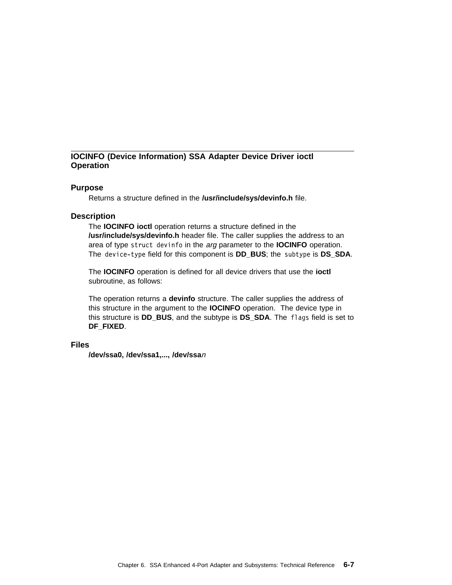# **IOCINFO (Device Information) SSA Adapter Device Driver ioctl Operation**

### **Purpose**

Returns a structure defined in the **/usr/include/sys/devinfo.h** file.

## **Description**

The **IOCINFO ioctl** operation returns a structure defined in the **/usr/include/sys/devinfo.h** header file. The caller supplies the address to an area of type struct devinfo in the arg parameter to the **IOCINFO** operation. The device-type field for this component is **DD\_BUS**; the subtype is **DS\_SDA**.

The **IOCINFO** operation is defined for all device drivers that use the **ioctl** subroutine, as follows:

The operation returns a **devinfo** structure. The caller supplies the address of this structure in the argument to the **IOCINFO** operation. The device type in this structure is **DD\_BUS**, and the subtype is **DS\_SDA**. The flags field is set to **DF\_FIXED**.

## **Files**

**/dev/ssa0, /dev/ssa1,..., /dev/ssa**<sup>n</sup>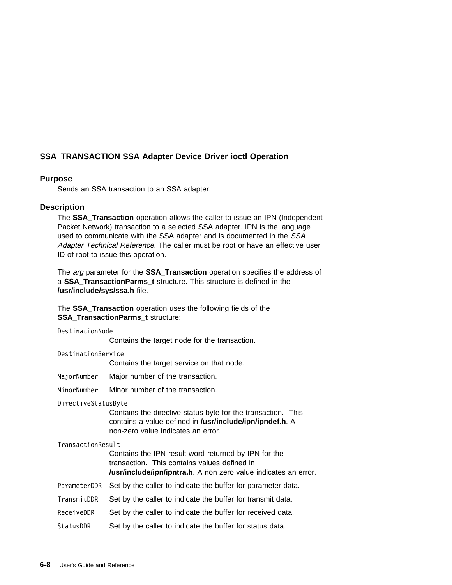# **SSA\_TRANSACTION SSA Adapter Device Driver ioctl Operation**

# **Purpose**

Sends an SSA transaction to an SSA adapter.

# **Description**

The **SSA\_Transaction** operation allows the caller to issue an IPN (Independent Packet Network) transaction to a selected SSA adapter. IPN is the language used to communicate with the SSA adapter and is documented in the SSA Adapter Technical Reference. The caller must be root or have an effective user ID of root to issue this operation.

The arg parameter for the **SSA\_Transaction** operation specifies the address of a **SSA\_TransactionParms\_t** structure. This structure is defined in the **/usr/include/sys/ssa.h** file.

The **SSA\_Transaction** operation uses the following fields of the **SSA TransactionParms t structure:** 

#### DestinationNode

Contains the target node for the transaction.

#### DestinationService

Contains the target service on that node.

- MajorNumber Major number of the transaction.
- MinorNumber Minor number of the transaction.

#### DirectiveStatusByte

Contains the directive status byte for the transaction. This contains a value defined in **/usr/include/ipn/ipndef.h**. A non-zero value indicates an error.

#### TransactionResult

Contains the IPN result word returned by IPN for the transaction. This contains values defined in **/usr/include/ipn/ipntra.h**. A non zero value indicates an error.

- ParameterDDR Set by the caller to indicate the buffer for parameter data.
- TransmitDDR Set by the caller to indicate the buffer for transmit data.
- ReceiveDDR Set by the caller to indicate the buffer for received data.
- StatusDDR Set by the caller to indicate the buffer for status data.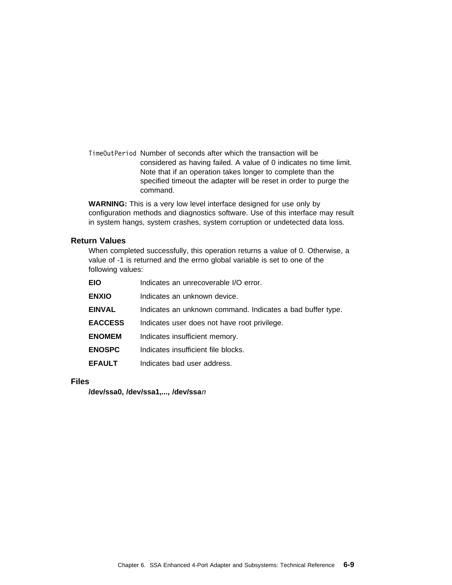TimeOutPeriod Number of seconds after which the transaction will be considered as having failed. A value of 0 indicates no time limit. Note that if an operation takes longer to complete than the specified timeout the adapter will be reset in order to purge the command.

**WARNING:** This is a very low level interface designed for use only by configuration methods and diagnostics software. Use of this interface may result in system hangs, system crashes, system corruption or undetected data loss.

# **Return Values**

When completed successfully, this operation returns a value of 0. Otherwise, a value of -1 is returned and the errno global variable is set to one of the following values:

| <b>EIO</b>     | Indicates an unrecoverable I/O error.                      |
|----------------|------------------------------------------------------------|
| <b>ENXIO</b>   | Indicates an unknown device.                               |
| <b>EINVAL</b>  | Indicates an unknown command. Indicates a bad buffer type. |
| <b>EACCESS</b> | Indicates user does not have root privilege.               |
| <b>ENOMEM</b>  | Indicates insufficient memory.                             |
| <b>ENOSPC</b>  | Indicates insufficient file blocks.                        |
| <b>EFAULT</b>  | Indicates bad user address.                                |

# **Files**

**/dev/ssa0, /dev/ssa1,..., /dev/ssa**<sup>n</sup>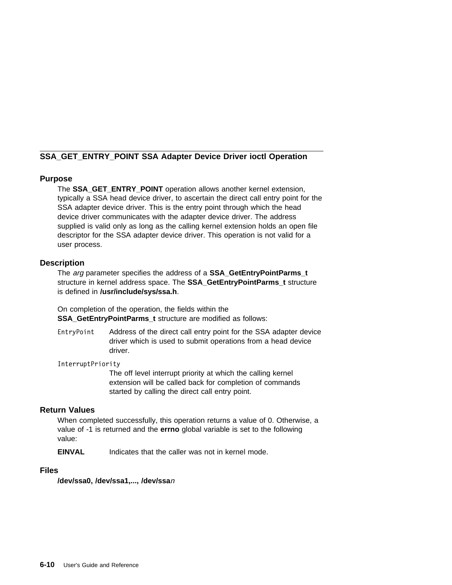# **SSA\_GET\_ENTRY\_POINT SSA Adapter Device Driver ioctl Operation**

# **Purpose**

The **SSA GET ENTRY POINT** operation allows another kernel extension, typically a SSA head device driver, to ascertain the direct call entry point for the SSA adapter device driver. This is the entry point through which the head device driver communicates with the adapter device driver. The address supplied is valid only as long as the calling kernel extension holds an open file descriptor for the SSA adapter device driver. This operation is not valid for a user process.

# **Description**

The arg parameter specifies the address of a **SSA\_GetEntryPointParms\_t** structure in kernel address space. The **SSA\_GetEntryPointParms\_t** structure is defined in **/usr/include/sys/ssa.h**.

On completion of the operation, the fields within the **SSA\_GetEntryPointParms\_t** structure are modified as follows:

EntryPoint Address of the direct call entry point for the SSA adapter device driver which is used to submit operations from a head device driver.

InterruptPriority

The off level interrupt priority at which the calling kernel extension will be called back for completion of commands started by calling the direct call entry point.

# **Return Values**

When completed successfully, this operation returns a value of 0. Otherwise, a value of -1 is returned and the **errno** global variable is set to the following value:

**EINVAL** Indicates that the caller was not in kernel mode.

## **Files**

**/dev/ssa0, /dev/ssa1,..., /dev/ssa**<sup>n</sup>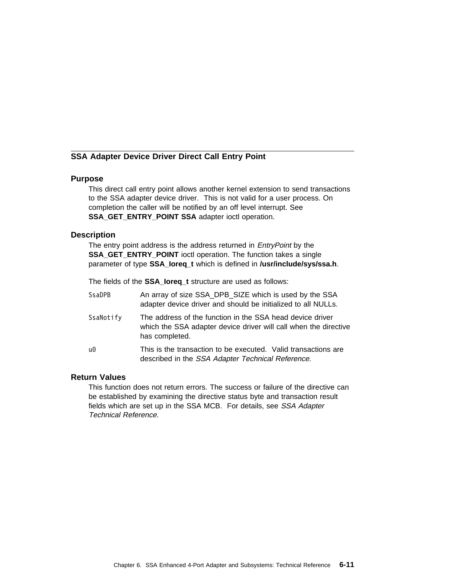# **SSA Adapter Device Driver Direct Call Entry Point**

## **Purpose**

This direct call entry point allows another kernel extension to send transactions to the SSA adapter device driver. This is not valid for a user process. On completion the caller will be notified by an off level interrupt. See **SSA\_GET\_ENTRY\_POINT SSA** adapter ioctl operation.

### **Description**

The entry point address is the address returned in *EntryPoint* by the **SSA\_GET\_ENTRY\_POINT** ioctl operation. The function takes a single parameter of type **SSA\_Ioreq\_t** which is defined in **/usr/include/sys/ssa.h**.

The fields of the **SSA\_Ioreq\_t** structure are used as follows:

| <b>SsaDPB</b> | An array of size SSA_DPB_SIZE which is used by the SSA<br>adapter device driver and should be initialized to all NULLs.                         |
|---------------|-------------------------------------------------------------------------------------------------------------------------------------------------|
| SsaNotify     | The address of the function in the SSA head device driver<br>which the SSA adapter device driver will call when the directive<br>has completed. |
| u0            | This is the transaction to be executed. Valid transactions are<br>described in the SSA Adapter Technical Reference.                             |

# **Return Values**

This function does not return errors. The success or failure of the directive can be established by examining the directive status byte and transaction result fields which are set up in the SSA MCB. For details, see SSA Adapter Technical Reference.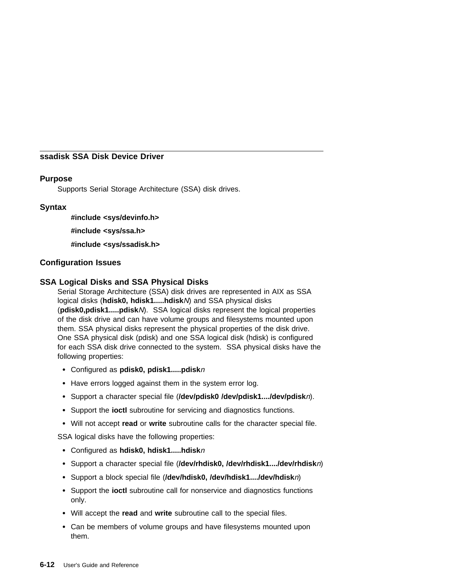# **ssadisk SSA Disk Device Driver**

# **Purpose**

Supports Serial Storage Architecture (SSA) disk drives.

# **Syntax**

**#include <sys/devinfo.h>**

**#include <sys/ssa.h>**

**#include <sys/ssadisk.h>**

# **Configuration Issues**

# **SSA Logical Disks and SSA Physical Disks**

Serial Storage Architecture (SSA) disk drives are represented in AIX as SSA logical disks (**hdisk0, hdisk1.....hdisk**N) and SSA physical disks (**pdisk0,pdisk1.....pdisk**N). SSA logical disks represent the logical properties of the disk drive and can have volume groups and filesystems mounted upon them. SSA physical disks represent the physical properties of the disk drive. One SSA physical disk (pdisk) and one SSA logical disk (hdisk) is configured for each SSA disk drive connected to the system. SSA physical disks have the following properties:

- Configured as **pdisk0, pdisk1.....pdisk**<sup>n</sup>
- Have errors logged against them in the system error log.
- Support a character special file (**/dev/pdisk0 /dev/pdisk1..../dev/pdisk**n).
- Support the **ioctl** subroutine for servicing and diagnostics functions.
- Will not accept **read** or **write** subroutine calls for the character special file.

SSA logical disks have the following properties:

- Configured as **hdisk0, hdisk1.....hdisk**<sup>n</sup>
- Support a character special file (**/dev/rhdisk0, /dev/rhdisk1..../dev/rhdisk**n)
- Support a block special file (**/dev/hdisk0, /dev/hdisk1..../dev/hdisk**n)
- Support the **ioctl** subroutine call for nonservice and diagnostics functions only.
- Will accept the **read** and **write** subroutine call to the special files.
- Can be members of volume groups and have filesystems mounted upon them.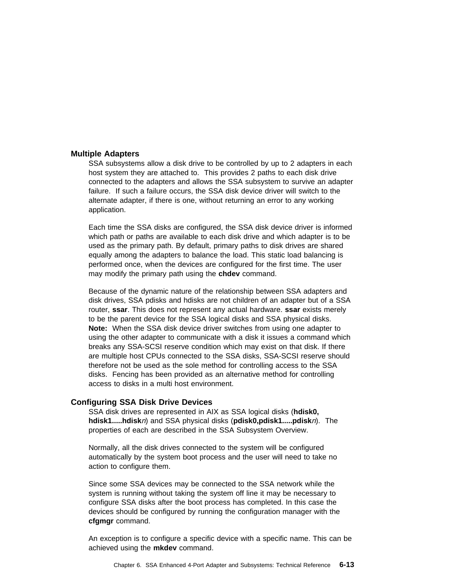#### **Multiple Adapters**

SSA subsystems allow a disk drive to be controlled by up to 2 adapters in each host system they are attached to. This provides 2 paths to each disk drive connected to the adapters and allows the SSA subsystem to survive an adapter failure. If such a failure occurs, the SSA disk device driver will switch to the alternate adapter, if there is one, without returning an error to any working application.

Each time the SSA disks are configured, the SSA disk device driver is informed which path or paths are available to each disk drive and which adapter is to be used as the primary path. By default, primary paths to disk drives are shared equally among the adapters to balance the load. This static load balancing is performed once, when the devices are configured for the first time. The user may modify the primary path using the **chdev** command.

Because of the dynamic nature of the relationship between SSA adapters and disk drives, SSA pdisks and hdisks are not children of an adapter but of a SSA router, **ssar**. This does not represent any actual hardware. **ssar** exists merely to be the parent device for the SSA logical disks and SSA physical disks. **Note:** When the SSA disk device driver switches from using one adapter to using the other adapter to communicate with a disk it issues a command which breaks any SSA-SCSI reserve condition which may exist on that disk. If there are multiple host CPUs connected to the SSA disks, SSA-SCSI reserve should therefore not be used as the sole method for controlling access to the SSA disks. Fencing has been provided as an alternative method for controlling access to disks in a multi host environment.

### **Configuring SSA Disk Drive Devices**

SSA disk drives are represented in AIX as SSA logical disks (**hdisk0, hdisk1.....hdisk**n) and SSA physical disks (**pdisk0,pdisk1.....pdisk**n). The properties of each are described in the SSA Subsystem Overview.

Normally, all the disk drives connected to the system will be configured automatically by the system boot process and the user will need to take no action to configure them.

Since some SSA devices may be connected to the SSA network while the system is running without taking the system off line it may be necessary to configure SSA disks after the boot process has completed. In this case the devices should be configured by running the configuration manager with the **cfgmgr** command.

An exception is to configure a specific device with a specific name. This can be achieved using the **mkdev** command.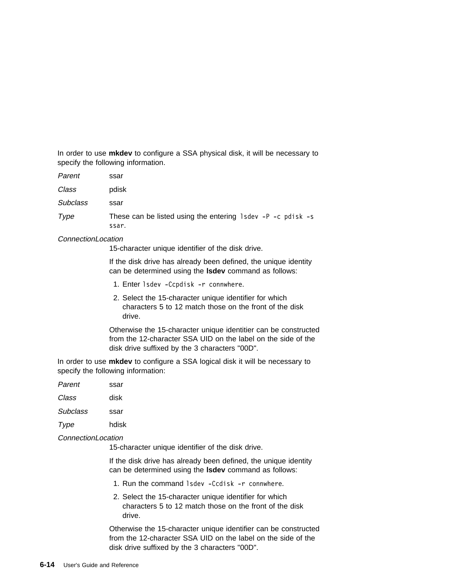In order to use **mkdev** to configure a SSA physical disk, it will be necessary to specify the following information.

| Parent          | ssar                                                                    |
|-----------------|-------------------------------------------------------------------------|
| Class           | pdisk                                                                   |
| <b>Subclass</b> | ssar                                                                    |
| Type            | These can be listed using the entering $1$ sdev -P -c pdisk -s<br>ssar. |

### ConnectionLocation

15-character unique identifier of the disk drive.

If the disk drive has already been defined, the unique identity can be determined using the **lsdev** command as follows:

- 1. Enter lsdev -Ccpdisk -r connwhere.
- 2. Select the 15-character unique identifier for which characters 5 to 12 match those on the front of the disk drive.

Otherwise the 15-character unique identitier can be constructed from the 12-character SSA UID on the label on the side of the disk drive suffixed by the 3 characters "00D".

In order to use **mkdev** to configure a SSA logical disk it will be necessary to specify the following information:

| Parent          | ssar  |
|-----------------|-------|
| Class           | disk  |
| <b>Subclass</b> | ssar  |
| Type            | hdisk |
|                 |       |

# ConnectionLocation

15-character unique identifier of the disk drive.

If the disk drive has already been defined, the unique identity can be determined using the **lsdev** command as follows:

- 1. Run the command lsdev -Ccdisk -r connwhere.
- 2. Select the 15-character unique identifier for which characters 5 to 12 match those on the front of the disk drive.

Otherwise the 15-character unique identifier can be constructed from the 12-character SSA UID on the label on the side of the disk drive suffixed by the 3 characters "00D".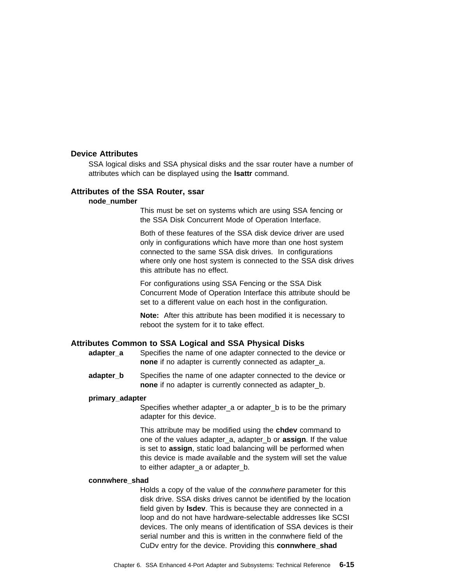### **Device Attributes**

SSA logical disks and SSA physical disks and the ssar router have a number of attributes which can be displayed using the **lsattr** command.

#### **Attributes of the SSA Router, ssar**

#### **node\_number**

This must be set on systems which are using SSA fencing or the SSA Disk Concurrent Mode of Operation Interface.

Both of these features of the SSA disk device driver are used only in configurations which have more than one host system connected to the same SSA disk drives. In configurations where only one host system is connected to the SSA disk drives this attribute has no effect.

For configurations using SSA Fencing or the SSA Disk Concurrent Mode of Operation Interface this attribute should be set to a different value on each host in the configuration.

**Note:** After this attribute has been modified it is necessary to reboot the system for it to take effect.

#### **Attributes Common to SSA Logical and SSA Physical Disks**

- **adapter a** Specifies the name of one adapter connected to the device or **none** if no adapter is currently connected as adapter\_a.
- **adapter b** Specifies the name of one adapter connected to the device or **none** if no adapter is currently connected as adapter\_b.

### **primary\_adapter**

Specifies whether adapter a or adapter b is to be the primary adapter for this device.

This attribute may be modified using the **chdev** command to one of the values adapter\_a, adapter\_b or **assign**. If the value is set to **assign**, static load balancing will be performed when this device is made available and the system will set the value to either adapter\_a or adapter\_b.

### **connwhere\_shad**

Holds a copy of the value of the *connwhere* parameter for this disk drive. SSA disks drives cannot be identified by the location field given by **lsdev**. This is because they are connected in a loop and do not have hardware-selectable addresses like SCSI devices. The only means of identification of SSA devices is their serial number and this is written in the connwhere field of the CuDv entry for the device. Providing this **connwhere\_shad**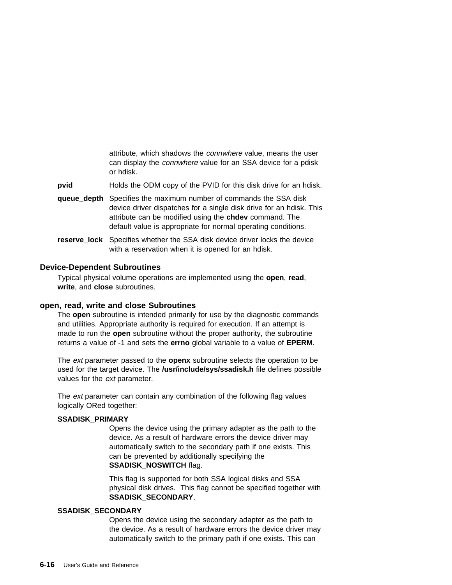attribute, which shadows the connwhere value, means the user can display the connwhere value for an SSA device for a pdisk or hdisk.

**pvid** Holds the ODM copy of the PVID for this disk drive for an hdisk.

- **queue depth** Specifies the maximum number of commands the SSA disk device driver dispatches for a single disk drive for an hdisk. This attribute can be modified using the **chdev** command. The default value is appropriate for normal operating conditions.
- **reserve\_lock** Specifies whether the SSA disk device driver locks the device with a reservation when it is opened for an hdisk.

### **Device-Dependent Subroutines**

Typical physical volume operations are implemented using the **open**, **read**, **write**, and **close** subroutines.

## **open, read, write and close Subroutines**

The **open** subroutine is intended primarily for use by the diagnostic commands and utilities. Appropriate authority is required for execution. If an attempt is made to run the **open** subroutine without the proper authority, the subroutine returns a value of -1 and sets the **errno** global variable to a value of **EPERM**.

The ext parameter passed to the **openx** subroutine selects the operation to be used for the target device. The **/usr/include/sys/ssadisk.h** file defines possible values for the *ext* parameter.

The *ext* parameter can contain any combination of the following flag values logically ORed together:

#### **SSADISK\_PRIMARY**

Opens the device using the primary adapter as the path to the device. As a result of hardware errors the device driver may automatically switch to the secondary path if one exists. This can be prevented by additionally specifying the **SSADISK\_NOSWITCH** flag.

This flag is supported for both SSA logical disks and SSA physical disk drives. This flag cannot be specified together with **SSADISK\_SECONDARY**.

#### **SSADISK\_SECONDARY**

Opens the device using the secondary adapter as the path to the device. As a result of hardware errors the device driver may automatically switch to the primary path if one exists. This can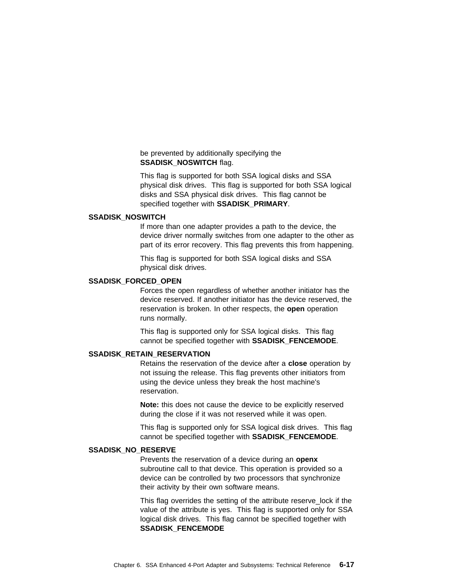## be prevented by additionally specifying the **SSADISK\_NOSWITCH flag.**

This flag is supported for both SSA logical disks and SSA physical disk drives. This flag is supported for both SSA logical disks and SSA physical disk drives. This flag cannot be specified together with **SSADISK\_PRIMARY**.

#### **SSADISK\_NOSWITCH**

If more than one adapter provides a path to the device, the device driver normally switches from one adapter to the other as part of its error recovery. This flag prevents this from happening.

This flag is supported for both SSA logical disks and SSA physical disk drives.

### **SSADISK\_FORCED\_OPEN**

Forces the open regardless of whether another initiator has the device reserved. If another initiator has the device reserved, the reservation is broken. In other respects, the **open** operation runs normally.

This flag is supported only for SSA logical disks. This flag cannot be specified together with **SSADISK\_FENCEMODE**.

### **SSADISK\_RETAIN\_RESERVATION**

Retains the reservation of the device after a **close** operation by not issuing the release. This flag prevents other initiators from using the device unless they break the host machine's reservation.

**Note:** this does not cause the device to be explicitly reserved during the close if it was not reserved while it was open.

This flag is supported only for SSA logical disk drives. This flag cannot be specified together with **SSADISK\_FENCEMODE**.

#### **SSADISK\_NO\_RESERVE**

Prevents the reservation of a device during an **openx** subroutine call to that device. This operation is provided so a device can be controlled by two processors that synchronize their activity by their own software means.

This flag overrides the setting of the attribute reserve lock if the value of the attribute is yes. This flag is supported only for SSA logical disk drives. This flag cannot be specified together with **SSADISK\_FENCEMODE**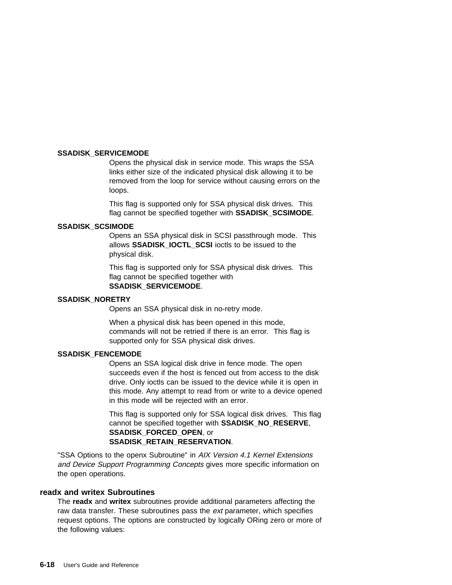### **SSADISK\_SERVICEMODE**

Opens the physical disk in service mode. This wraps the SSA links either size of the indicated physical disk allowing it to be removed from the loop for service without causing errors on the loops.

This flag is supported only for SSA physical disk drives. This flag cannot be specified together with **SSADISK\_SCSIMODE**.

#### **SSADISK\_SCSIMODE**

Opens an SSA physical disk in SCSI passthrough mode. This allows **SSADISK\_IOCTL\_SCSI** ioctls to be issued to the physical disk.

This flag is supported only for SSA physical disk drives. This flag cannot be specified together with **SSADISK\_SERVICEMODE**.

#### **SSADISK\_NORETRY**

Opens an SSA physical disk in no-retry mode.

When a physical disk has been opened in this mode, commands will not be retried if there is an error. This flag is supported only for SSA physical disk drives.

### **SSADISK\_FENCEMODE**

Opens an SSA logical disk drive in fence mode. The open succeeds even if the host is fenced out from access to the disk drive. Only ioctls can be issued to the device while it is open in this mode. Any attempt to read from or write to a device opened in this mode will be rejected with an error.

This flag is supported only for SSA logical disk drives. This flag cannot be specified together with **SSADISK\_NO\_RESERVE**, **SSADISK\_FORCED\_OPEN**, or **SSADISK\_RETAIN\_RESERVATION**.

"SSA Options to the openx Subroutine" in AIX Version 4.1 Kernel Extensions and Device Support Programming Concepts gives more specific information on the open operations.

## **readx and writex Subroutines**

The **readx** and **writex** subroutines provide additional parameters affecting the raw data transfer. These subroutines pass the *ext* parameter, which specifies request options. The options are constructed by logically ORing zero or more of the following values: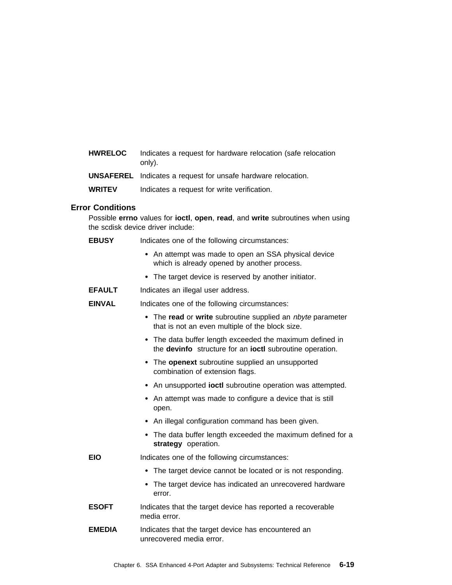| <b>HWRELOC</b> | Indicates a request for hardware relocation (safe relocation |
|----------------|--------------------------------------------------------------|
|                | only).                                                       |

**UNSAFEREL** Indicates a request for unsafe hardware relocation.

**WRITEV** Indicates a request for write verification.

# **Error Conditions**

Possible **errno** values for **ioctl**, **open**, **read**, and **write** subroutines when using the scdisk device driver include:

| <b>EBUSY</b> |  |  |  | Indicates one of the following circumstances: |
|--------------|--|--|--|-----------------------------------------------|
|--------------|--|--|--|-----------------------------------------------|

- An attempt was made to open an SSA physical device which is already opened by another process.
- The target device is reserved by another initiator.
- **EFAULT** Indicates an illegal user address.
- **EINVAL** Indicates one of the following circumstances:
	- The **read** or **write** subroutine supplied an nbyte parameter that is not an even multiple of the block size.
	- The data buffer length exceeded the maximum defined in the **devinfo** structure for an **ioctl** subroutine operation.
	- The **openext** subroutine supplied an unsupported combination of extension flags.
	- An unsupported **ioctl** subroutine operation was attempted.
	- An attempt was made to configure a device that is still open.
	- An illegal configuration command has been given.
	- The data buffer length exceeded the maximum defined for a **strategy** operation.
- **EIO** Indicates one of the following circumstances:
	- The target device cannot be located or is not responding.
	- The target device has indicated an unrecovered hardware error.
- **ESOFT** Indicates that the target device has reported a recoverable media error.
- **EMEDIA** Indicates that the target device has encountered an unrecovered media error.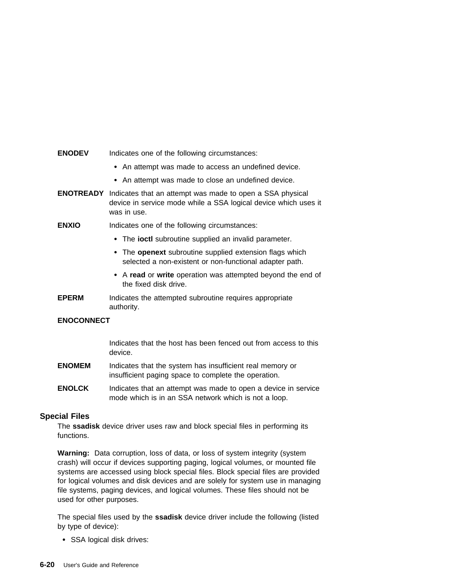#### **ENODEV** Indicates one of the following circumstances:

- An attempt was made to access an undefined device.
- An attempt was made to close an undefined device.
- **ENOTREADY** Indicates that an attempt was made to open a SSA physical device in service mode while a SSA logical device which uses it was in use.
- **ENXIO** Indicates one of the following circumstances:
	- The **ioctl** subroutine supplied an invalid parameter.
	- The **openext** subroutine supplied extension flags which selected a non-existent or non-functional adapter path.
	- A **read** or **write** operation was attempted beyond the end of the fixed disk drive.
- **EPERM** Indicates the attempted subroutine requires appropriate authority.

## **ENOCONNECT**

Indicates that the host has been fenced out from access to this device.

- **ENOMEM** Indicates that the system has insufficient real memory or insufficient paging space to complete the operation.
- **ENOLCK** Indicates that an attempt was made to open a device in service mode which is in an SSA network which is not a loop.

## **Special Files**

The **ssadisk** device driver uses raw and block special files in performing its functions.

**Warning:** Data corruption, loss of data, or loss of system integrity (system crash) will occur if devices supporting paging, logical volumes, or mounted file systems are accessed using block special files. Block special files are provided for logical volumes and disk devices and are solely for system use in managing file systems, paging devices, and logical volumes. These files should not be used for other purposes.

The special files used by the **ssadisk** device driver include the following (listed by type of device):

• SSA logical disk drives: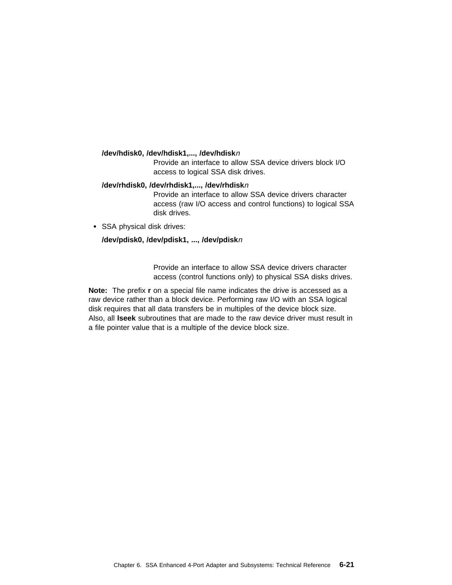#### **/dev/hdisk0, /dev/hdisk1,..., /dev/hdisk**<sup>n</sup>

Provide an interface to allow SSA device drivers block I/O access to logical SSA disk drives.

#### **/dev/rhdisk0, /dev/rhdisk1,..., /dev/rhdisk**<sup>n</sup>

Provide an interface to allow SSA device drivers character access (raw I/O access and control functions) to logical SSA disk drives.

• SSA physical disk drives:

### **/dev/pdisk0, /dev/pdisk1, ..., /dev/pdisk**<sup>n</sup>

Provide an interface to allow SSA device drivers character access (control functions only) to physical SSA disks drives.

**Note:** The prefix **r** on a special file name indicates the drive is accessed as a raw device rather than a block device. Performing raw I/O with an SSA logical disk requires that all data transfers be in multiples of the device block size. Also, all **lseek** subroutines that are made to the raw device driver must result in a file pointer value that is a multiple of the device block size.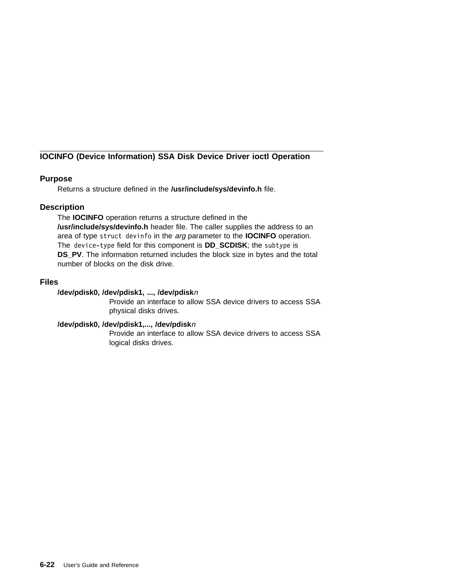# **IOCINFO (Device Information) SSA Disk Device Driver ioctl Operation**

# **Purpose**

Returns a structure defined in the **/usr/include/sys/devinfo.h** file.

# **Description**

The **IOCINFO** operation returns a structure defined in the **/usr/include/sys/devinfo.h** header file. The caller supplies the address to an area of type struct devinfo in the arg parameter to the **IOCINFO** operation. The device-type field for this component is **DD\_SCDISK**; the subtype is **DS\_PV**. The information returned includes the block size in bytes and the total number of blocks on the disk drive.

# **Files**

# **/dev/pdisk0, /dev/pdisk1, ..., /dev/pdisk**<sup>n</sup>

Provide an interface to allow SSA device drivers to access SSA physical disks drives.

## **/dev/pdisk0, /dev/pdisk1,..., /dev/pdisk**<sup>n</sup>

Provide an interface to allow SSA device drivers to access SSA logical disks drives.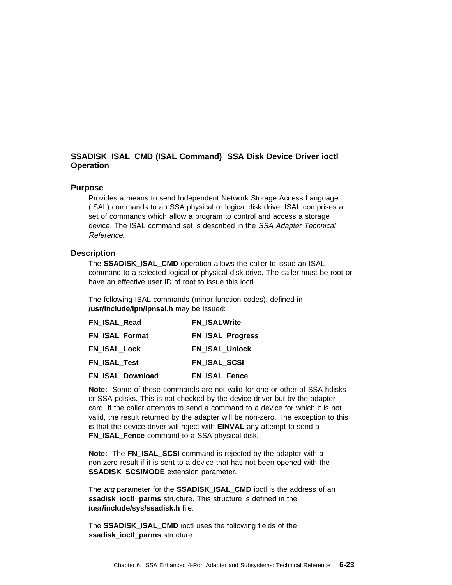# **SSADISK\_ISAL\_CMD (ISAL Command) SSA Disk Device Driver ioctl Operation**

### **Purpose**

Provides a means to send Independent Network Storage Access Language (ISAL) commands to an SSA physical or logical disk drive. ISAL comprises a set of commands which allow a program to control and access a storage device. The ISAL command set is described in the SSA Adapter Technical Reference.

#### **Description**

The **SSADISK\_ISAL\_CMD** operation allows the caller to issue an ISAL command to a selected logical or physical disk drive. The caller must be root or have an effective user ID of root to issue this ioctl.

The following ISAL commands (minor function codes), defined in **/usr/include/ipn/ipnsal.h** may be issued:

| FN ISAL Read          | <b>FN ISALWrite</b>     |
|-----------------------|-------------------------|
| <b>FN ISAL Format</b> | <b>FN_ISAL_Progress</b> |
| <b>FN ISAL Lock</b>   | <b>FN ISAL Unlock</b>   |
| <b>FN ISAL Test</b>   | FN ISAL SCSI            |
| FN_ISAL_Download      | FN_ISAL_Fence           |

**Note:** Some of these commands are not valid for one or other of SSA hdisks or SSA pdisks. This is not checked by the device driver but by the adapter card. If the caller attempts to send a command to a device for which it is not valid, the result returned by the adapter will be non-zero. The exception to this is that the device driver will reject with **EINVAL** any attempt to send a **FN\_ISAL\_Fence** command to a SSA physical disk.

**Note:** The FN ISAL SCSI command is rejected by the adapter with a non-zero result if it is sent to a device that has not been opened with the **SSADISK\_SCSIMODE** extension parameter.

The *arg* parameter for the **SSADISK ISAL CMD** ioctl is the address of an ssadisk **ioctl parms** structure. This structure is defined in the **/usr/include/sys/ssadisk.h** file.

The **SSADISK\_ISAL\_CMD** ioctl uses the following fields of the **ssadisk\_ioctl\_parms** structure: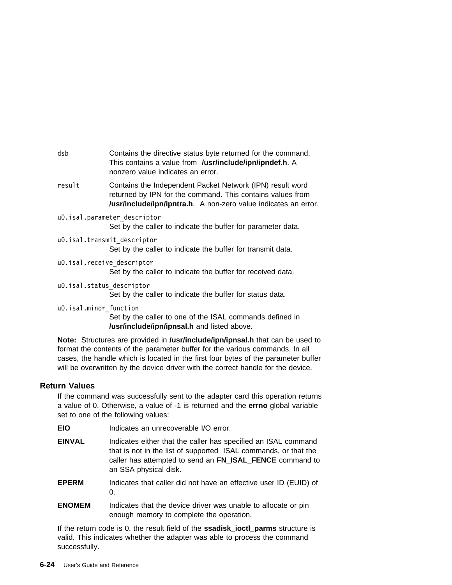dsb Contains the directive status byte returned for the command. This contains a value from **/usr/include/ipn/ipndef.h**. A nonzero value indicates an error.

- result Contains the Independent Packet Network (IPN) result word returned by IPN for the command. This contains values from **/usr/include/ipn/ipntra.h**. A non-zero value indicates an error.
- uð.isal.parameter\_descriptor Set by the caller to indicate the buffer for parameter data.
- uð.isal.transmit\_descriptor Set by the caller to indicate the buffer for transmit data.
- uð.isal.receive\_descriptor

Set by the caller to indicate the buffer for received data.

- uð.isal.status\_descriptor Set by the caller to indicate the buffer for status data.
- uð.isal.minor\_function Set by the caller to one of the ISAL commands defined in

**/usr/include/ipn/ipnsal.h** and listed above.

**Note:** Structures are provided in **/usr/include/ipn/ipnsal.h** that can be used to format the contents of the parameter buffer for the various commands. In all cases, the handle which is located in the first four bytes of the parameter buffer will be overwritten by the device driver with the correct handle for the device.

# **Return Values**

If the command was successfully sent to the adapter card this operation returns a value of 0. Otherwise, a value of -1 is returned and the **errno** global variable set to one of the following values:

| <b>EIO</b>    | Indicates an unrecoverable I/O error.                                                                                                                                                                                  |
|---------------|------------------------------------------------------------------------------------------------------------------------------------------------------------------------------------------------------------------------|
| <b>EINVAL</b> | Indicates either that the caller has specified an ISAL command<br>that is not in the list of supported ISAL commands, or that the<br>caller has attempted to send an FN_ISAL_FENCE command to<br>an SSA physical disk. |
| <b>EPERM</b>  | Indicates that caller did not have an effective user ID (EUID) of<br>0.                                                                                                                                                |
| <b>ENOMEM</b> | Indicates that the device driver was unable to allocate or pin<br>enough memory to complete the operation.                                                                                                             |
|               |                                                                                                                                                                                                                        |

If the return code is 0, the result field of the **ssadisk\_ioctl\_parms** structure is valid. This indicates whether the adapter was able to process the command successfully.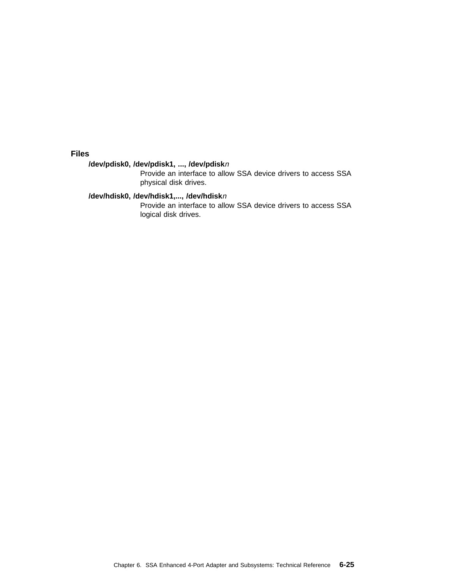**Files**

# **/dev/pdisk0, /dev/pdisk1, ..., /dev/pdisk**<sup>n</sup>

Provide an interface to allow SSA device drivers to access SSA physical disk drives.

## **/dev/hdisk0, /dev/hdisk1,..., /dev/hdisk**<sup>n</sup>

Provide an interface to allow SSA device drivers to access SSA logical disk drives.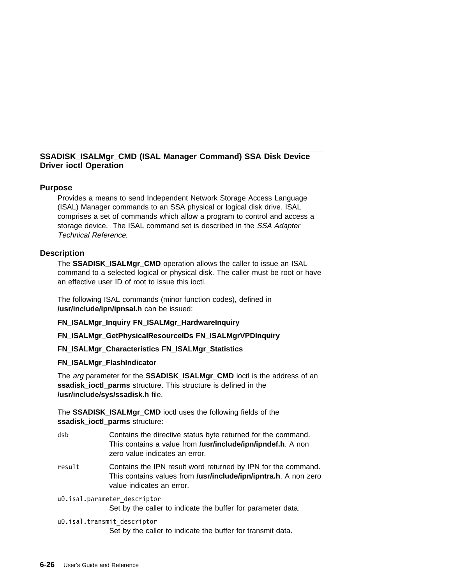# **SSADISK\_ISALMgr\_CMD (ISAL Manager Command) SSA Disk Device Driver ioctl Operation**

# **Purpose**

Provides a means to send Independent Network Storage Access Language (ISAL) Manager commands to an SSA physical or logical disk drive. ISAL comprises a set of commands which allow a program to control and access a storage device. The ISAL command set is described in the SSA Adapter Technical Reference.

# **Description**

The **SSADISK\_ISALMgr\_CMD** operation allows the caller to issue an ISAL command to a selected logical or physical disk. The caller must be root or have an effective user ID of root to issue this ioctl.

The following ISAL commands (minor function codes), defined in **/usr/include/ipn/ipnsal.h** can be issued:

**FN\_ISALMgr\_Inquiry FN\_ISALMgr\_HardwareInquiry**

**FN\_ISALMgr\_GetPhysicalResourceIDs FN\_ISALMgrVPDInquiry**

**FN\_ISALMgr\_Characteristics FN\_ISALMgr\_Statistics**

## **FN\_ISALMgr\_FlashIndicator**

The *arg* parameter for the **SSADISK ISALMgr CMD** ioctl is the address of an **ssadisk\_ioctl\_parms** structure. This structure is defined in the **/usr/include/sys/ssadisk.h** file.

The **SSADISK\_ISALMgr\_CMD** ioctl uses the following fields of the **ssadisk\_ioctl\_parms** structure:

- dsb Contains the directive status byte returned for the command. This contains a value from **/usr/include/ipn/ipndef.h**. A non zero value indicates an error.
- result Contains the IPN result word returned by IPN for the command. This contains values from **/usr/include/ipn/ipntra.h**. A non zero value indicates an error.

uð.isal.parameter\_descriptor

Set by the caller to indicate the buffer for parameter data.

## uð.isal.transmit\_descriptor

Set by the caller to indicate the buffer for transmit data.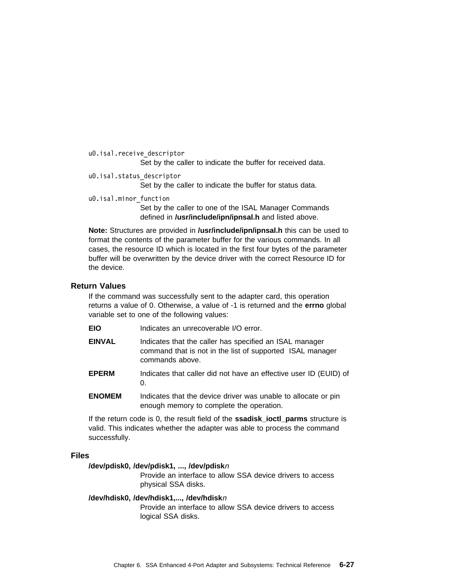```
uð.isal.receive_descriptor
   Set by the caller to indicate the buffer for received data.
```
uð.isal.status\_descriptor

Set by the caller to indicate the buffer for status data.

uð.isal.minor\_function

Set by the caller to one of the ISAL Manager Commands defined in **/usr/include/ipn/ipnsal.h** and listed above.

**Note:** Structures are provided in **/usr/include/ipn/ipnsal.h** this can be used to format the contents of the parameter buffer for the various commands. In all cases, the resource ID which is located in the first four bytes of the parameter buffer will be overwritten by the device driver with the correct Resource ID for the device.

# **Return Values**

If the command was successfully sent to the adapter card, this operation returns a value of 0. Otherwise, a value of -1 is returned and the **errno** global variable set to one of the following values:

| EIO |  | Indicates an unrecoverable I/O error. |  |
|-----|--|---------------------------------------|--|
|     |  |                                       |  |

- **EINVAL** Indicates that the caller has specified an ISAL manager command that is not in the list of supported ISAL manager commands above.
- **EPERM** Indicates that caller did not have an effective user ID (EUID) of 0.
- **ENOMEM** Indicates that the device driver was unable to allocate or pin enough memory to complete the operation.

If the return code is 0, the result field of the **ssadisk\_ioctl\_parms** structure is valid. This indicates whether the adapter was able to process the command successfully.

## **Files**

#### **/dev/pdisk0, /dev/pdisk1, ..., /dev/pdisk**<sup>n</sup>

Provide an interface to allow SSA device drivers to access physical SSA disks.

#### **/dev/hdisk0, /dev/hdisk1,..., /dev/hdisk**<sup>n</sup>

Provide an interface to allow SSA device drivers to access logical SSA disks.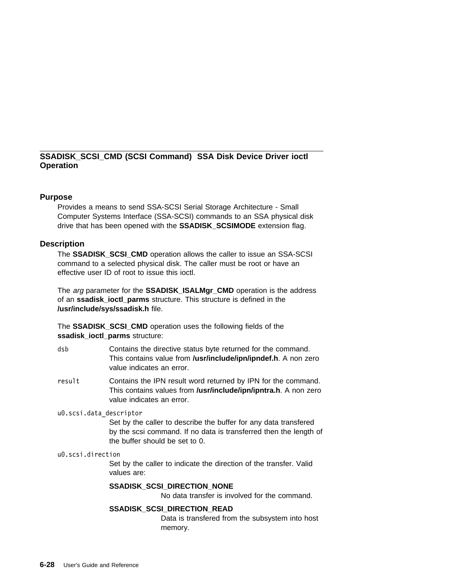# **SSADISK\_SCSI\_CMD (SCSI Command) SSA Disk Device Driver ioctl Operation**

# **Purpose**

Provides a means to send SSA-SCSI Serial Storage Architecture - Small Computer Systems Interface (SSA-SCSI) commands to an SSA physical disk drive that has been opened with the **SSADISK\_SCSIMODE** extension flag.

## **Description**

The **SSADISK\_SCSI\_CMD** operation allows the caller to issue an SSA-SCSI command to a selected physical disk. The caller must be root or have an effective user ID of root to issue this ioctl.

The *arg* parameter for the **SSADISK ISALMgr CMD** operation is the address of an **ssadisk\_ioctl\_parms** structure. This structure is defined in the **/usr/include/sys/ssadisk.h** file.

The **SSADISK\_SCSI\_CMD** operation uses the following fields of the **ssadisk\_ioctl\_parms** structure:

- dsb Contains the directive status byte returned for the command. This contains value from **/usr/include/ipn/ipndef.h**. A non zero value indicates an error.
- result Contains the IPN result word returned by IPN for the command. This contains values from **/usr/include/ipn/ipntra.h**. A non zero value indicates an error.

uð.scsi.data\_descriptor

Set by the caller to describe the buffer for any data transfered by the scsi command. If no data is transferred then the length of the buffer should be set to 0.

uð.scsi.direction

Set by the caller to indicate the direction of the transfer. Valid values are:

## **SSADISK\_SCSI\_DIRECTION\_NONE**

No data transfer is involved for the command.

## **SSADISK\_SCSI\_DIRECTION\_READ**

Data is transfered from the subsystem into host memory.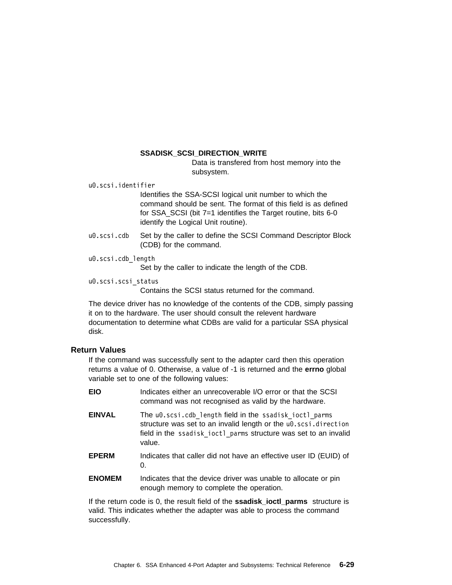## **SSADISK\_SCSI\_DIRECTION\_WRITE**

Data is transfered from host memory into the subsystem.

uð.scsi.identifier

Identifies the SSA-SCSI logical unit number to which the command should be sent. The format of this field is as defined for SSA\_SCSI (bit 7=1 identifies the Target routine, bits 6-0 identify the Logical Unit routine).

u0.scsi.cdb Set by the caller to define the SCSI Command Descriptor Block (CDB) for the command.

```
uð.scsi.cdb_length
```
Set by the caller to indicate the length of the CDB.

uð.scsi.scsi\_status

Contains the SCSI status returned for the command.

The device driver has no knowledge of the contents of the CDB, simply passing it on to the hardware. The user should consult the relevent hardware documentation to determine what CDBs are valid for a particular SSA physical disk.

# **Return Values**

If the command was successfully sent to the adapter card then this operation returns a value of 0. Otherwise, a value of -1 is returned and the **errno** global variable set to one of the following values:

| <b>EIO</b> | Indicates either an unrecoverable I/O error or that the SCSI |
|------------|--------------------------------------------------------------|
|            | command was not recognised as valid by the hardware.         |

- EINVAL The u0.scsi.cdb length field in the ssadisk ioctl parms structure was set to an invalid length or the u0.scsi.direction field in the ssadisk ioctl parms structure was set to an invalid value.
- **EPERM** Indicates that caller did not have an effective user ID (EUID) of  $\Omega$
- **ENOMEM** Indicates that the device driver was unable to allocate or pin enough memory to complete the operation.

If the return code is 0, the result field of the **ssadisk\_ioctl\_parms** structure is valid. This indicates whether the adapter was able to process the command successfully.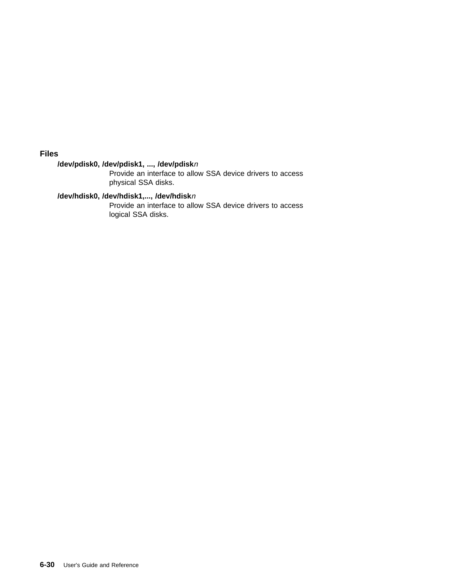**Files**

# **/dev/pdisk0, /dev/pdisk1, ..., /dev/pdisk**<sup>n</sup>

Provide an interface to allow SSA device drivers to access physical SSA disks.

# **/dev/hdisk0, /dev/hdisk1,..., /dev/hdisk**<sup>n</sup>

Provide an interface to allow SSA device drivers to access logical SSA disks.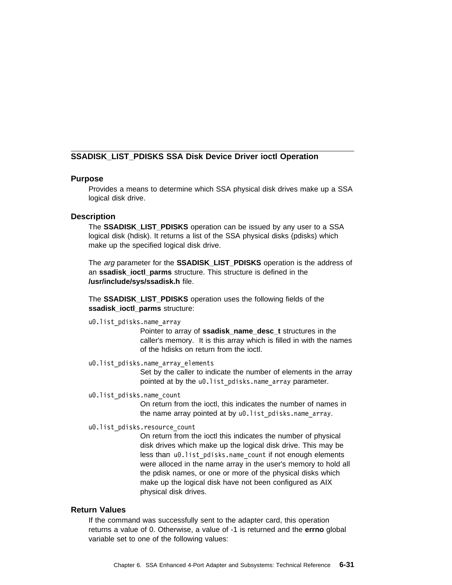# **SSADISK\_LIST\_PDISKS SSA Disk Device Driver ioctl Operation**

# **Purpose**

Provides a means to determine which SSA physical disk drives make up a SSA logical disk drive.

### **Description**

The **SSADISK\_LIST\_PDISKS** operation can be issued by any user to a SSA logical disk (hdisk). It returns a list of the SSA physical disks (pdisks) which make up the specified logical disk drive.

The arg parameter for the **SSADISK\_LIST\_PDISKS** operation is the address of an **ssadisk\_ioctl\_parms** structure. This structure is defined in the **/usr/include/sys/ssadisk.h** file.

The **SSADISK\_LIST\_PDISKS** operation uses the following fields of the **ssadisk\_ioctl\_parms** structure:

uð.list\_pdisks.name\_array

Pointer to array of **ssadisk name desc t** structures in the caller's memory. It is this array which is filled in with the names of the hdisks on return from the ioctl.

uð.list\_pdisks.name\_array\_elements

Set by the caller to indicate the number of elements in the array pointed at by the u0.list pdisks.name array parameter.

uð.list\_pdisks.name\_count

On return from the ioctl, this indicates the number of names in the name array pointed at by u0.list pdisks.name array.

uð.list\_pdisks.resource\_count

On return from the ioctl this indicates the number of physical disk drives which make up the logical disk drive. This may be less than u0.list pdisks.name count if not enough elements were alloced in the name array in the user's memory to hold all the pdisk names, or one or more of the physical disks which make up the logical disk have not been configured as AIX physical disk drives.

#### **Return Values**

If the command was successfully sent to the adapter card, this operation returns a value of 0. Otherwise, a value of -1 is returned and the **errno** global variable set to one of the following values: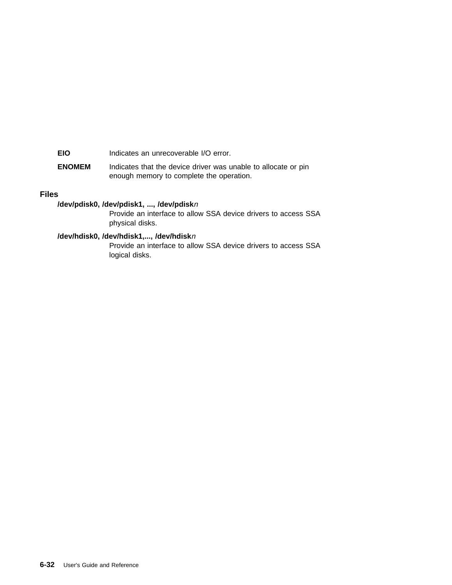**EIO** Indicates an unrecoverable I/O error.

**ENOMEM** Indicates that the device driver was unable to allocate or pin enough memory to complete the operation.

# **Files**

# **/dev/pdisk0, /dev/pdisk1, ..., /dev/pdisk**<sup>n</sup>

Provide an interface to allow SSA device drivers to access SSA physical disks.

# **/dev/hdisk0, /dev/hdisk1,..., /dev/hdisk**<sup>n</sup>

Provide an interface to allow SSA device drivers to access SSA logical disks.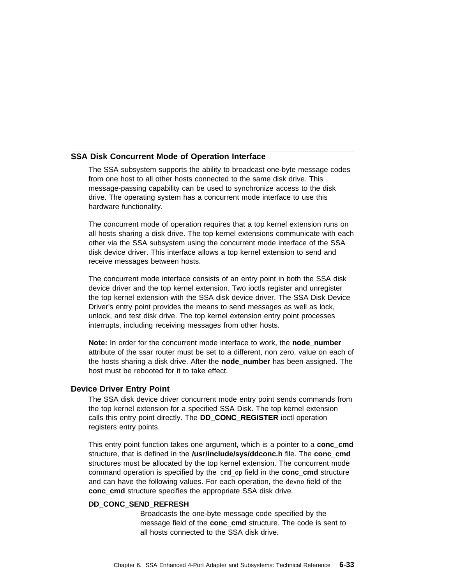## **SSA Disk Concurrent Mode of Operation Interface**

The SSA subsystem supports the ability to broadcast one-byte message codes from one host to all other hosts connected to the same disk drive. This message-passing capability can be used to synchronize access to the disk drive. The operating system has a concurrent mode interface to use this hardware functionality.

The concurrent mode of operation requires that a top kernel extension runs on all hosts sharing a disk drive. The top kernel extensions communicate with each other via the SSA subsystem using the concurrent mode interface of the SSA disk device driver. This interface allows a top kernel extension to send and receive messages between hosts.

The concurrent mode interface consists of an entry point in both the SSA disk device driver and the top kernel extension. Two ioctls register and unregister the top kernel extension with the SSA disk device driver. The SSA Disk Device Driver's entry point provides the means to send messages as well as lock, unlock, and test disk drive. The top kernel extension entry point processes interrupts, including receiving messages from other hosts.

**Note:** In order for the concurrent mode interface to work, the **node number** attribute of the ssar router must be set to a different, non zero, value on each of the hosts sharing a disk drive. After the **node\_number** has been assigned. The host must be rebooted for it to take effect.

### **Device Driver Entry Point**

The SSA disk device driver concurrent mode entry point sends commands from the top kernel extension for a specified SSA Disk. The top kernel extension calls this entry point directly. The **DD\_CONC\_REGISTER** ioctl operation registers entry points.

This entry point function takes one argument, which is a pointer to a **conc\_cmd** structure, that is defined in the **/usr/include/sys/ddconc.h** file. The **conc\_cmd** structures must be allocated by the top kernel extension. The concurrent mode command operation is specified by the cmd\_op field in the **conc\_cmd** structure and can have the following values. For each operation, the devno field of the conc cmd structure specifies the appropriate SSA disk drive.

#### **DD\_CONC\_SEND\_REFRESH**

Broadcasts the one-byte message code specified by the message field of the **conc** cmd structure. The code is sent to all hosts connected to the SSA disk drive.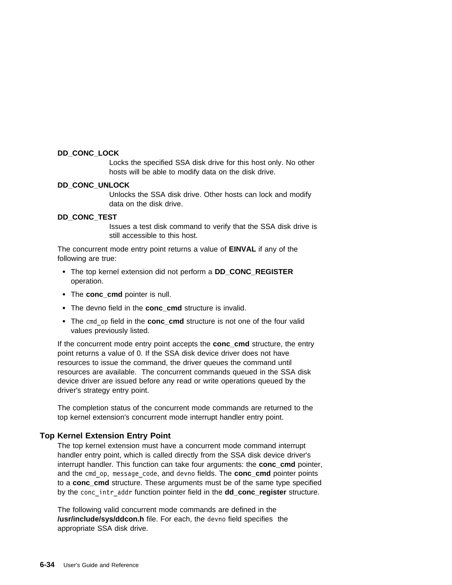### **DD\_CONC\_LOCK**

Locks the specified SSA disk drive for this host only. No other hosts will be able to modify data on the disk drive.

#### **DD\_CONC\_UNLOCK**

Unlocks the SSA disk drive. Other hosts can lock and modify data on the disk drive.

### **DD\_CONC\_TEST**

Issues a test disk command to verify that the SSA disk drive is still accessible to this host.

The concurrent mode entry point returns a value of **EINVAL** if any of the following are true:

- The top kernel extension did not perform a **DD\_CONC\_REGISTER** operation.
- The **conc** cmd pointer is null.
- The devno field in the **conc\_cmd** structure is invalid.
- The cmd op field in the **conc cmd** structure is not one of the four valid values previously listed.

If the concurrent mode entry point accepts the **conc\_cmd** structure, the entry point returns a value of 0. If the SSA disk device driver does not have resources to issue the command, the driver queues the command until resources are available. The concurrent commands queued in the SSA disk device driver are issued before any read or write operations queued by the driver's strategy entry point.

The completion status of the concurrent mode commands are returned to the top kernel extension's concurrent mode interrupt handler entry point.

## **Top Kernel Extension Entry Point**

The top kernel extension must have a concurrent mode command interrupt handler entry point, which is called directly from the SSA disk device driver's interrupt handler. This function can take four arguments: the **conc\_cmd** pointer, and the cmd\_op, message\_code, and devno fields. The **conc\_cmd** pointer points to a **conc\_cmd** structure. These arguments must be of the same type specified by the conc\_intr\_addr function pointer field in the **dd\_conc\_register** structure.

The following valid concurrent mode commands are defined in the **/usr/include/sys/ddcon.h** file. For each, the devno field specifies the appropriate SSA disk drive.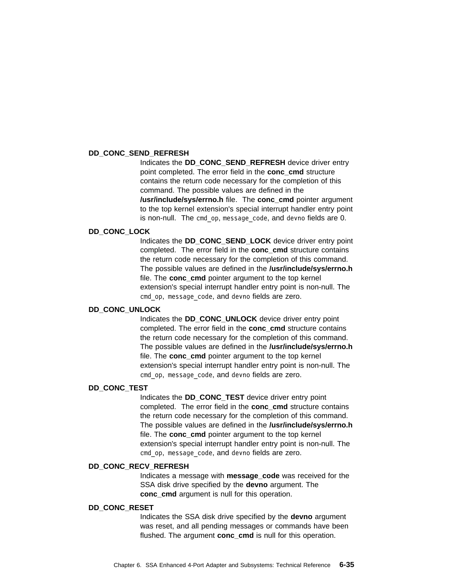#### **DD\_CONC\_SEND\_REFRESH**

Indicates the **DD\_CONC\_SEND\_REFRESH** device driver entry point completed. The error field in the **conc\_cmd** structure contains the return code necessary for the completion of this command. The possible values are defined in the **/usr/include/sys/errno.h** file. The **conc\_cmd** pointer argument to the top kernel extension's special interrupt handler entry point is non-null. The cmd op, message code, and devno fields are 0.

#### **DD\_CONC\_LOCK**

Indicates the **DD\_CONC\_SEND\_LOCK** device driver entry point completed. The error field in the **conc\_cmd** structure contains the return code necessary for the completion of this command. The possible values are defined in the **/usr/include/sys/errno.h** file. The **conc** cmd pointer argument to the top kernel extension's special interrupt handler entry point is non-null. The cmd\_op, message\_code, and devno fields are zero.

#### **DD\_CONC\_UNLOCK**

Indicates the **DD\_CONC\_UNLOCK** device driver entry point completed. The error field in the **conc\_cmd** structure contains the return code necessary for the completion of this command. The possible values are defined in the **/usr/include/sys/errno.h** file. The **conc\_cmd** pointer argument to the top kernel extension's special interrupt handler entry point is non-null. The cmd\_op, message\_code, and devno fields are zero.

#### **DD\_CONC\_TEST**

Indicates the **DD\_CONC\_TEST** device driver entry point completed. The error field in the **conc\_cmd** structure contains the return code necessary for the completion of this command. The possible values are defined in the **/usr/include/sys/errno.h** file. The **conc** cmd pointer argument to the top kernel extension's special interrupt handler entry point is non-null. The cmd\_op, message\_code, and devno fields are zero.

#### **DD\_CONC\_RECV\_REFRESH**

Indicates a message with **message\_code** was received for the SSA disk drive specified by the **devno** argument. The **conc\_cmd** argument is null for this operation.

### **DD\_CONC\_RESET**

Indicates the SSA disk drive specified by the **devno** argument was reset, and all pending messages or commands have been flushed. The argument **conc\_cmd** is null for this operation.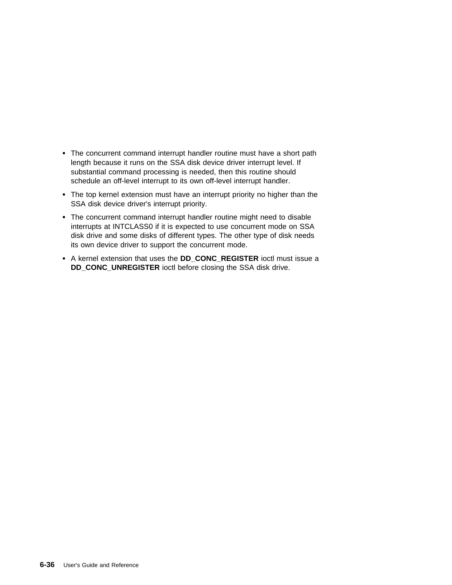- The concurrent command interrupt handler routine must have a short path length because it runs on the SSA disk device driver interrupt level. If substantial command processing is needed, then this routine should schedule an off-level interrupt to its own off-level interrupt handler.
- The top kernel extension must have an interrupt priority no higher than the SSA disk device driver's interrupt priority.
- The concurrent command interrupt handler routine might need to disable interrupts at INTCLASS0 if it is expected to use concurrent mode on SSA disk drive and some disks of different types. The other type of disk needs its own device driver to support the concurrent mode.
- A kernel extension that uses the **DD\_CONC\_REGISTER** ioctl must issue a **DD\_CONC\_UNREGISTER** ioctl before closing the SSA disk drive.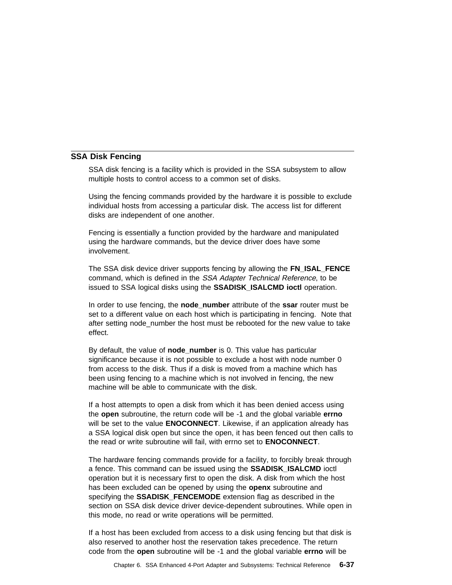### **SSA Disk Fencing**

SSA disk fencing is a facility which is provided in the SSA subsystem to allow multiple hosts to control access to a common set of disks.

Using the fencing commands provided by the hardware it is possible to exclude individual hosts from accessing a particular disk. The access list for different disks are independent of one another.

Fencing is essentially a function provided by the hardware and manipulated using the hardware commands, but the device driver does have some involvement.

The SSA disk device driver supports fencing by allowing the **FN\_ISAL\_FENCE** command, which is defined in the SSA Adapter Technical Reference, to be issued to SSA logical disks using the **SSADISK\_ISALCMD ioctl** operation.

In order to use fencing, the **node\_number** attribute of the **ssar** router must be set to a different value on each host which is participating in fencing. Note that after setting node\_number the host must be rebooted for the new value to take effect.

By default, the value of **node number** is 0. This value has particular significance because it is not possible to exclude a host with node number 0 from access to the disk. Thus if a disk is moved from a machine which has been using fencing to a machine which is not involved in fencing, the new machine will be able to communicate with the disk.

If a host attempts to open a disk from which it has been denied access using the **open** subroutine, the return code will be -1 and the global variable **errno** will be set to the value **ENOCONNECT**. Likewise, if an application already has a SSA logical disk open but since the open, it has been fenced out then calls to the read or write subroutine will fail, with errno set to **ENOCONNECT**.

The hardware fencing commands provide for a facility, to forcibly break through a fence. This command can be issued using the **SSADISK\_ISALCMD** ioctl operation but it is necessary first to open the disk. A disk from which the host has been excluded can be opened by using the **openx** subroutine and specifying the **SSADISK\_FENCEMODE** extension flag as described in the section on SSA disk device driver device-dependent subroutines. While open in this mode, no read or write operations will be permitted.

If a host has been excluded from access to a disk using fencing but that disk is also reserved to another host the reservation takes precedence. The return code from the **open** subroutine will be -1 and the global variable **errno** will be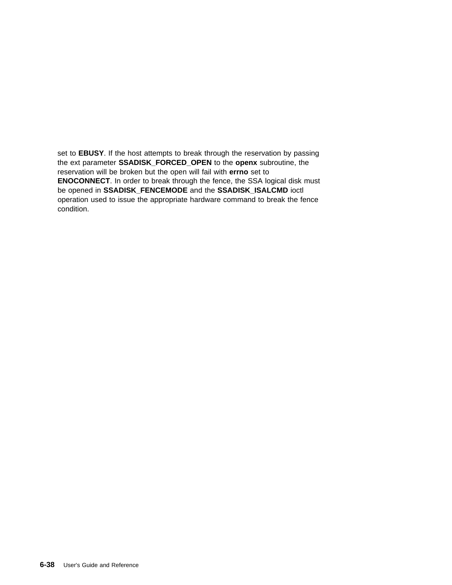set to **EBUSY**. If the host attempts to break through the reservation by passing the ext parameter **SSADISK\_FORCED\_OPEN** to the **openx** subroutine, the reservation will be broken but the open will fail with **errno** set to **ENOCONNECT**. In order to break through the fence, the SSA logical disk must be opened in **SSADISK\_FENCEMODE** and the **SSADISK\_ISALCMD** ioctl operation used to issue the appropriate hardware command to break the fence condition.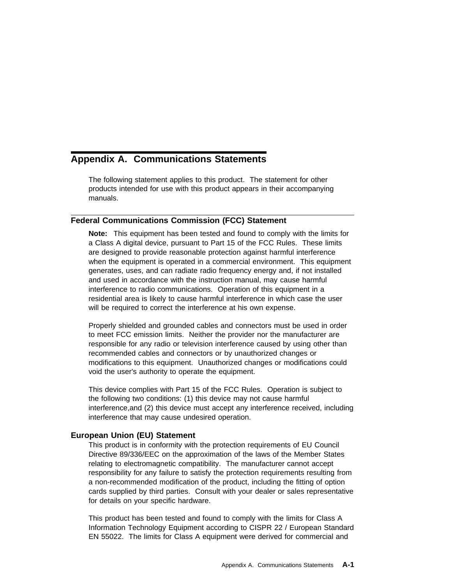# **Appendix A. Communications Statements**

The following statement applies to this product. The statement for other products intended for use with this product appears in their accompanying manuals.

# **Federal Communications Commission (FCC) Statement**

**Note:** This equipment has been tested and found to comply with the limits for a Class A digital device, pursuant to Part 15 of the FCC Rules. These limits are designed to provide reasonable protection against harmful interference when the equipment is operated in a commercial environment. This equipment generates, uses, and can radiate radio frequency energy and, if not installed and used in accordance with the instruction manual, may cause harmful interference to radio communications. Operation of this equipment in a residential area is likely to cause harmful interference in which case the user will be required to correct the interference at his own expense.

Properly shielded and grounded cables and connectors must be used in order to meet FCC emission limits. Neither the provider nor the manufacturer are responsible for any radio or television interference caused by using other than recommended cables and connectors or by unauthorized changes or modifications to this equipment. Unauthorized changes or modifications could void the user's authority to operate the equipment.

This device complies with Part 15 of the FCC Rules. Operation is subject to the following two conditions: (1) this device may not cause harmful interference,and (2) this device must accept any interference received, including interference that may cause undesired operation.

# **European Union (EU) Statement**

This product is in conformity with the protection requirements of EU Council Directive 89/336/EEC on the approximation of the laws of the Member States relating to electromagnetic compatibility. The manufacturer cannot accept responsibility for any failure to satisfy the protection requirements resulting from a non-recommended modification of the product, including the fitting of option cards supplied by third parties. Consult with your dealer or sales representative for details on your specific hardware.

This product has been tested and found to comply with the limits for Class A Information Technology Equipment according to CISPR 22 / European Standard EN 55022. The limits for Class A equipment were derived for commercial and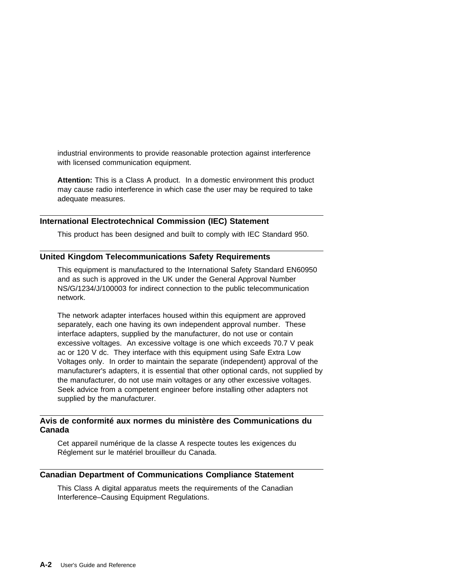industrial environments to provide reasonable protection against interference with licensed communication equipment.

**Attention:** This is a Class A product. In a domestic environment this product may cause radio interference in which case the user may be required to take adequate measures.

# **International Electrotechnical Commission (IEC) Statement**

This product has been designed and built to comply with IEC Standard 950.

# **United Kingdom Telecommunications Safety Requirements**

This equipment is manufactured to the International Safety Standard EN60950 and as such is approved in the UK under the General Approval Number NS/G/1234/J/100003 for indirect connection to the public telecommunication network.

The network adapter interfaces housed within this equipment are approved separately, each one having its own independent approval number. These interface adapters, supplied by the manufacturer, do not use or contain excessive voltages. An excessive voltage is one which exceeds 70.7 V peak ac or 120 V dc. They interface with this equipment using Safe Extra Low Voltages only. In order to maintain the separate (independent) approval of the manufacturer's adapters, it is essential that other optional cards, not supplied by the manufacturer, do not use main voltages or any other excessive voltages. Seek advice from a competent engineer before installing other adapters not supplied by the manufacturer.

# **Avis de conformité aux normes du ministère des Communications du Canada**

Cet appareil numérique de la classe A respecte toutes les exigences du Réglement sur le matériel brouilleur du Canada.

## **Canadian Department of Communications Compliance Statement**

This Class A digital apparatus meets the requirements of the Canadian Interference–Causing Equipment Regulations.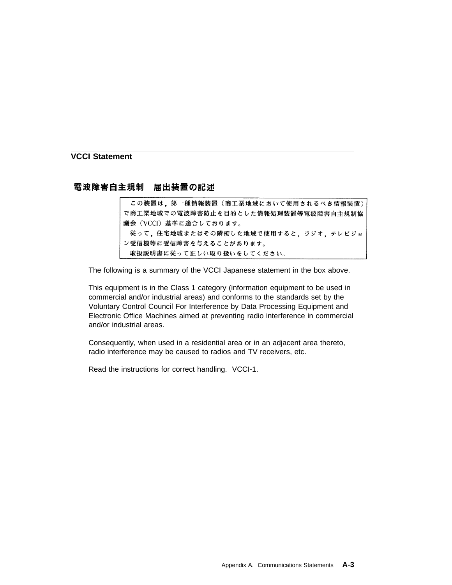**VCCI Statement**

電波障害自主規制 届出装置の記述

この装置は、第一種情報装置(商工業地域において使用されるべき情報装置) で商工業地域での電波障害防止を目的とした情報処理装置等電波障害自主規制協 議会 (VCCI) 基準に適合しております。 従って、住宅地域またはその隣接した地域で使用すると、ラジオ、テレビジョ ン受信機等に受信障害を与えることがあります。 取扱説明書に従って正しい取り扱いをしてください。

The following is a summary of the VCCI Japanese statement in the box above.

This equipment is in the Class 1 category (information equipment to be used in commercial and/or industrial areas) and conforms to the standards set by the Voluntary Control Council For Interference by Data Processing Equipment and Electronic Office Machines aimed at preventing radio interference in commercial and/or industrial areas.

Consequently, when used in a residential area or in an adjacent area thereto, radio interference may be caused to radios and TV receivers, etc.

Read the instructions for correct handling. VCCI-1.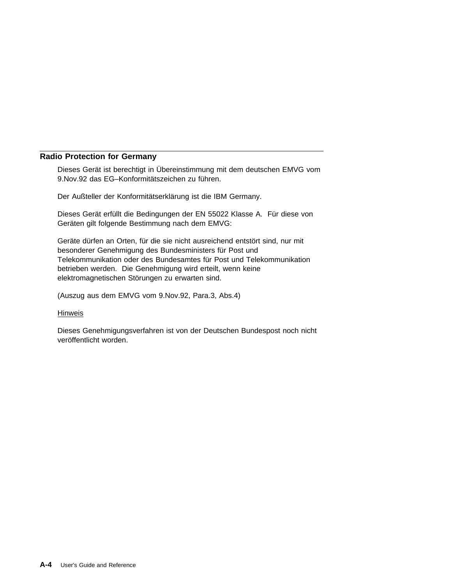# **Radio Protection for Germany**

Dieses Gerät ist berechtigt in Übereinstimmung mit dem deutschen EMVG vom 9.Nov.92 das EG–Konformitätszeichen zu führen.

Der Außteller der Konformitätserklärung ist die IBM Germany.

Dieses Gerät erfüllt die Bedingungen der EN 55022 Klasse A. Für diese von Geräten gilt folgende Bestimmung nach dem EMVG:

Geräte dürfen an Orten, für die sie nicht ausreichend entstört sind, nur mit besonderer Genehmigung des Bundesministers für Post und Telekommunikation oder des Bundesamtes für Post und Telekommunikation betrieben werden. Die Genehmigung wird erteilt, wenn keine elektromagnetischen Störungen zu erwarten sind.

(Auszug aus dem EMVG vom 9.Nov.92, Para.3, Abs.4)

#### **Hinweis**

Dieses Genehmigungsverfahren ist von der Deutschen Bundespost noch nicht veröffentlicht worden.